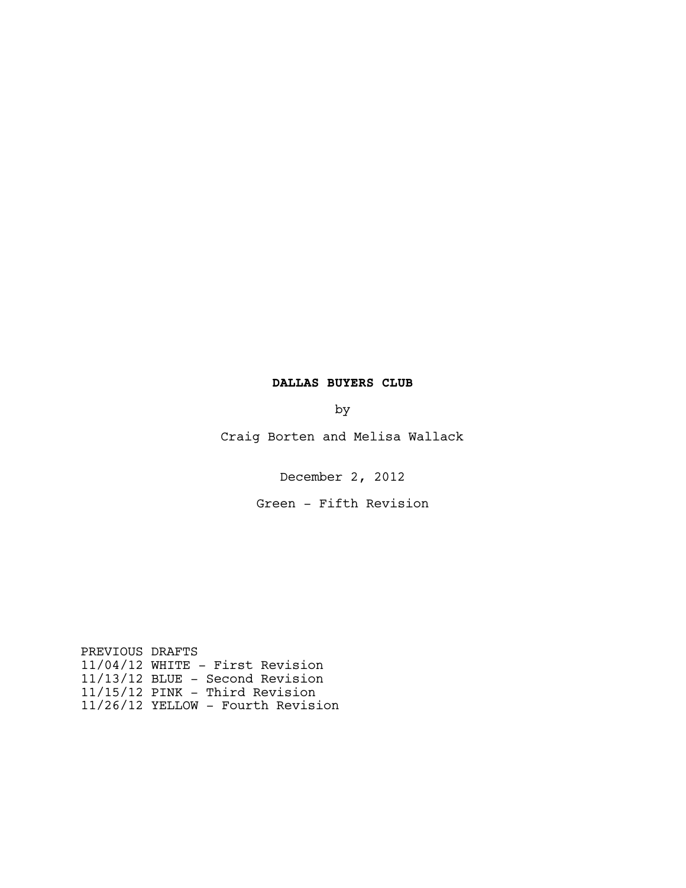# **DALLAS BUYERS CLUB**

by

Craig Borten and Melisa Wallack

December 2, 2012

Green - Fifth Revision

PREVIOUS DRAFTS 11/04/12 WHITE - First Revision 11/13/12 BLUE - Second Revision 11/15/12 PINK - Third Revision 11/26/12 YELLOW - Fourth Revision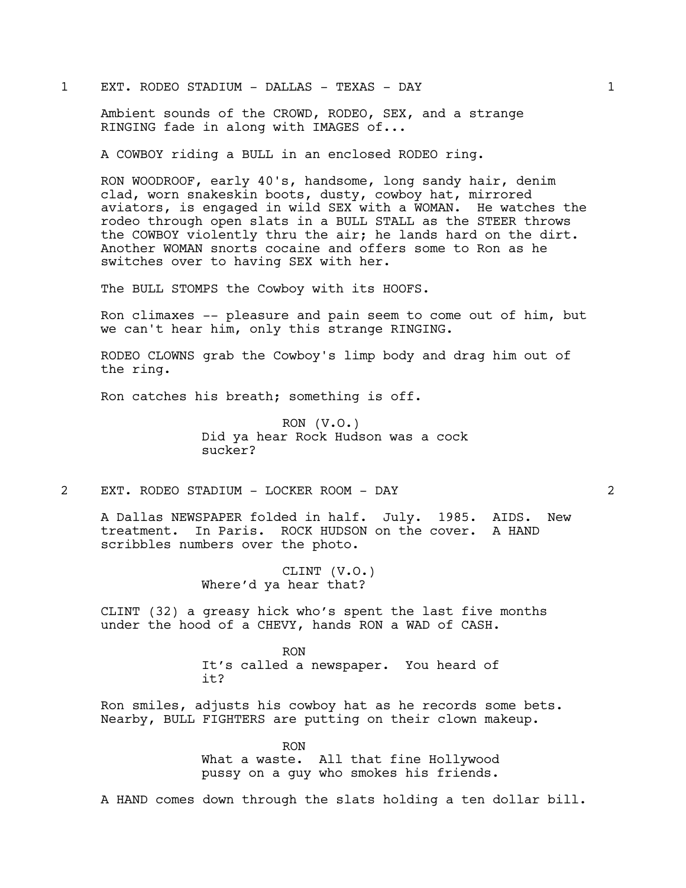# 1 EXT. RODEO STADIUM - DALLAS - TEXAS - DAY 1

Ambient sounds of the CROWD, RODEO, SEX, and a strange RINGING fade in along with IMAGES of...

A COWBOY riding a BULL in an enclosed RODEO ring.

RON WOODROOF, early 40's, handsome, long sandy hair, denim clad, worn snakeskin boots, dusty, cowboy hat, mirrored aviators, is engaged in wild SEX with a WOMAN. He watches the rodeo through open slats in a BULL STALL as the STEER throws the COWBOY violently thru the air; he lands hard on the dirt. Another WOMAN snorts cocaine and offers some to Ron as he switches over to having SEX with her.

The BULL STOMPS the Cowboy with its HOOFS.

Ron climaxes -- pleasure and pain seem to come out of him, but we can't hear him, only this strange RINGING.

RODEO CLOWNS grab the Cowboy's limp body and drag him out of the ring.

Ron catches his breath; something is off.

 $RON (V.O.)$ Did ya hear Rock Hudson was a cock sucker?

2 EXT. RODEO STADIUM - LOCKER ROOM - DAY 2

A Dallas NEWSPAPER folded in half. July. 1985. AIDS. New treatment. In Paris. ROCK HUDSON on the cover. A HAND scribbles numbers over the photo.

> CLINT (V.O.) Where'd ya hear that?

CLINT (32) a greasy hick who's spent the last five months under the hood of a CHEVY, hands RON a WAD of CASH.

> RON It's called a newspaper. You heard of it?

Ron smiles, adjusts his cowboy hat as he records some bets. Nearby, BULL FIGHTERS are putting on their clown makeup.

> RON What a waste. All that fine Hollywood pussy on a guy who smokes his friends.

A HAND comes down through the slats holding a ten dollar bill.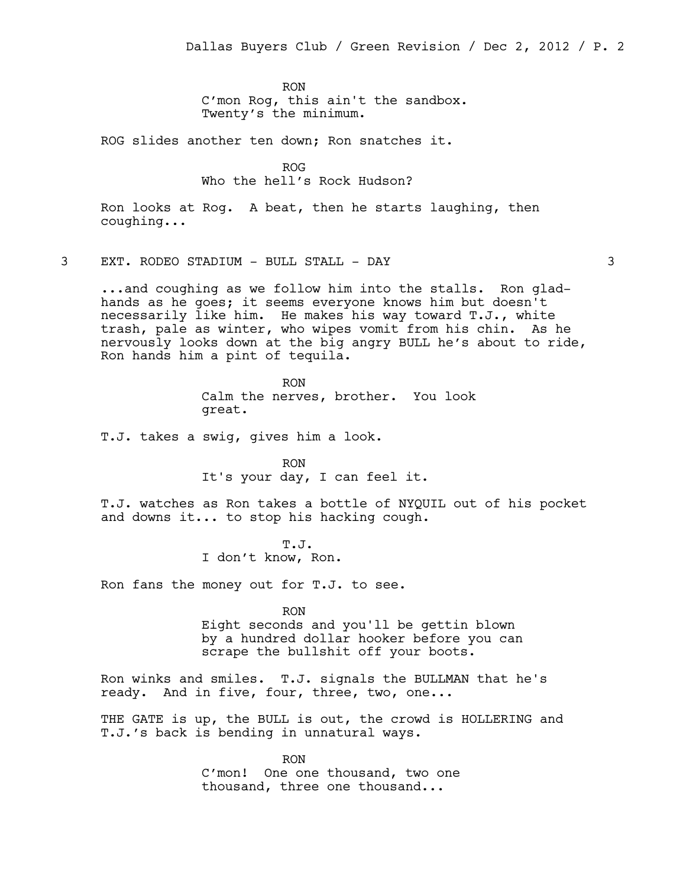RON C'mon Rog, this ain't the sandbox. Twenty's the minimum.

ROG slides another ten down; Ron snatches it.

ROG Who the hell's Rock Hudson?

Ron looks at Rog. A beat, then he starts laughing, then coughing...

3 EXT. RODEO STADIUM - BULL STALL - DAY 3

...and coughing as we follow him into the stalls. Ron gladhands as he goes; it seems everyone knows him but doesn't necessarily like him. He makes his way toward T.J., white trash, pale as winter, who wipes vomit from his chin. As he nervously looks down at the big angry BULL he's about to ride, Ron hands him a pint of tequila.

> RON Calm the nerves, brother. You look great.

T.J. takes a swig, gives him a look.

RON It's your day, I can feel it.

T.J. watches as Ron takes a bottle of NYQUIL out of his pocket and downs it... to stop his hacking cough.

> T.J. I don't know, Ron.

Ron fans the money out for T.J. to see.

RON

Eight seconds and you'll be gettin blown by a hundred dollar hooker before you can scrape the bullshit off your boots.

Ron winks and smiles. T.J. signals the BULLMAN that he's ready. And in five, four, three, two, one...

THE GATE is up, the BULL is out, the crowd is HOLLERING and T.J.'s back is bending in unnatural ways.

> RON C'mon! One one thousand, two one thousand, three one thousand...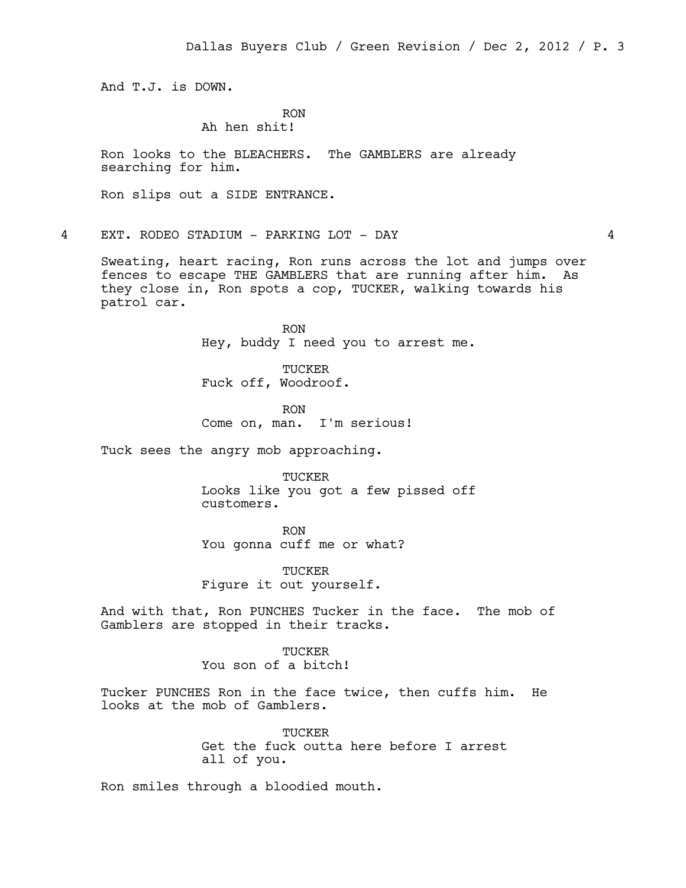And T.J. is DOWN.

# RON

# Ah hen shit!

Ron looks to the BLEACHERS. The GAMBLERS are already searching for him.

Ron slips out a SIDE ENTRANCE.

4 EXT. RODEO STADIUM - PARKING LOT - DAY 4

Sweating, heart racing, Ron runs across the lot and jumps over fences to escape THE GAMBLERS that are running after him. As they close in, Ron spots a cop, TUCKER, walking towards his patrol car.

> RON Hey, buddy I need you to arrest me.

TUCKER Fuck off, Woodroof.

RON Come on, man. I'm serious!

Tuck sees the angry mob approaching.

TUCKER Looks like you got a few pissed off customers.

RON You gonna cuff me or what?

TUCKER Figure it out yourself.

And with that, Ron PUNCHES Tucker in the face. The mob of Gamblers are stopped in their tracks.

> **TUCKER** You son of a bitch!

Tucker PUNCHES Ron in the face twice, then cuffs him. He looks at the mob of Gamblers.

> TUCKER Get the fuck outta here before I arrest all of you.

Ron smiles through a bloodied mouth.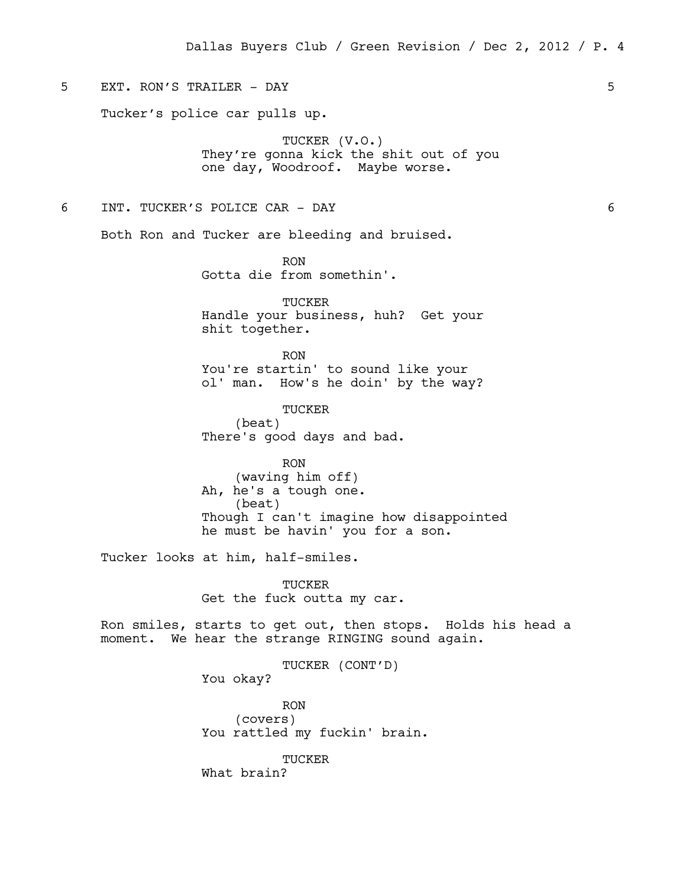# 5 EXT. RON'S TRAILER - DAY 5

Tucker's police car pulls up.

TUCKER (V.O.) They're gonna kick the shit out of you one day, Woodroof. Maybe worse.

### 6 INT. TUCKER'S POLICE CAR - DAY 6

Both Ron and Tucker are bleeding and bruised.

RON Gotta die from somethin'.

TUCKER Handle your business, huh? Get your shit together.

RON You're startin' to sound like your ol' man. How's he doin' by the way?

TUCKER (beat) There's good days and bad.

RON (waving him off) Ah, he's a tough one. (beat) Though I can't imagine how disappointed he must be havin' you for a son.

Tucker looks at him, half-smiles.

TUCKER Get the fuck outta my car.

Ron smiles, starts to get out, then stops. Holds his head a moment. We hear the strange RINGING sound again.

> TUCKER (CONT'D) You okay?

RON (covers) You rattled my fuckin' brain.

TUCKER What brain?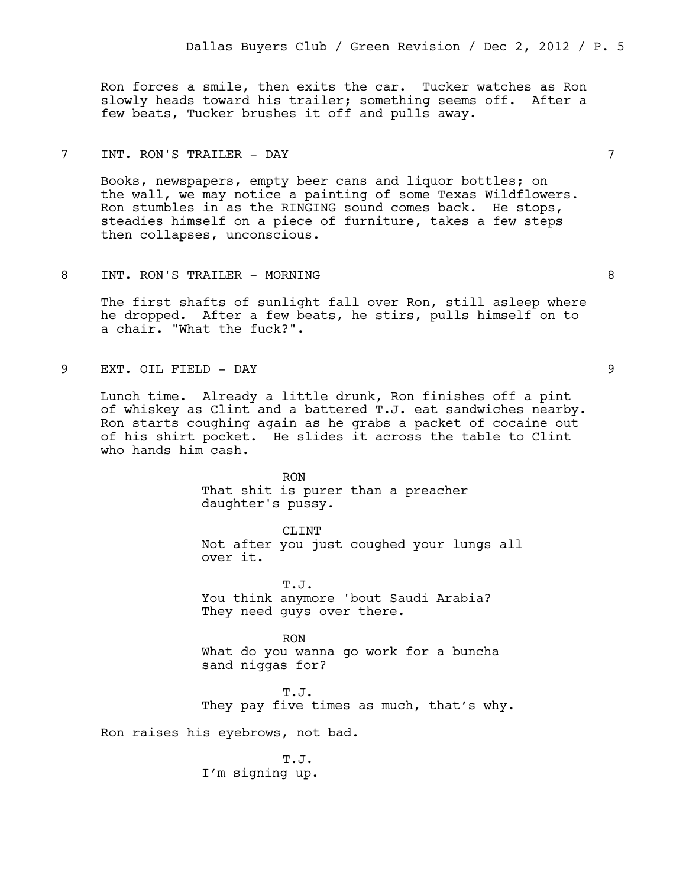Ron forces a smile, then exits the car. Tucker watches as Ron slowly heads toward his trailer; something seems off. After a few beats, Tucker brushes it off and pulls away.

# 7 INT. RON'S TRAILER - DAY 7

Books, newspapers, empty beer cans and liquor bottles; on the wall, we may notice a painting of some Texas Wildflowers. Ron stumbles in as the RINGING sound comes back. He stops, steadies himself on a piece of furniture, takes a few steps then collapses, unconscious.

### 8 INT. RON'S TRAILER - MORNING 8

The first shafts of sunlight fall over Ron, still asleep where he dropped. After a few beats, he stirs, pulls himself on to a chair. "What the fuck?".

9 EXT. OIL FIELD - DAY 9

Lunch time. Already a little drunk, Ron finishes off a pint of whiskey as Clint and a battered T.J. eat sandwiches nearby. Ron starts coughing again as he grabs a packet of cocaine out of his shirt pocket. He slides it across the table to Clint who hands him cash.

> RON That shit is purer than a preacher daughter's pussy.

CLINT Not after you just coughed your lungs all over it.

T.J. You think anymore 'bout Saudi Arabia? They need guys over there.

RON What do you wanna go work for a buncha sand niggas for?

T.J. They pay five times as much, that's why.

Ron raises his eyebrows, not bad.

T.J. I'm signing up.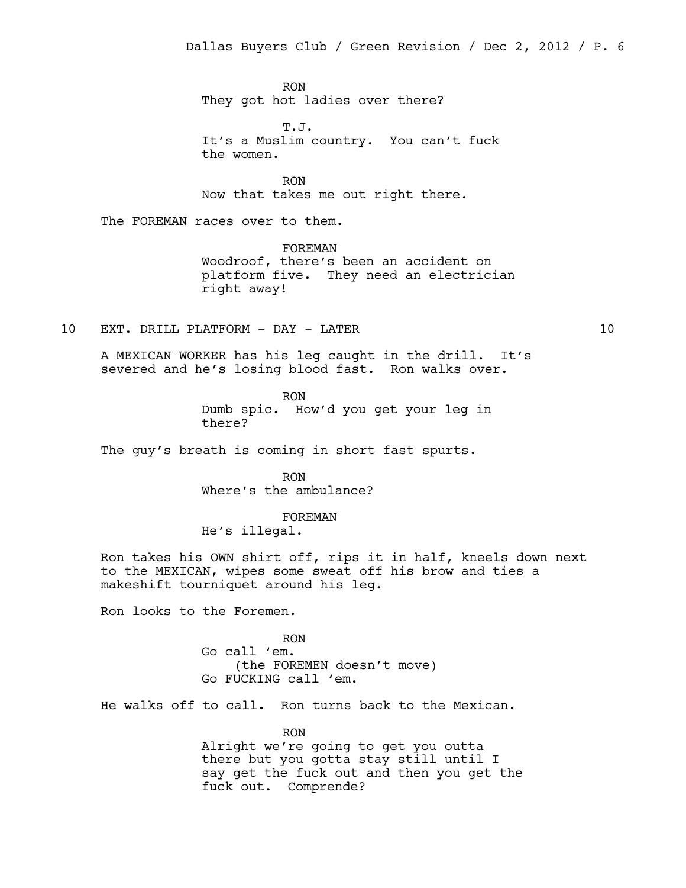RON They got hot ladies over there?

T.J. It's a Muslim country. You can't fuck the women.

RON Now that takes me out right there.

The FOREMAN races over to them.

FOREMAN Woodroof, there's been an accident on platform five. They need an electrician right away!

10 EXT. DRILL PLATFORM - DAY - LATER 10

A MEXICAN WORKER has his leg caught in the drill. It's severed and he's losing blood fast. Ron walks over.

> RON Dumb spic. How'd you get your leg in there?

The guy's breath is coming in short fast spurts.

RON Where's the ambulance?

FOREMAN He's illegal.

Ron takes his OWN shirt off, rips it in half, kneels down next to the MEXICAN, wipes some sweat off his brow and ties a makeshift tourniquet around his leg.

Ron looks to the Foremen.

RON Go call 'em. (the FOREMEN doesn't move) Go FUCKING call 'em.

He walks off to call. Ron turns back to the Mexican.

RON Alright we're going to get you outta there but you gotta stay still until I say get the fuck out and then you get the fuck out. Comprende?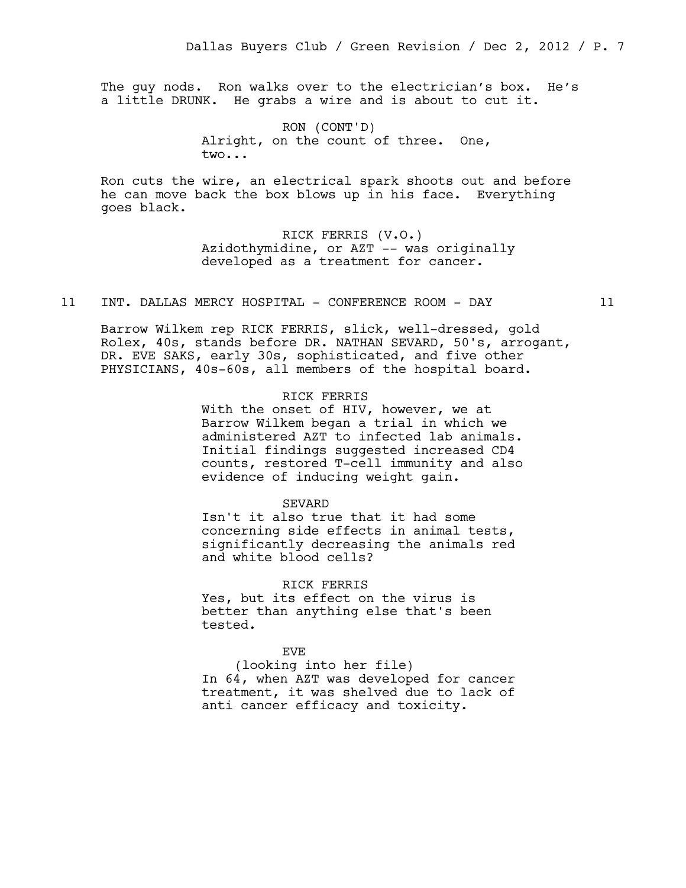The guy nods. Ron walks over to the electrician's box. He's a little DRUNK. He grabs a wire and is about to cut it.

> RON (CONT'D) Alright, on the count of three. One, two...

Ron cuts the wire, an electrical spark shoots out and before he can move back the box blows up in his face. Everything goes black.

> RICK FERRIS (V.O.) Azidothymidine, or AZT -- was originally developed as a treatment for cancer.

11 INT. DALLAS MERCY HOSPITAL - CONFERENCE ROOM - DAY 11

Barrow Wilkem rep RICK FERRIS, slick, well-dressed, gold Rolex, 40s, stands before DR. NATHAN SEVARD, 50's, arrogant, DR. EVE SAKS, early 30s, sophisticated, and five other PHYSICIANS, 40s-60s, all members of the hospital board.

# RICK FERRIS

With the onset of HIV, however, we at Barrow Wilkem began a trial in which we administered AZT to infected lab animals. Initial findings suggested increased CD4 counts, restored T-cell immunity and also evidence of inducing weight gain.

#### SEVARD

Isn't it also true that it had some concerning side effects in animal tests, significantly decreasing the animals red and white blood cells?

#### RICK FERRIS

Yes, but its effect on the virus is better than anything else that's been tested.

### EVE

(looking into her file) In 64, when AZT was developed for cancer treatment, it was shelved due to lack of anti cancer efficacy and toxicity.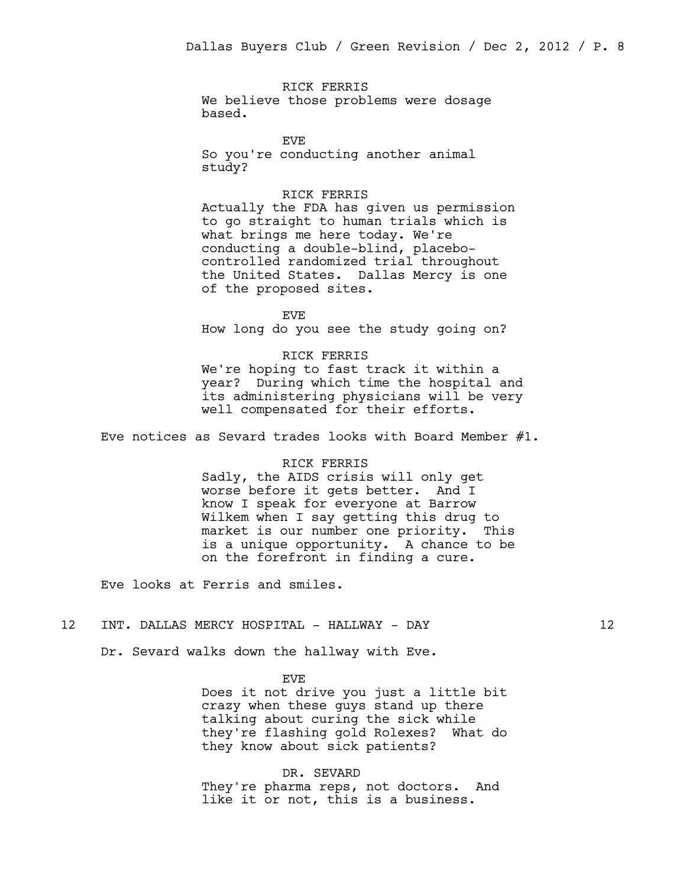RICK FERRIS We believe those problems were dosage based.

EVE So you're conducting another animal study?

### RICK FERRIS

Actually the FDA has given us permission to go straight to human trials which is what brings me here today. We're conducting a double-blind, placebocontrolled randomized trial throughout the United States. Dallas Mercy is one of the proposed sites.

EVE How long do you see the study going on?

RICK FERRIS We're hoping to fast track it within a year? During which time the hospital and its administering physicians will be very well compensated for their efforts.

Eve notices as Sevard trades looks with Board Member #1.

#### RICK FERRIS

Sadly, the AIDS crisis will only get worse before it gets better. And I know I speak for everyone at Barrow Wilkem when I say getting this drug to market is our number one priority. This is a unique opportunity. A chance to be on the forefront in finding a cure.

Eve looks at Ferris and smiles.

#### 12 INT. DALLAS MERCY HOSPITAL - HALLWAY - DAY 12

Dr. Sevard walks down the hallway with Eve.

EV<sub>E</sub>

Does it not drive you just a little bit crazy when these guys stand up there talking about curing the sick while they're flashing gold Rolexes? What do they know about sick patients?

DR. SEVARD They're pharma reps, not doctors. And like it or not, this is a business.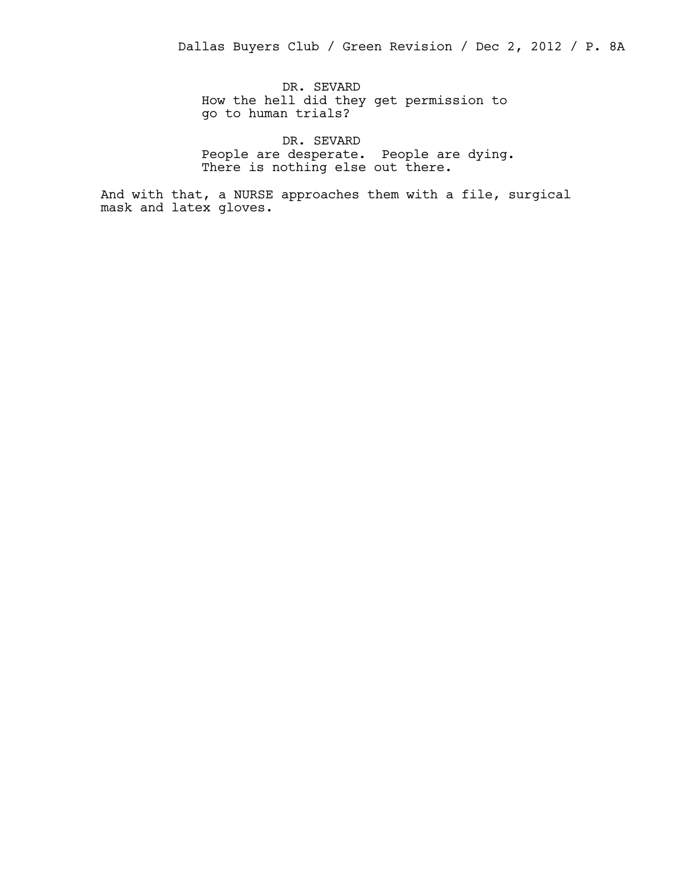DR. SEVARD How the hell did they get permission to go to human trials?

DR. SEVARD People are desperate. People are dying. There is nothing else out there.

And with that, a NURSE approaches them with a file, surgical mask and latex gloves.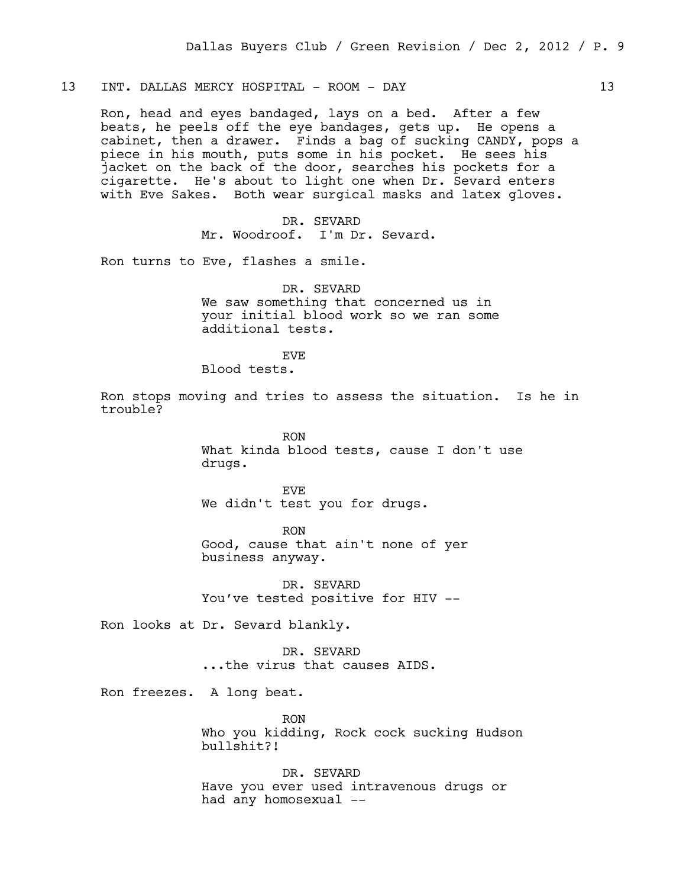13 INT. DALLAS MERCY HOSPITAL - ROOM - DAY 13

Ron, head and eyes bandaged, lays on a bed. After a few beats, he peels off the eye bandages, gets up. He opens a cabinet, then a drawer. Finds a bag of sucking CANDY, pops a piece in his mouth, puts some in his pocket. He sees his jacket on the back of the door, searches his pockets for a cigarette. He's about to light one when Dr. Sevard enters with Eve Sakes. Both wear surgical masks and latex gloves.

> DR. SEVARD Mr. Woodroof. I'm Dr. Sevard.

Ron turns to Eve, flashes a smile.

DR. SEVARD We saw something that concerned us in your initial blood work so we ran some additional tests.

EVE

Blood tests.

Ron stops moving and tries to assess the situation. Is he in trouble?

> RON What kinda blood tests, cause I don't use drugs.

EVE We didn't test you for drugs.

RON Good, cause that ain't none of yer business anyway.

DR. SEVARD You've tested positive for HIV --

Ron looks at Dr. Sevard blankly.

DR. SEVARD ...the virus that causes AIDS.

Ron freezes. A long beat.

RON Who you kidding, Rock cock sucking Hudson bullshit?!

DR. SEVARD Have you ever used intravenous drugs or had any homosexual --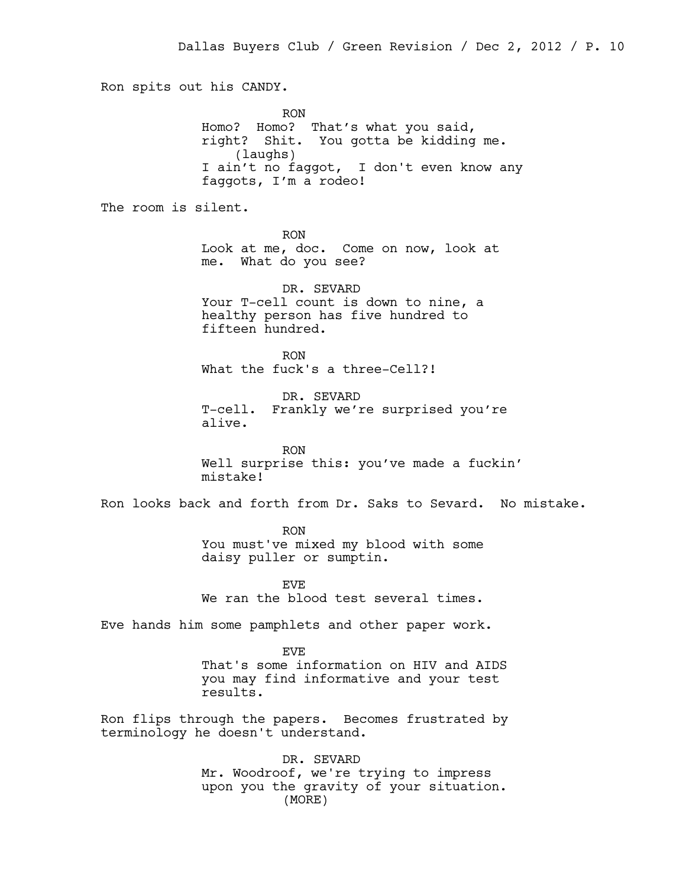Ron spits out his CANDY. RON Homo? Homo? That's what you said, right? Shit. You gotta be kidding me. (laughs) I ain't no faggot, I don't even know any faggots, I'm a rodeo! The room is silent. RON Look at me, doc. Come on now, look at me. What do you see? DR. SEVARD Your T-cell count is down to nine, a healthy person has five hundred to fifteen hundred. RON What the fuck's a three-Cell?! DR. SEVARD T-cell. Frankly we're surprised you're alive. RON Well surprise this: you've made a fuckin' mistake! Ron looks back and forth from Dr. Saks to Sevard. No mistake. RON You must've mixed my blood with some daisy puller or sumptin. EVE We ran the blood test several times. Eve hands him some pamphlets and other paper work. EVE That's some information on HIV and AIDS you may find informative and your test results. Ron flips through the papers. Becomes frustrated by terminology he doesn't understand. DR. SEVARD Mr. Woodroof, we're trying to impress upon you the gravity of your situation.

(MORE)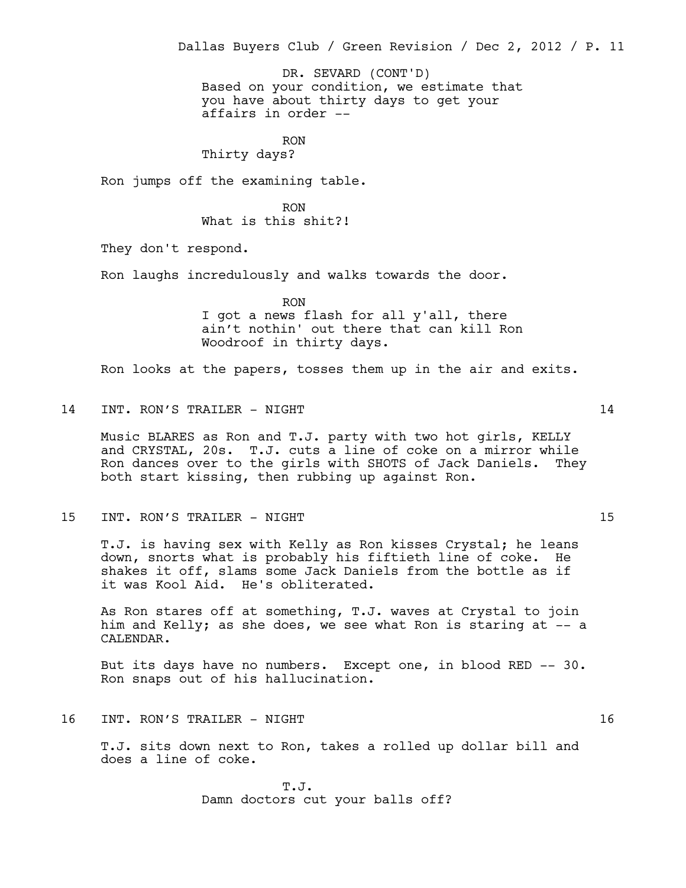Dallas Buyers Club / Green Revision / Dec 2, 2012 / P. 11

Based on your condition, we estimate that you have about thirty days to get your affairs in order -- DR. SEVARD (CONT'D)

RON Thirty days?

Ron jumps off the examining table.

RON What is this shit?!

They don't respond.

Ron laughs incredulously and walks towards the door.

RON

I got a news flash for all y'all, there ain't nothin' out there that can kill Ron Woodroof in thirty days.

Ron looks at the papers, tosses them up in the air and exits.

14 INT. RON'S TRAILER - NIGHT 14

Music BLARES as Ron and T.J. party with two hot girls, KELLY and CRYSTAL, 20s. T.J. cuts a line of coke on a mirror while Ron dances over to the girls with SHOTS of Jack Daniels. They both start kissing, then rubbing up against Ron.

15 INT. RON'S TRAILER - NIGHT 15 15

T.J. is having sex with Kelly as Ron kisses Crystal; he leans down, snorts what is probably his fiftieth line of coke. He shakes it off, slams some Jack Daniels from the bottle as if it was Kool Aid. He's obliterated.

As Ron stares off at something, T.J. waves at Crystal to join him and Kelly; as she does, we see what Ron is staring at -- a CALENDAR.

But its days have no numbers. Except one, in blood RED -- 30. Ron snaps out of his hallucination.

16 INT. RON'S TRAILER - NIGHT 16

T.J. sits down next to Ron, takes a rolled up dollar bill and does a line of coke.

> T.J. Damn doctors cut your balls off?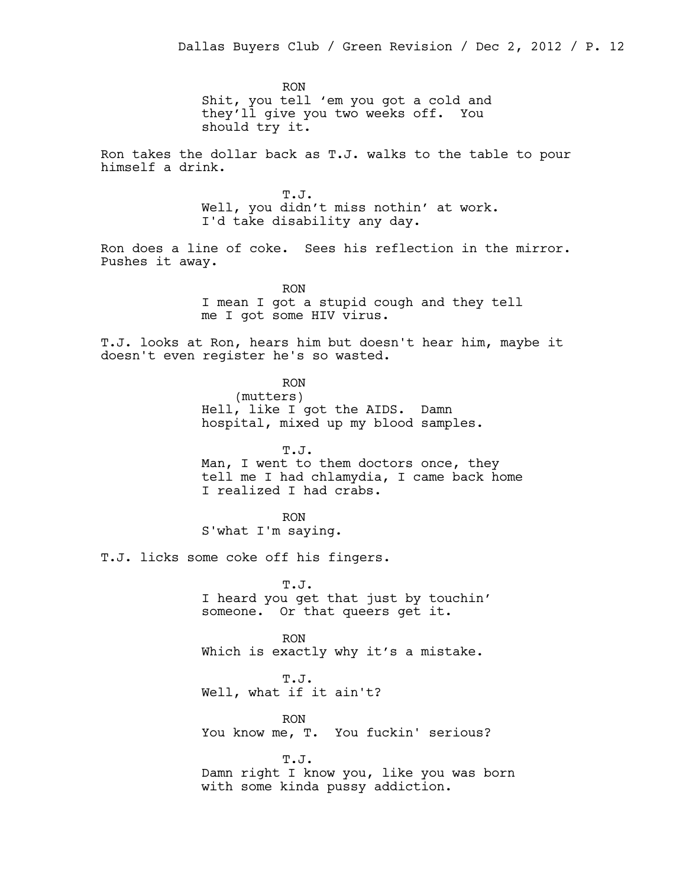RON Shit, you tell 'em you got a cold and they'll give you two weeks off. You should try it.

Ron takes the dollar back as T.J. walks to the table to pour himself a drink.

> T.J. Well, you didn't miss nothin' at work. I'd take disability any day.

Ron does a line of coke. Sees his reflection in the mirror. Pushes it away.

> RON I mean I got a stupid cough and they tell me I got some HIV virus.

T.J. looks at Ron, hears him but doesn't hear him, maybe it doesn't even register he's so wasted.

> RON (mutters) Hell, like I got the AIDS. Damn hospital, mixed up my blood samples.

T.J. Man, I went to them doctors once, they tell me I had chlamydia, I came back home I realized I had crabs.

RON S'what I'm saying.

T.J. licks some coke off his fingers.

T.J. I heard you get that just by touchin' someone. Or that queers get it.

RON Which is exactly why it's a mistake.

T.J. Well, what if it ain't?

RON You know me, T. You fuckin' serious?

T.J. Damn right I know you, like you was born with some kinda pussy addiction.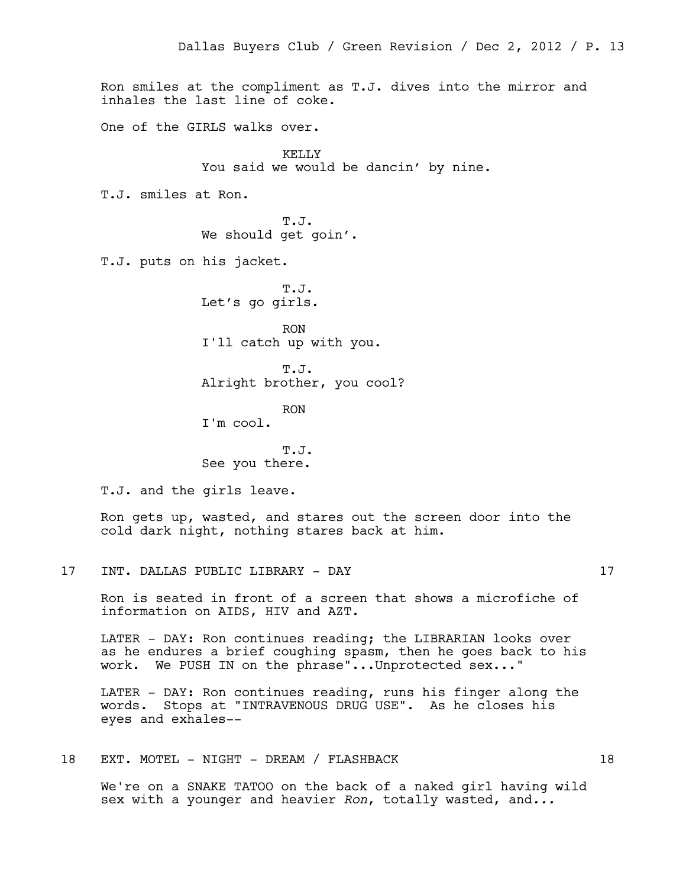Ron smiles at the compliment as T.J. dives into the mirror and inhales the last line of coke. One of the GIRLS walks over. KELLY You said we would be dancin' by nine. T.J. smiles at Ron. T.J. We should get goin'. T.J. puts on his jacket. T.J. Let's go girls. RON I'll catch up with you. T.J. Alright brother, you cool? RON

I'm cool.

T.J. See you there.

T.J. and the girls leave.

Ron gets up, wasted, and stares out the screen door into the cold dark night, nothing stares back at him.

17 INT. DALLAS PUBLIC LIBRARY - DAY 17

Ron is seated in front of a screen that shows a microfiche of information on AIDS, HIV and AZT.

LATER - DAY: Ron continues reading; the LIBRARIAN looks over as he endures a brief coughing spasm, then he goes back to his work. We PUSH IN on the phrase"...Unprotected sex..."

LATER - DAY: Ron continues reading, runs his finger along the words. Stops at "INTRAVENOUS DRUG USE". As he closes his eyes and exhales--

18 EXT. MOTEL - NIGHT - DREAM / FLASHBACK 18

We're on a SNAKE TATOO on the back of a naked girl having wild sex with a younger and heavier *Ron*, totally wasted, and*...*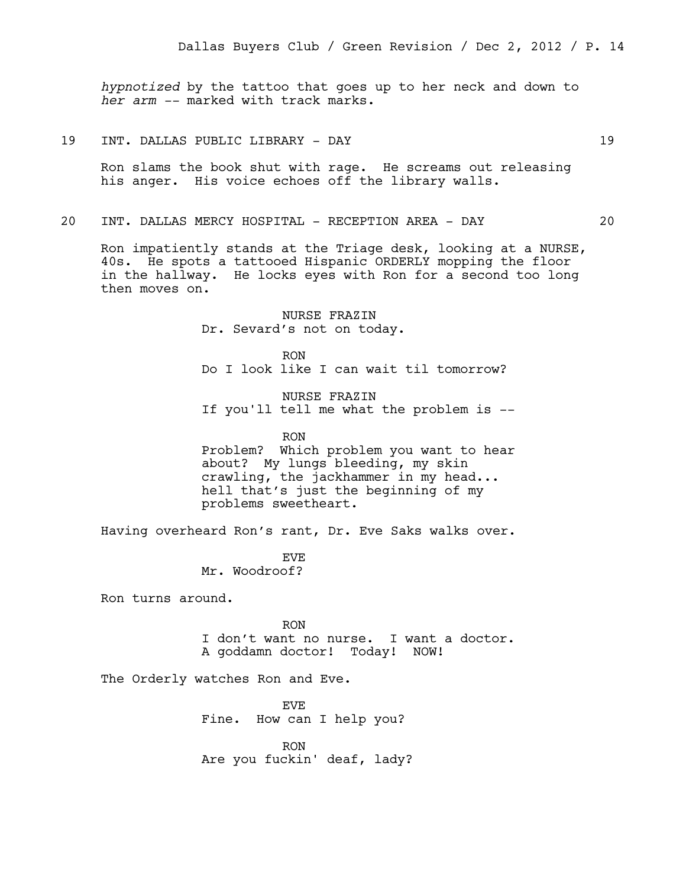*hypnotized* by the tattoo that goes up to her neck and down to *her arm --* marked with track marks.

19 INT. DALLAS PUBLIC LIBRARY - DAY 19

Ron slams the book shut with rage. He screams out releasing his anger. His voice echoes off the library walls.

### 20 INT. DALLAS MERCY HOSPITAL - RECEPTION AREA - DAY 20

Ron impatiently stands at the Triage desk, looking at a NURSE, 40s. He spots a tattooed Hispanic ORDERLY mopping the floor in the hallway. He locks eyes with Ron for a second too long then moves on.

> NURSE FRAZIN Dr. Sevard's not on today.

RON Do I look like I can wait til tomorrow?

NURSE FRAZIN If you'll tell me what the problem is --

RON Problem? Which problem you want to hear about? My lungs bleeding, my skin crawling, the jackhammer in my head... hell that's just the beginning of my problems sweetheart.

Having overheard Ron's rant, Dr. Eve Saks walks over.

EVE Mr. Woodroof?

Ron turns around.

RON I don't want no nurse. I want a doctor. A goddamn doctor! Today! NOW!

The Orderly watches Ron and Eve.

EVE Fine. How can I help you?

RON Are you fuckin' deaf, lady?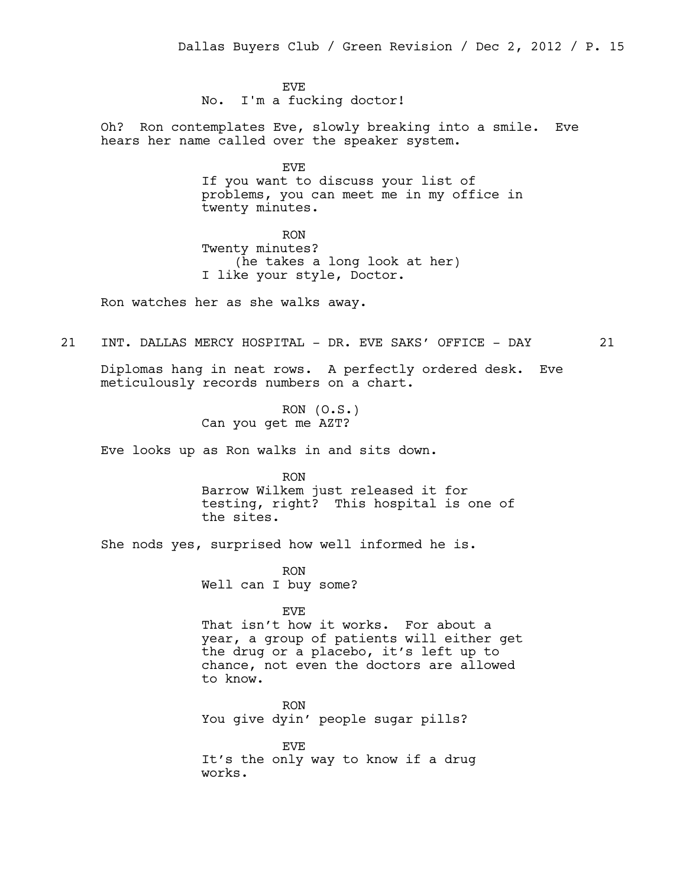EVE No. I'm a fucking doctor!

Oh? Ron contemplates Eve, slowly breaking into a smile. Eve hears her name called over the speaker system.

> EVE If you want to discuss your list of problems, you can meet me in my office in twenty minutes.

RON Twenty minutes? (he takes a long look at her) I like your style, Doctor.

Ron watches her as she walks away.

21 INT. DALLAS MERCY HOSPITAL - DR. EVE SAKS' OFFICE - DAY 21

Diplomas hang in neat rows. A perfectly ordered desk. Eve meticulously records numbers on a chart.

> RON  $(0.S.)$ Can you get me AZT?

Eve looks up as Ron walks in and sits down.

RON Barrow Wilkem just released it for testing, right? This hospital is one of the sites.

She nods yes, surprised how well informed he is.

RON Well can I buy some?

EVE

That isn't how it works. For about a year, a group of patients will either get the drug or a placebo, it's left up to chance, not even the doctors are allowed to know.

RON You give dyin' people sugar pills?

EVE It's the only way to know if a drug works.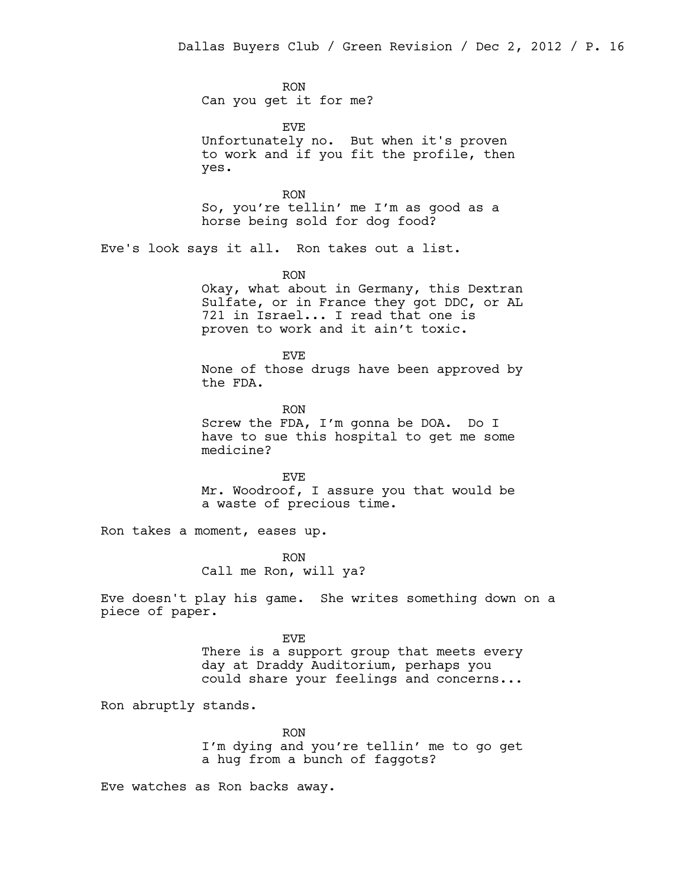RON Can you get it for me?

EVE Unfortunately no. But when it's proven to work and if you fit the profile, then yes.

RON So, you're tellin' me I'm as good as a horse being sold for dog food?

Eve's look says it all. Ron takes out a list.

RON

Okay, what about in Germany, this Dextran Sulfate, or in France they got DDC, or AL 721 in Israel... I read that one is proven to work and it ain't toxic.

EVE None of those drugs have been approved by the FDA.

RON Screw the FDA, I'm gonna be DOA. Do I have to sue this hospital to get me some medicine?

EVE Mr. Woodroof, I assure you that would be a waste of precious time.

Ron takes a moment, eases up.

RON Call me Ron, will ya?

Eve doesn't play his game. She writes something down on a piece of paper.

> EVE There is a support group that meets every day at Draddy Auditorium, perhaps you could share your feelings and concerns...

Ron abruptly stands.

RON I'm dying and you're tellin' me to go get a hug from a bunch of faggots?

Eve watches as Ron backs away.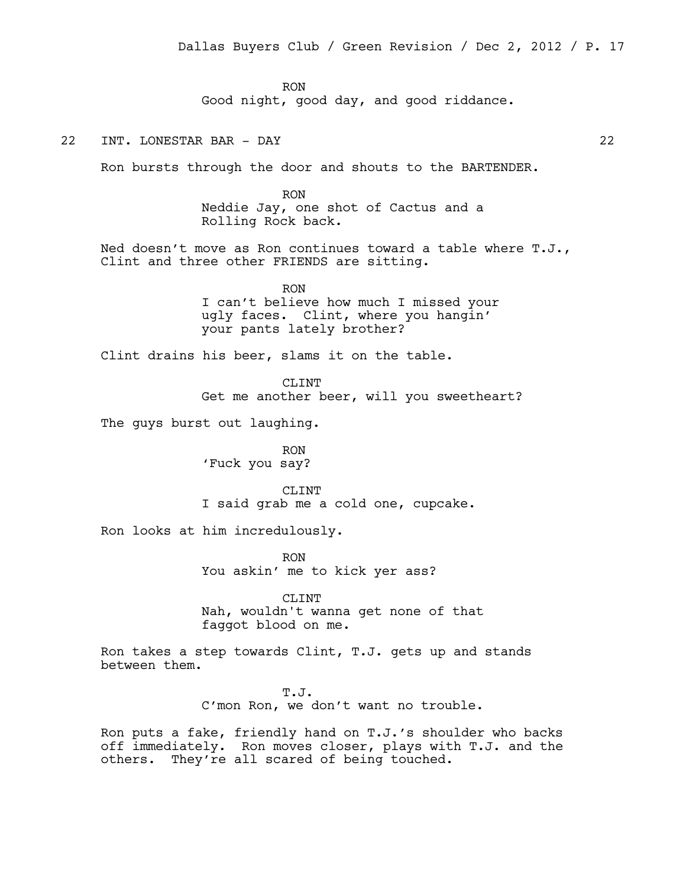RON Good night, good day, and good riddance.

22 INT. LONESTAR BAR - DAY 22

Ron bursts through the door and shouts to the BARTENDER.

RON Neddie Jay, one shot of Cactus and a Rolling Rock back.

Ned doesn't move as Ron continues toward a table where T.J., Clint and three other FRIENDS are sitting.

> RON I can't believe how much I missed your ugly faces. Clint, where you hangin' your pants lately brother?

Clint drains his beer, slams it on the table.

CLTNT

Get me another beer, will you sweetheart?

The guys burst out laughing.

RON 'Fuck you say?

CLINT I said grab me a cold one, cupcake.

Ron looks at him incredulously.

RON You askin' me to kick yer ass?

CLINT Nah, wouldn't wanna get none of that faggot blood on me.

Ron takes a step towards Clint, T.J. gets up and stands between them.

> T.J. C'mon Ron, we don't want no trouble.

Ron puts a fake, friendly hand on T.J.'s shoulder who backs off immediately. Ron moves closer, plays with T.J. and the others. They're all scared of being touched.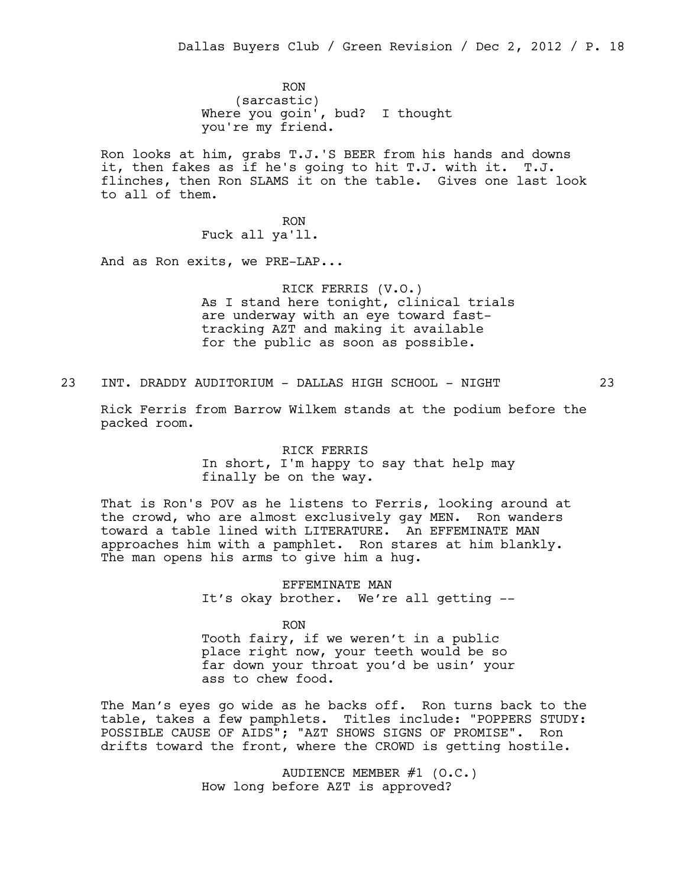RON (sarcastic) Where you goin', bud? I thought you're my friend.

Ron looks at him, grabs T.J.'S BEER from his hands and downs it, then fakes as if he's going to hit T.J. with it. T.J. flinches, then Ron SLAMS it on the table. Gives one last look to all of them.

> RON Fuck all ya'll.

And as Ron exits, we PRE-LAP...

RICK FERRIS (V.O.) As I stand here tonight, clinical trials are underway with an eye toward fasttracking AZT and making it available for the public as soon as possible.

23 INT. DRADDY AUDITORIUM - DALLAS HIGH SCHOOL - NIGHT 23

Rick Ferris from Barrow Wilkem stands at the podium before the packed room.

> RICK FERRIS In short, I'm happy to say that help may finally be on the way.

That is Ron's POV as he listens to Ferris, looking around at the crowd, who are almost exclusively gay MEN. Ron wanders toward a table lined with LITERATURE. An EFFEMINATE MAN approaches him with a pamphlet. Ron stares at him blankly. The man opens his arms to give him a hug.

> EFFEMINATE MAN It's okay brother. We're all getting --

> > RON

Tooth fairy, if we weren't in a public place right now, your teeth would be so far down your throat you'd be usin' your ass to chew food.

The Man's eyes go wide as he backs off. Ron turns back to the table, takes a few pamphlets. Titles include: "POPPERS STUDY: POSSIBLE CAUSE OF AIDS"; "AZT SHOWS SIGNS OF PROMISE". Ron drifts toward the front, where the CROWD is getting hostile.

> AUDIENCE MEMBER #1 (O.C.) How long before AZT is approved?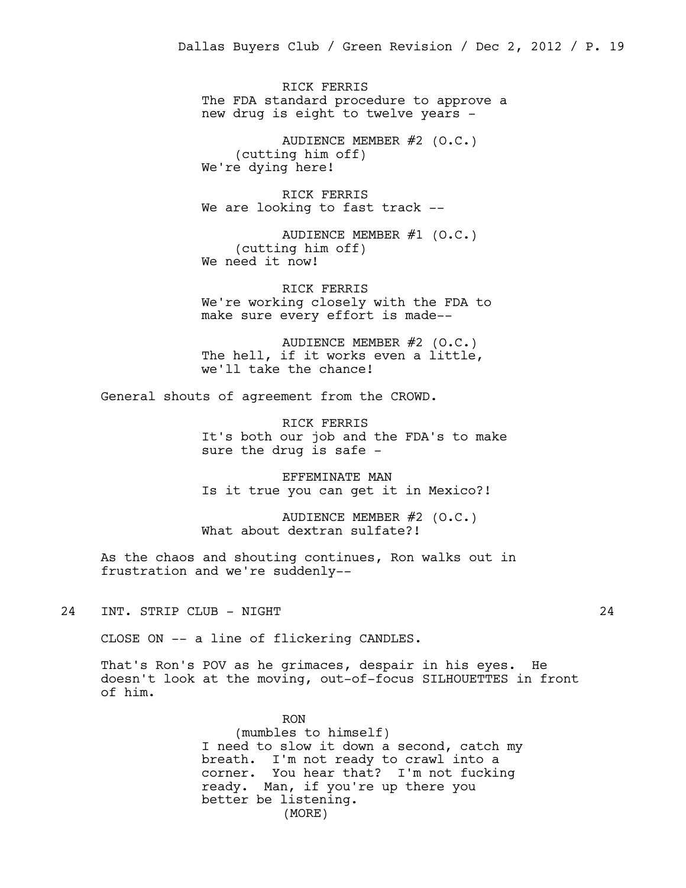RICK FERRIS The FDA standard procedure to approve a new drug is eight to twelve years -

AUDIENCE MEMBER #2 (O.C.) (cutting him off) We're dying here!

RICK FERRIS We are looking to fast track --

AUDIENCE MEMBER #1 (O.C.) (cutting him off) We need it now!

RICK FERRIS We're working closely with the FDA to make sure every effort is made--

AUDIENCE MEMBER #2 (O.C.) The hell, if it works even a little, we'll take the chance!

General shouts of agreement from the CROWD.

RICK FERRIS It's both our job and the FDA's to make sure the drug is safe -

EFFEMINATE MAN Is it true you can get it in Mexico?!

AUDIENCE MEMBER #2 (O.C.) What about dextran sulfate?!

As the chaos and shouting continues, Ron walks out in frustration and we're suddenly--

24 INT. STRIP CLUB - NIGHT 24

CLOSE ON -- a line of flickering CANDLES.

That's Ron's POV as he grimaces, despair in his eyes. He doesn't look at the moving, out-of-focus SILHOUETTES in front of him.

> RON (mumbles to himself) I need to slow it down a second, catch my breath. I'm not ready to crawl into a corner. You hear that? I'm not fucking ready. Man, if you're up there you better be listening. (MORE)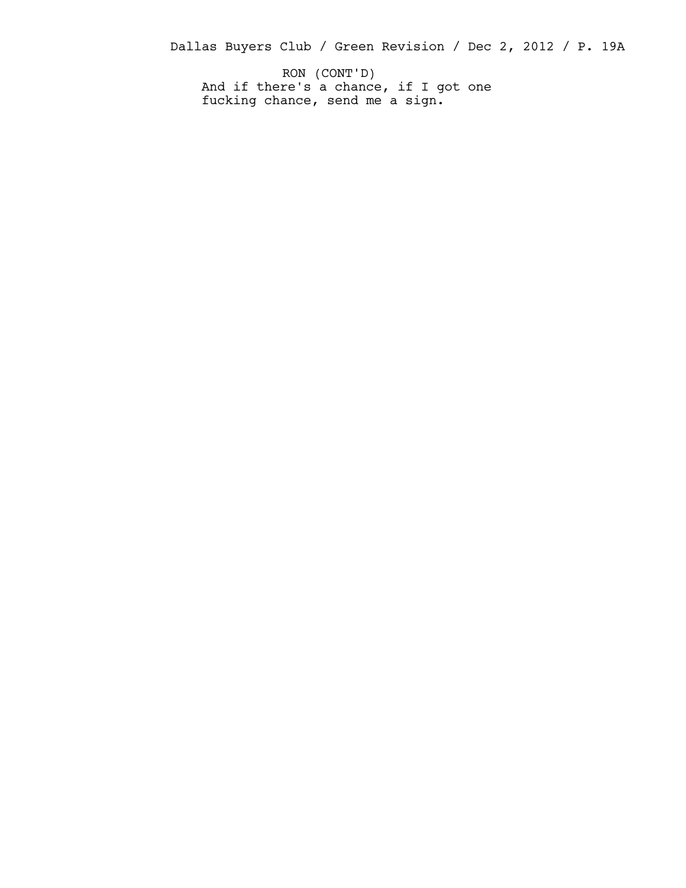Dallas Buyers Club / Green Revision / Dec 2, 2012 / P. 19A

And if there's a chance, if I got one fucking chance, send me a sign. RON (CONT'D)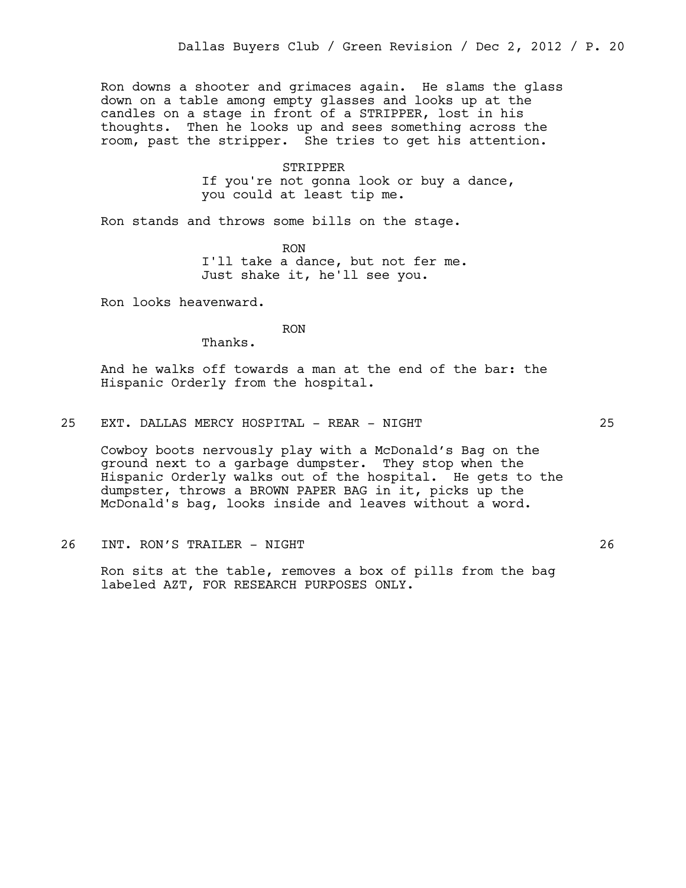Ron downs a shooter and grimaces again. He slams the glass down on a table among empty glasses and looks up at the candles on a stage in front of a STRIPPER, lost in his thoughts. Then he looks up and sees something across the room, past the stripper. She tries to get his attention.

#### STRIPPER

If you're not gonna look or buy a dance, you could at least tip me.

Ron stands and throws some bills on the stage.

RON I'll take a dance, but not fer me. Just shake it, he'll see you.

Ron looks heavenward.

RON

Thanks.

And he walks off towards a man at the end of the bar: the Hispanic Orderly from the hospital.

25 EXT. DALLAS MERCY HOSPITAL - REAR - NIGHT 25

Cowboy boots nervously play with a McDonald's Bag on the ground next to a garbage dumpster. They stop when the Hispanic Orderly walks out of the hospital. He gets to the dumpster, throws a BROWN PAPER BAG in it, picks up the McDonald's bag, looks inside and leaves without a word.

26 INT. RON'S TRAILER - NIGHT 26

Ron sits at the table, removes a box of pills from the bag labeled AZT, FOR RESEARCH PURPOSES ONLY.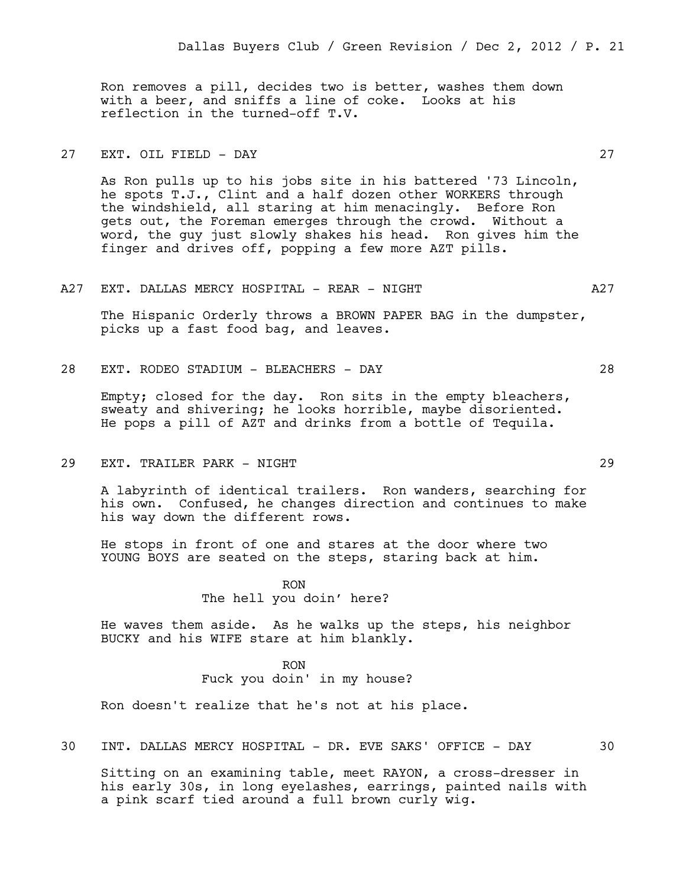Ron removes a pill, decides two is better, washes them down with a beer, and sniffs a line of coke. Looks at his reflection in the turned-off T.V.

# 27 EXT. OIL FIELD - DAY 27

As Ron pulls up to his jobs site in his battered '73 Lincoln, he spots T.J., Clint and a half dozen other WORKERS through the windshield, all staring at him menacingly. Before Ron gets out, the Foreman emerges through the crowd. Without a word, the guy just slowly shakes his head. Ron gives him the finger and drives off, popping a few more AZT pills.

#### A27 EXT. DALLAS MERCY HOSPITAL - REAR - NIGHT A27

The Hispanic Orderly throws a BROWN PAPER BAG in the dumpster, picks up a fast food bag, and leaves.

28 EXT. RODEO STADIUM - BLEACHERS - DAY 28

Empty; closed for the day. Ron sits in the empty bleachers, sweaty and shivering; he looks horrible, maybe disoriented. He pops a pill of AZT and drinks from a bottle of Tequila.

29 EXT. TRAILER PARK - NIGHT 29

A labyrinth of identical trailers. Ron wanders, searching for his own. Confused, he changes direction and continues to make his way down the different rows.

He stops in front of one and stares at the door where two YOUNG BOYS are seated on the steps, staring back at him.

> RON The hell you doin' here?

He waves them aside. As he walks up the steps, his neighbor BUCKY and his WIFE stare at him blankly.

> RON Fuck you doin' in my house?

Ron doesn't realize that he's not at his place.

30 INT. DALLAS MERCY HOSPITAL - DR. EVE SAKS' OFFICE - DAY 30

Sitting on an examining table, meet RAYON, a cross-dresser in his early 30s, in long eyelashes, earrings, painted nails with a pink scarf tied around a full brown curly wig.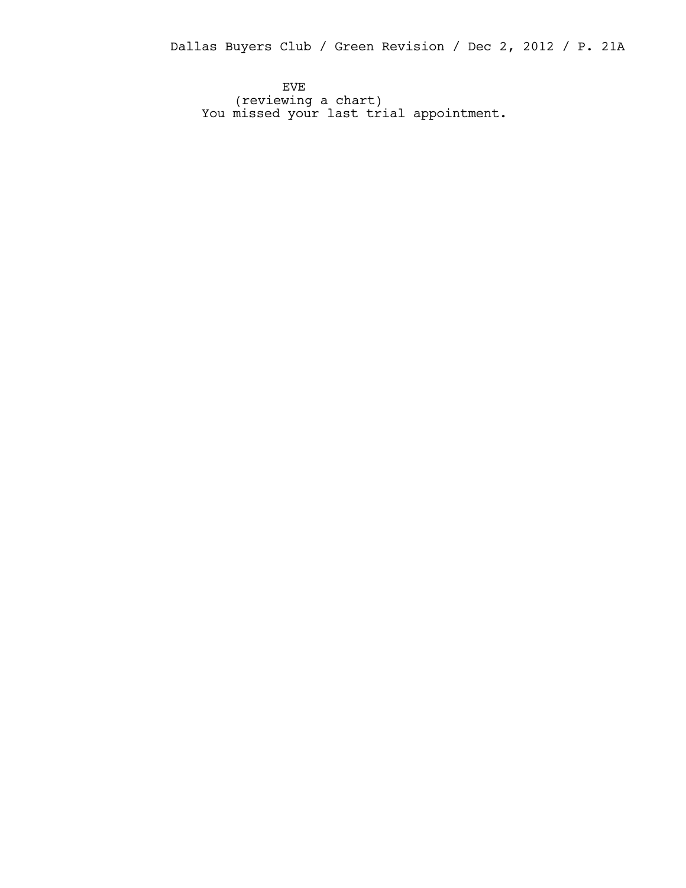Dallas Buyers Club / Green Revision / Dec 2, 2012 / P. 21A

EVE (reviewing a chart) You missed your last trial appointment.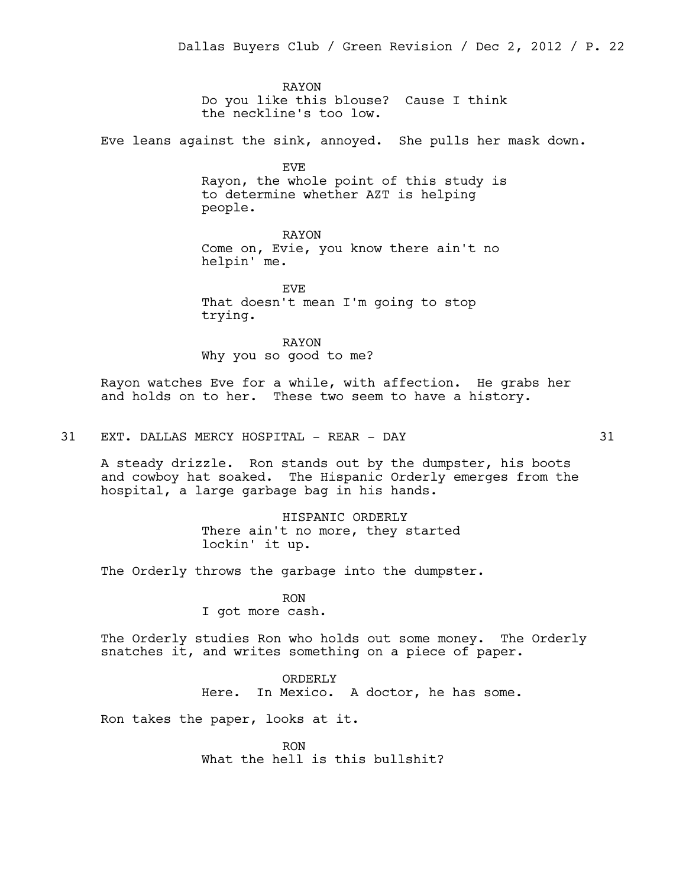RAYON Do you like this blouse? Cause I think the neckline's too low.

Eve leans against the sink, annoyed. She pulls her mask down.

EVE Rayon, the whole point of this study is to determine whether AZT is helping people.

RAYON Come on, Evie, you know there ain't no helpin' me.

EVE That doesn't mean I'm going to stop trying.

RAYON Why you so good to me?

Rayon watches Eve for a while, with affection. He grabs her and holds on to her. These two seem to have a history.

31 EXT. DALLAS MERCY HOSPITAL - REAR - DAY 31

A steady drizzle. Ron stands out by the dumpster, his boots and cowboy hat soaked. The Hispanic Orderly emerges from the hospital, a large garbage bag in his hands.

> HISPANIC ORDERLY There ain't no more, they started lockin' it up.

The Orderly throws the garbage into the dumpster.

RON I got more cash.

The Orderly studies Ron who holds out some money. The Orderly snatches it, and writes something on a piece of paper.

> ORDERLY Here. In Mexico. A doctor, he has some.

Ron takes the paper, looks at it.

RON What the hell is this bullshit?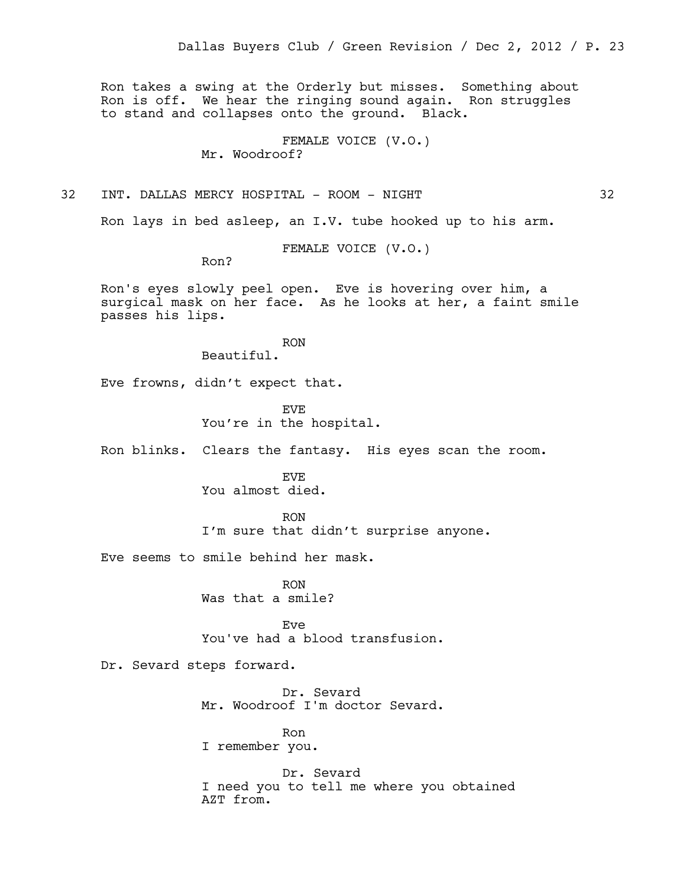Ron takes a swing at the Orderly but misses. Something about Ron is off. We hear the ringing sound again. Ron struggles to stand and collapses onto the ground. Black.

> FEMALE VOICE (V.O.) Mr. Woodroof?

32 INT. DALLAS MERCY HOSPITAL - ROOM - NIGHT 32

Ron lays in bed asleep, an I.V. tube hooked up to his arm.

FEMALE VOICE (V.O.)

Ron?

Ron's eyes slowly peel open. Eve is hovering over him, a surgical mask on her face. As he looks at her, a faint smile passes his lips.

> RON Beautiful.

Eve frowns, didn't expect that.

EVE You're in the hospital.

Ron blinks. Clears the fantasy. His eyes scan the room.

EVE You almost died.

RON I'm sure that didn't surprise anyone.

Eve seems to smile behind her mask.

RON Was that a smile?

Eve You've had a blood transfusion.

Dr. Sevard steps forward.

Dr. Sevard Mr. Woodroof I'm doctor Sevard.

Ron I remember you.

Dr. Sevard I need you to tell me where you obtained AZT from.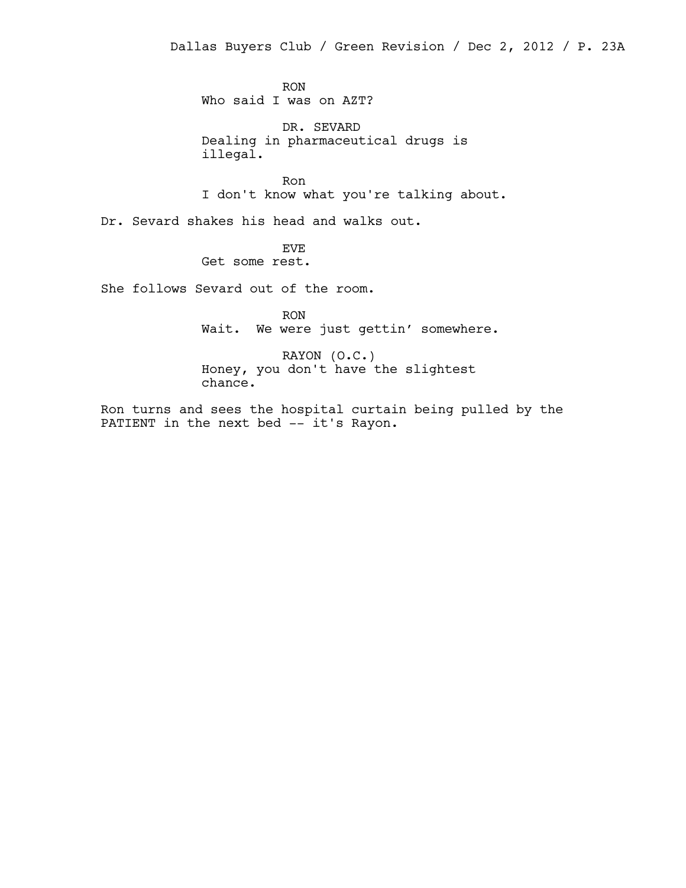RON Who said I was on AZT?

DR. SEVARD Dealing in pharmaceutical drugs is illegal.

Ron I don't know what you're talking about.

Dr. Sevard shakes his head and walks out.

EVE Get some rest.

She follows Sevard out of the room.

RON Wait. We were just gettin' somewhere.

RAYON (O.C.) Honey, you don't have the slightest chance.

Ron turns and sees the hospital curtain being pulled by the PATIENT in the next bed -- it's Rayon.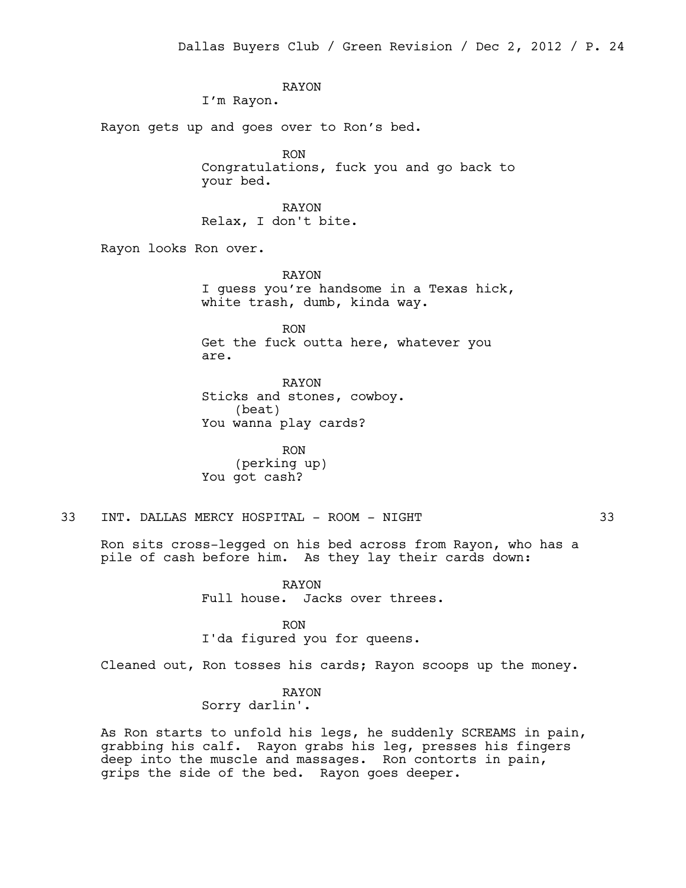RAYON I'm Rayon. Rayon gets up and goes over to Ron's bed. RON Congratulations, fuck you and go back to your bed. RAYON Relax, I don't bite. Rayon looks Ron over. RAYON I guess you're handsome in a Texas hick, white trash, dumb, kinda way.

> RON Get the fuck outta here, whatever you are.

RAYON Sticks and stones, cowboy. (beat) You wanna play cards?

RON (perking up) You got cash?

33 INT. DALLAS MERCY HOSPITAL - ROOM - NIGHT 33

Ron sits cross-legged on his bed across from Rayon, who has a pile of cash before him. As they lay their cards down:

> RAYON Full house. Jacks over threes.

RON I'da figured you for queens.

Cleaned out, Ron tosses his cards; Rayon scoops up the money.

RAYON Sorry darlin'.

As Ron starts to unfold his legs, he suddenly SCREAMS in pain, grabbing his calf. Rayon grabs his leg, presses his fingers deep into the muscle and massages. Ron contorts in pain, grips the side of the bed. Rayon goes deeper.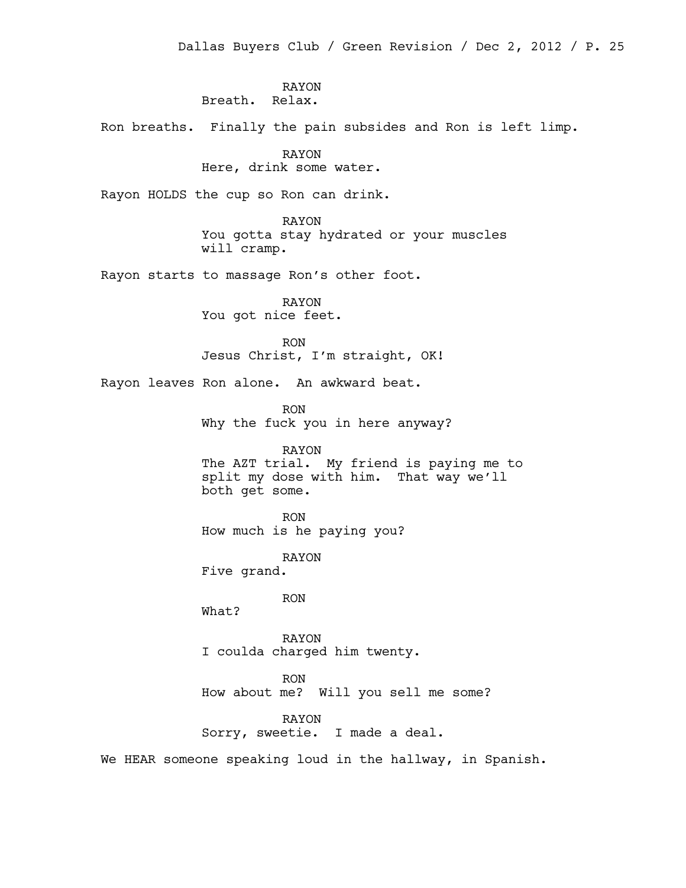# RAYON Breath. Relax.

Ron breaths. Finally the pain subsides and Ron is left limp.

### RAYON

# Here, drink some water.

Rayon HOLDS the cup so Ron can drink.

RAYON You gotta stay hydrated or your muscles will cramp.

Rayon starts to massage Ron's other foot.

RAYON You got nice feet.

RON Jesus Christ, I'm straight, OK!

Rayon leaves Ron alone. An awkward beat.

RON Why the fuck you in here anyway?

RAYON The AZT trial. My friend is paying me to split my dose with him. That way we'll both get some.

RON How much is he paying you?

RAYON Five grand.

RON

What?

RAYON I coulda charged him twenty.

RON

How about me? Will you sell me some?

RAYON

Sorry, sweetie. I made a deal.

We HEAR someone speaking loud in the hallway, in Spanish.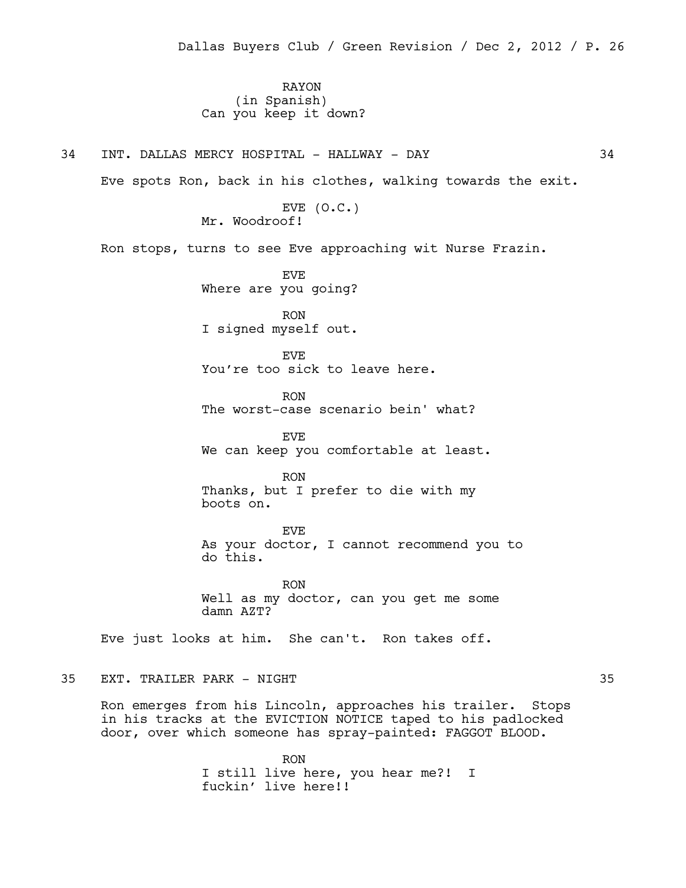RAYON (in Spanish) Can you keep it down?

34 INT. DALLAS MERCY HOSPITAL - HALLWAY - DAY 34

Eve spots Ron, back in his clothes, walking towards the exit.

EVE  $(0.C.)$ Mr. Woodroof!

Ron stops, turns to see Eve approaching wit Nurse Frazin.

EVE Where are you going?

RON I signed myself out.

EVE You're too sick to leave here.

RON The worst-case scenario bein' what?

EVE We can keep you comfortable at least.

RON Thanks, but I prefer to die with my boots on.

EVE As your doctor, I cannot recommend you to do this.

RON Well as my doctor, can you get me some damn AZT?

Eve just looks at him. She can't. Ron takes off.

# 35 EXT. TRAILER PARK - NIGHT 35

Ron emerges from his Lincoln, approaches his trailer. Stops in his tracks at the EVICTION NOTICE taped to his padlocked door, over which someone has spray-painted: FAGGOT BLOOD.

> RON I still live here, you hear me?! I fuckin' live here!!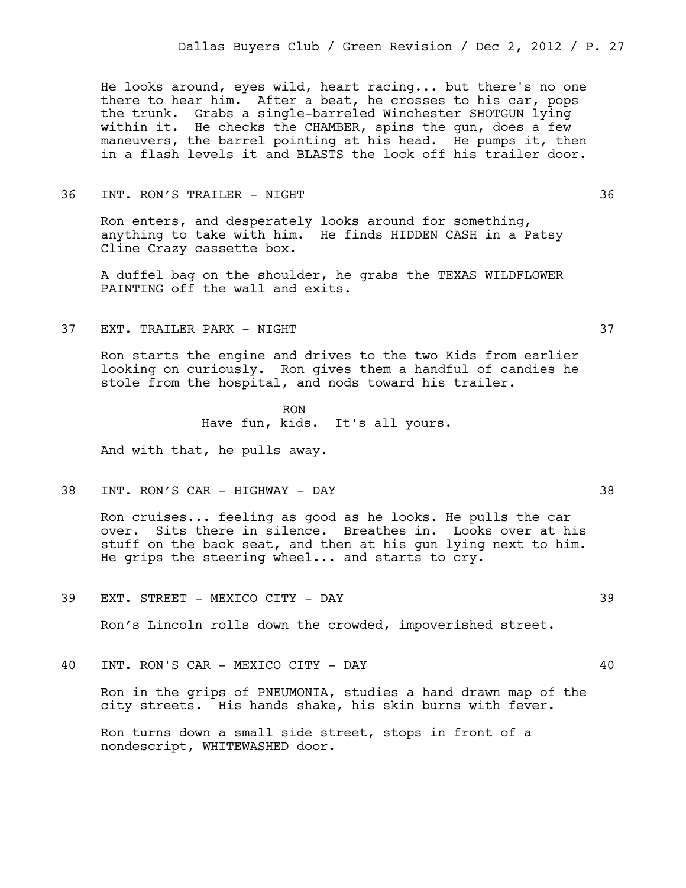He looks around, eyes wild, heart racing... but there's no one there to hear him. After a beat, he crosses to his car, pops the trunk. Grabs a single-barreled Winchester SHOTGUN lying within it. He checks the CHAMBER, spins the gun, does a few maneuvers, the barrel pointing at his head. He pumps it, then in a flash levels it and BLASTS the lock off his trailer door.

#### 36 INT. RON'S TRAILER - NIGHT 36

Ron enters, and desperately looks around for something, anything to take with him. He finds HIDDEN CASH in a Patsy Cline Crazy cassette box.

A duffel bag on the shoulder, he grabs the TEXAS WILDFLOWER PAINTING off the wall and exits.

37 EXT. TRAILER PARK - NIGHT 37

Ron starts the engine and drives to the two Kids from earlier looking on curiously. Ron gives them a handful of candies he stole from the hospital, and nods toward his trailer.

> RON Have fun, kids. It's all yours.

And with that, he pulls away.

38 INT. RON'S CAR - HIGHWAY - DAY 38

Ron cruises... feeling as good as he looks. He pulls the car over. Sits there in silence. Breathes in. Looks over at his stuff on the back seat, and then at his gun lying next to him. He grips the steering wheel... and starts to cry.

39 EXT. STREET - MEXICO CITY - DAY 39

Ron's Lincoln rolls down the crowded, impoverished street.

40 INT. RON'S CAR - MEXICO CITY - DAY 40

Ron in the grips of PNEUMONIA, studies a hand drawn map of the city streets. His hands shake, his skin burns with fever.

Ron turns down a small side street, stops in front of a nondescript, WHITEWASHED door.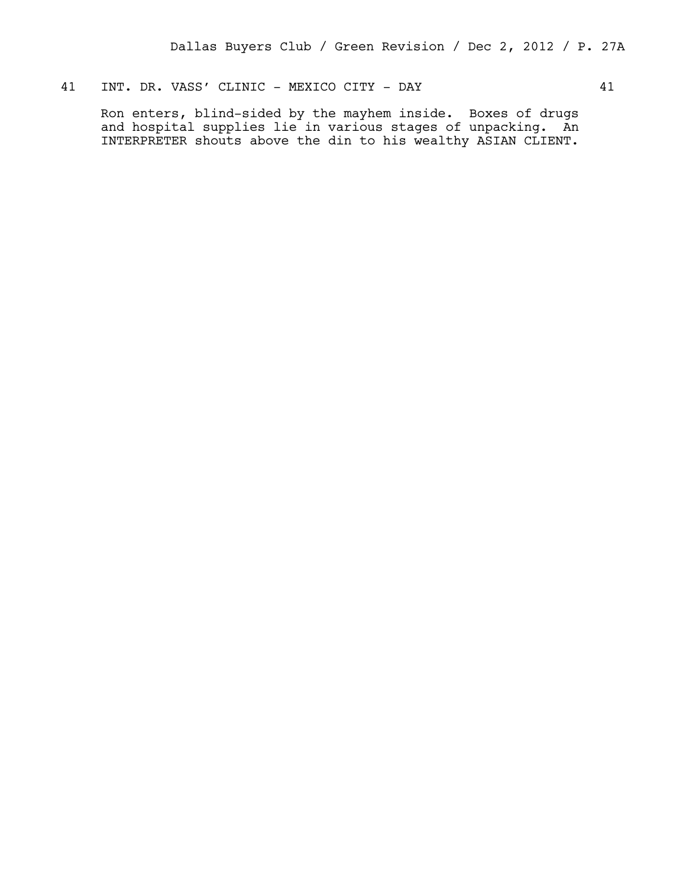# 41 INT. DR. VASS' CLINIC - MEXICO CITY - DAY 41

Ron enters, blind-sided by the mayhem inside. Boxes of drugs and hospital supplies lie in various stages of unpacking. An INTERPRETER shouts above the din to his wealthy ASIAN CLIENT.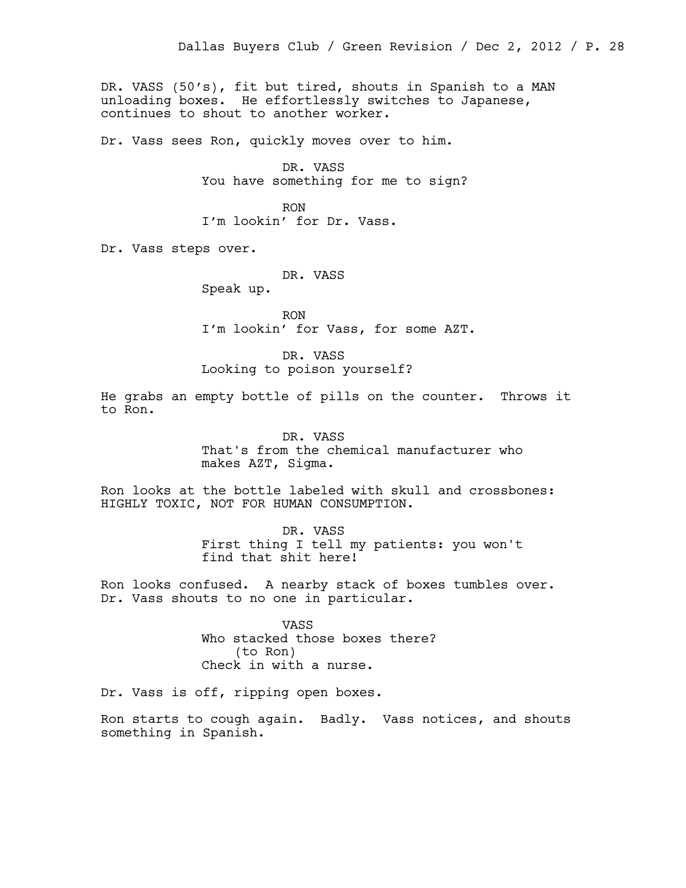DR. VASS (50's), fit but tired, shouts in Spanish to a MAN unloading boxes. He effortlessly switches to Japanese, continues to shout to another worker.

Dr. Vass sees Ron, quickly moves over to him.

DR. VASS You have something for me to sign?

RON I'm lookin' for Dr. Vass.

Dr. Vass steps over.

DR. VASS

Speak up.

RON I'm lookin' for Vass, for some AZT.

DR. VASS Looking to poison yourself?

He grabs an empty bottle of pills on the counter. Throws it to Ron.

> DR. VASS That's from the chemical manufacturer who makes AZT, Sigma.

Ron looks at the bottle labeled with skull and crossbones: HIGHLY TOXIC, NOT FOR HUMAN CONSUMPTION.

> DR. VASS First thing I tell my patients: you won't find that shit here!

Ron looks confused. A nearby stack of boxes tumbles over. Dr. Vass shouts to no one in particular.

> VASS Who stacked those boxes there? (to Ron) Check in with a nurse.

Dr. Vass is off, ripping open boxes.

Ron starts to cough again. Badly. Vass notices, and shouts something in Spanish.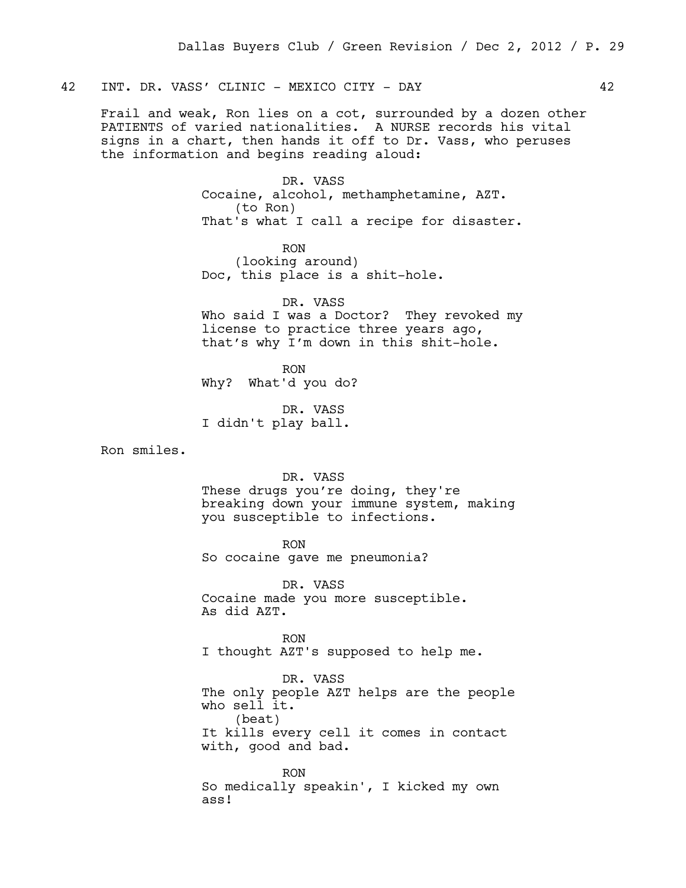# 42 INT. DR. VASS' CLINIC - MEXICO CITY - DAY 42

Frail and weak, Ron lies on a cot, surrounded by a dozen other PATIENTS of varied nationalities. A NURSE records his vital signs in a chart, then hands it off to Dr. Vass, who peruses the information and begins reading aloud:

> DR. VASS Cocaine, alcohol, methamphetamine, AZT. (to Ron) That's what I call a recipe for disaster.

RON (looking around) Doc, this place is a shit-hole.

DR. VASS Who said I was a Doctor? They revoked my license to practice three years ago, that's why I'm down in this shit-hole.

RON Why? What'd you do?

DR. VASS I didn't play ball.

Ron smiles.

DR. VASS

These drugs you're doing, they're breaking down your immune system, making you susceptible to infections.

RON So cocaine gave me pneumonia?

DR. VASS Cocaine made you more susceptible. As did AZT.

RON I thought AZT's supposed to help me.

DR. VASS The only people AZT helps are the people who sell it. (beat) It kills every cell it comes in contact with, good and bad.

RON So medically speakin', I kicked my own ass!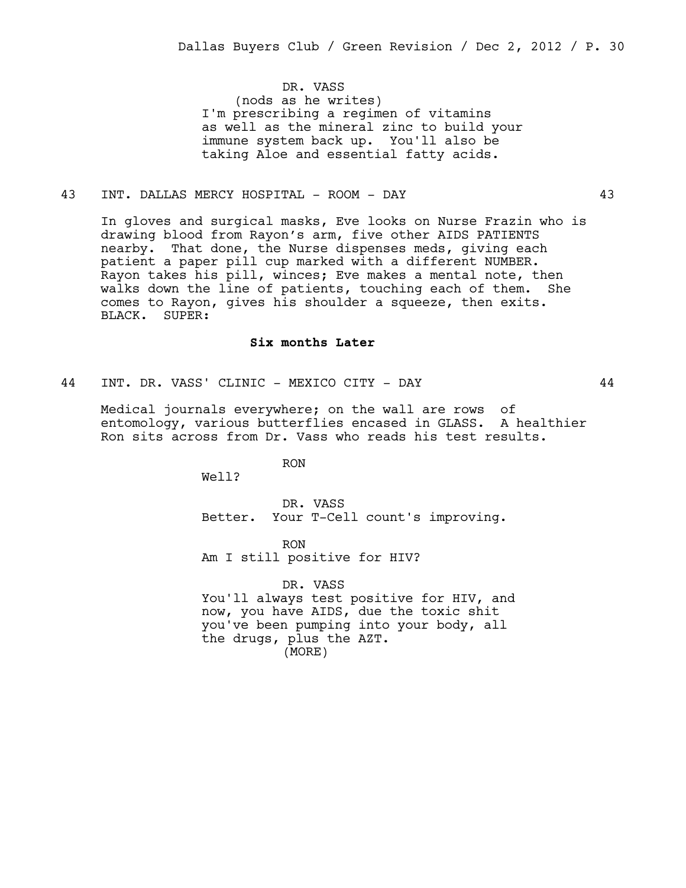DR. VASS (nods as he writes) I'm prescribing a regimen of vitamins as well as the mineral zinc to build your immune system back up. You'll also be taking Aloe and essential fatty acids.

### 43 INT. DALLAS MERCY HOSPITAL - ROOM - DAY 43

In gloves and surgical masks, Eve looks on Nurse Frazin who is drawing blood from Rayon's arm, five other AIDS PATIENTS nearby. That done, the Nurse dispenses meds, giving each patient a paper pill cup marked with a different NUMBER. Rayon takes his pill, winces; Eve makes a mental note, then walks down the line of patients, touching each of them. She comes to Rayon, gives his shoulder a squeeze, then exits. BLACK. SUPER:

#### **Six months Later**

44 INT. DR. VASS' CLINIC - MEXICO CITY - DAY 44

Medical journals everywhere; on the wall are rows of entomology, various butterflies encased in GLASS. A healthier Ron sits across from Dr. Vass who reads his test results.

RON

Well?

DR. VASS Better. Your T-Cell count's improving.

RON Am I still positive for HIV?

DR. VASS You'll always test positive for HIV, and now, you have AIDS, due the toxic shit you've been pumping into your body, all the drugs, plus the AZT. (MORE)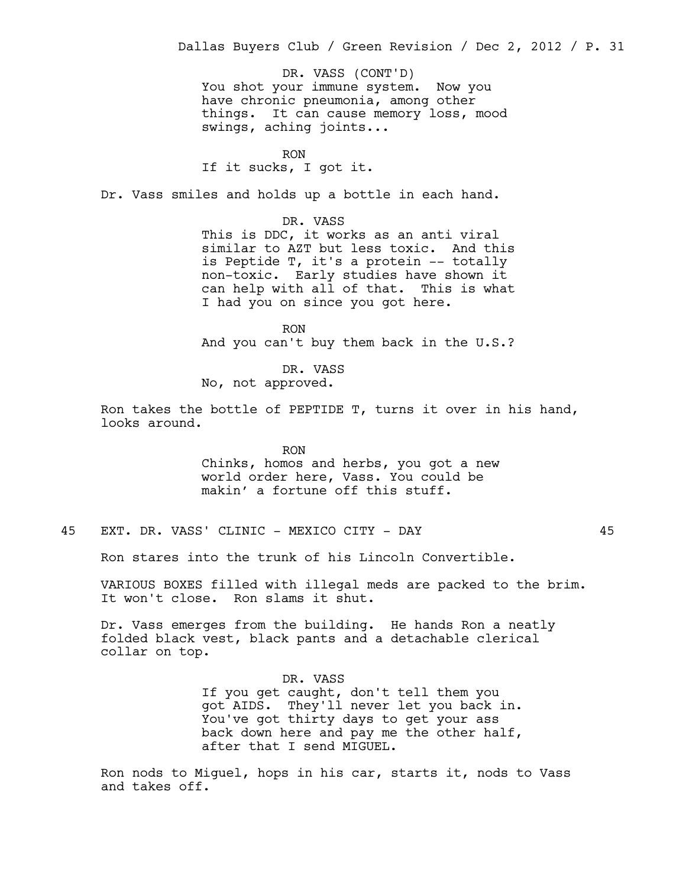You shot your immune system. Now you have chronic pneumonia, among other things. It can cause memory loss, mood swings, aching joints... DR. VASS (CONT'D)

RON

If it sucks, I got it.

Dr. Vass smiles and holds up a bottle in each hand.

DR. VASS This is DDC, it works as an anti viral similar to AZT but less toxic. And this is Peptide T, it's a protein -- totally non-toxic. Early studies have shown it can help with all of that. This is what I had you on since you got here.

RON And you can't buy them back in the U.S.?

DR. VASS No, not approved.

Ron takes the bottle of PEPTIDE T, turns it over in his hand, looks around.

> RON Chinks, homos and herbs, you got a new world order here, Vass. You could be makin' a fortune off this stuff.

45 EXT. DR. VASS' CLINIC - MEXICO CITY - DAY 45

Ron stares into the trunk of his Lincoln Convertible.

VARIOUS BOXES filled with illegal meds are packed to the brim. It won't close. Ron slams it shut.

Dr. Vass emerges from the building. He hands Ron a neatly folded black vest, black pants and a detachable clerical collar on top.

> DR. VASS If you get caught, don't tell them you got AIDS. They'll never let you back in. You've got thirty days to get your ass back down here and pay me the other half, after that I send MIGUEL.

Ron nods to Miguel, hops in his car, starts it, nods to Vass and takes off.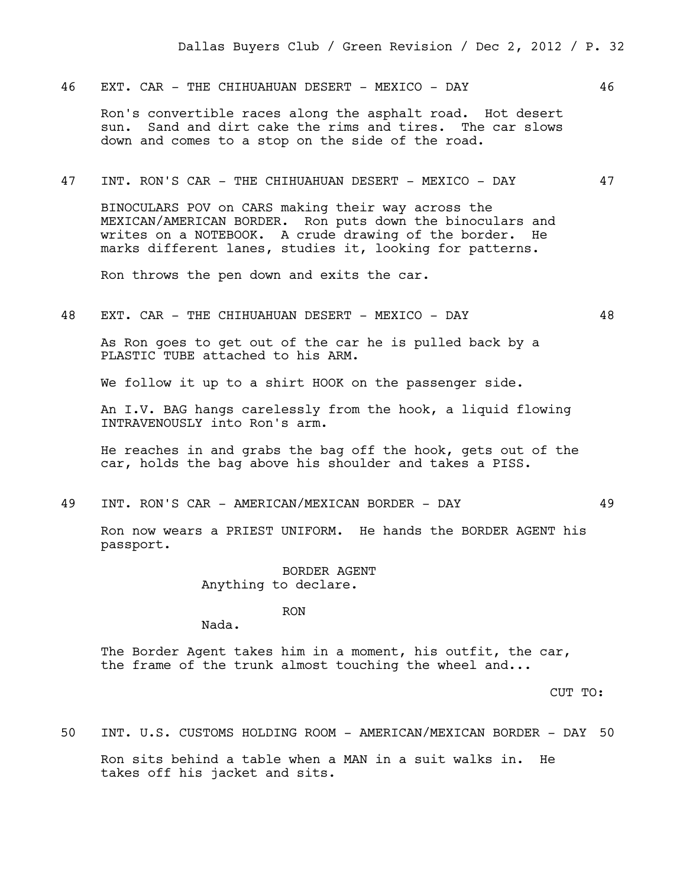46 EXT. CAR - THE CHIHUAHUAN DESERT - MEXICO - DAY  $46$ 

Ron's convertible races along the asphalt road. Hot desert sun. Sand and dirt cake the rims and tires. The car slows down and comes to a stop on the side of the road.

#### 47 INT. RON'S CAR - THE CHIHUAHUAN DESERT - MEXICO - DAY 47

BINOCULARS POV on CARS making their way across the MEXICAN/AMERICAN BORDER. Ron puts down the binoculars and writes on a NOTEBOOK. A crude drawing of the border. He marks different lanes, studies it, looking for patterns.

Ron throws the pen down and exits the car.

48 EXT. CAR - THE CHIHUAHUAN DESERT - MEXICO - DAY 48

As Ron goes to get out of the car he is pulled back by a PLASTIC TUBE attached to his ARM.

We follow it up to a shirt HOOK on the passenger side.

An I.V. BAG hangs carelessly from the hook, a liquid flowing INTRAVENOUSLY into Ron's arm.

He reaches in and grabs the bag off the hook, gets out of the car, holds the bag above his shoulder and takes a PISS.

49 INT. RON'S CAR - AMERICAN/MEXICAN BORDER - DAY 49

Ron now wears a PRIEST UNIFORM. He hands the BORDER AGENT his passport.

> BORDER AGENT Anything to declare.

> > RON

Nada.

The Border Agent takes him in a moment, his outfit, the car, the frame of the trunk almost touching the wheel and...

CUT TO:

50 INT. U.S. CUSTOMS HOLDING ROOM - AMERICAN/MEXICAN BORDER - DAY 50

Ron sits behind a table when a MAN in a suit walks in. He takes off his jacket and sits.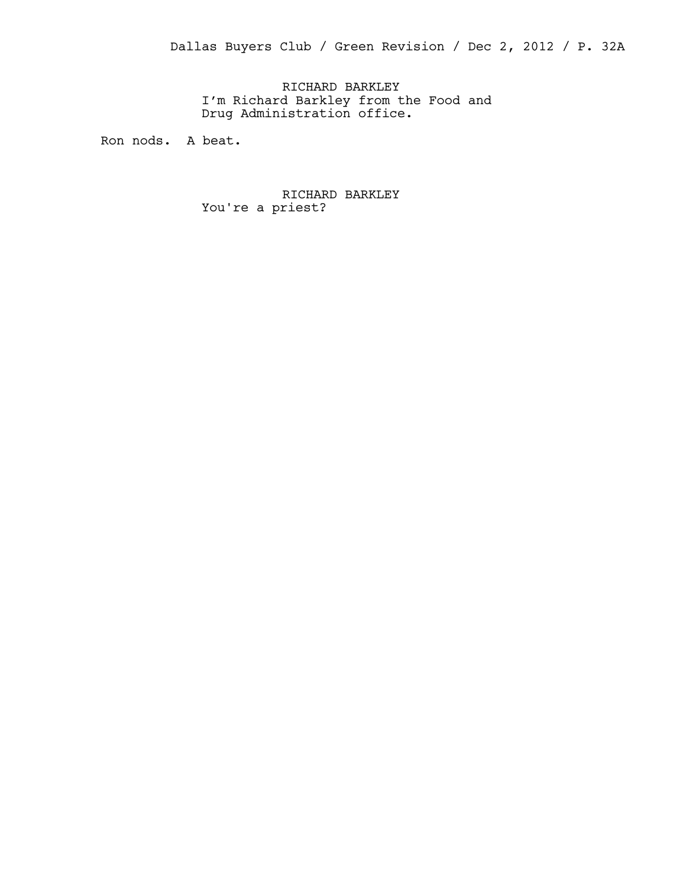Dallas Buyers Club / Green Revision / Dec 2, 2012 / P. 32A

RICHARD BARKLEY I'm Richard Barkley from the Food and Drug Administration office.

Ron nods. A beat.

RICHARD BARKLEY You're a priest?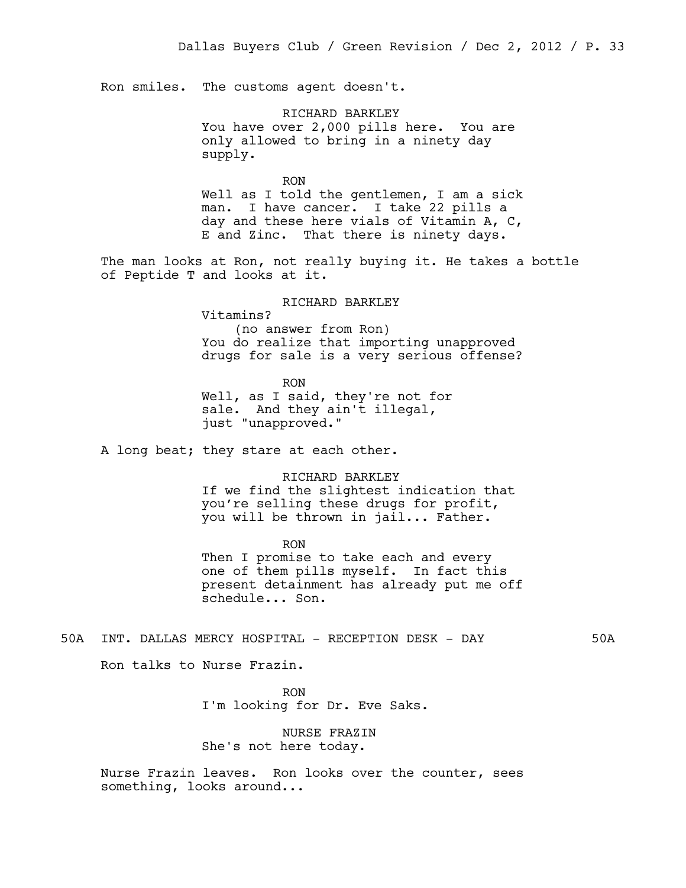Ron smiles. The customs agent doesn't.

RICHARD BARKLEY You have over 2,000 pills here. You are only allowed to bring in a ninety day supply.

RON Well as I told the gentlemen, I am a sick man. I have cancer. I take 22 pills a day and these here vials of Vitamin A, C, E and Zinc. That there is ninety days.

The man looks at Ron, not really buying it. He takes a bottle of Peptide T and looks at it.

> RICHARD BARKLEY Vitamins? (no answer from Ron) You do realize that importing unapproved drugs for sale is a very serious offense?

RON Well, as I said, they're not for sale. And they ain't illegal, just "unapproved."

A long beat; they stare at each other.

RICHARD BARKLEY If we find the slightest indication that you're selling these drugs for profit, you will be thrown in jail... Father.

RON Then I promise to take each and every one of them pills myself. In fact this present detainment has already put me off schedule... Son.

50A INT. DALLAS MERCY HOSPITAL - RECEPTION DESK - DAY 50A

Ron talks to Nurse Frazin.

RON I'm looking for Dr. Eve Saks.

NURSE FRAZIN She's not here today.

Nurse Frazin leaves. Ron looks over the counter, sees something, looks around...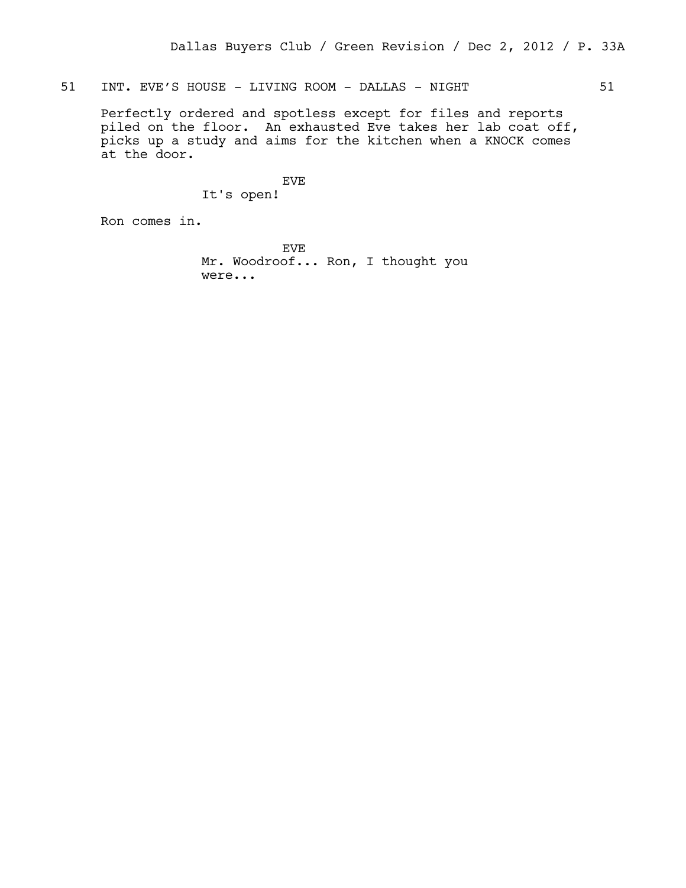51 INT. EVE'S HOUSE - LIVING ROOM - DALLAS - NIGHT 51

Perfectly ordered and spotless except for files and reports piled on the floor. An exhausted Eve takes her lab coat off, picks up a study and aims for the kitchen when a KNOCK comes at the door.

EVE

It's open!

Ron comes in.

EVE Mr. Woodroof... Ron, I thought you were...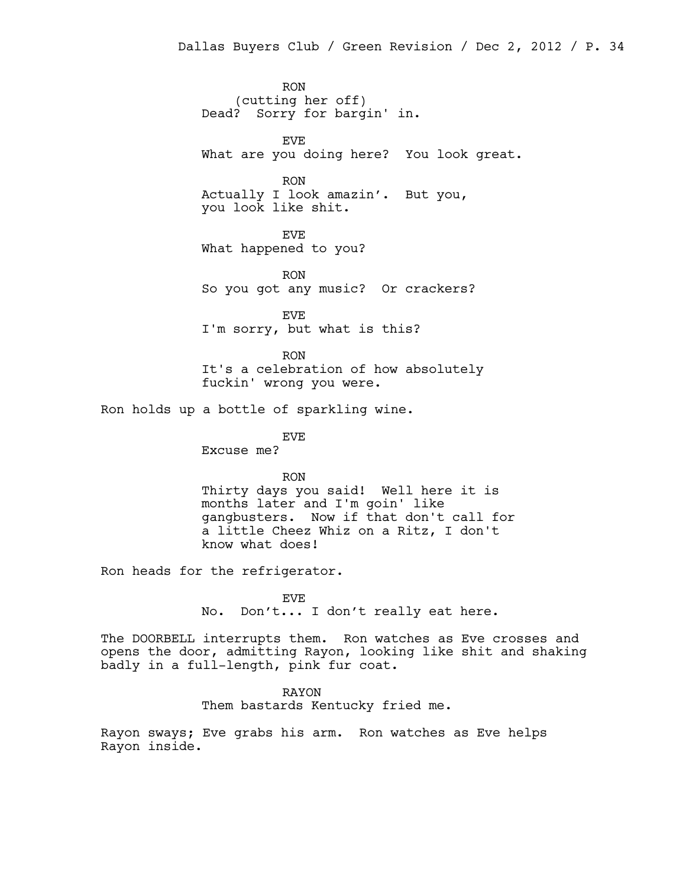RON (cutting her off) Dead? Sorry for bargin' in.

EVE What are you doing here? You look great.

RON Actually I look amazin'. But you, you look like shit.

EVE What happened to you?

RON So you got any music? Or crackers?

EVE I'm sorry, but what is this?

RON It's a celebration of how absolutely fuckin' wrong you were.

Ron holds up a bottle of sparkling wine.

EVE

Excuse me?

RON Thirty days you said! Well here it is months later and I'm goin' like gangbusters. Now if that don't call for a little Cheez Whiz on a Ritz, I don't know what does!

Ron heads for the refrigerator.

EVE No. Don't... I don't really eat here.

The DOORBELL interrupts them. Ron watches as Eve crosses and opens the door, admitting Rayon, looking like shit and shaking badly in a full-length, pink fur coat.

> RAYON Them bastards Kentucky fried me.

Rayon sways; Eve grabs his arm. Ron watches as Eve helps Rayon inside.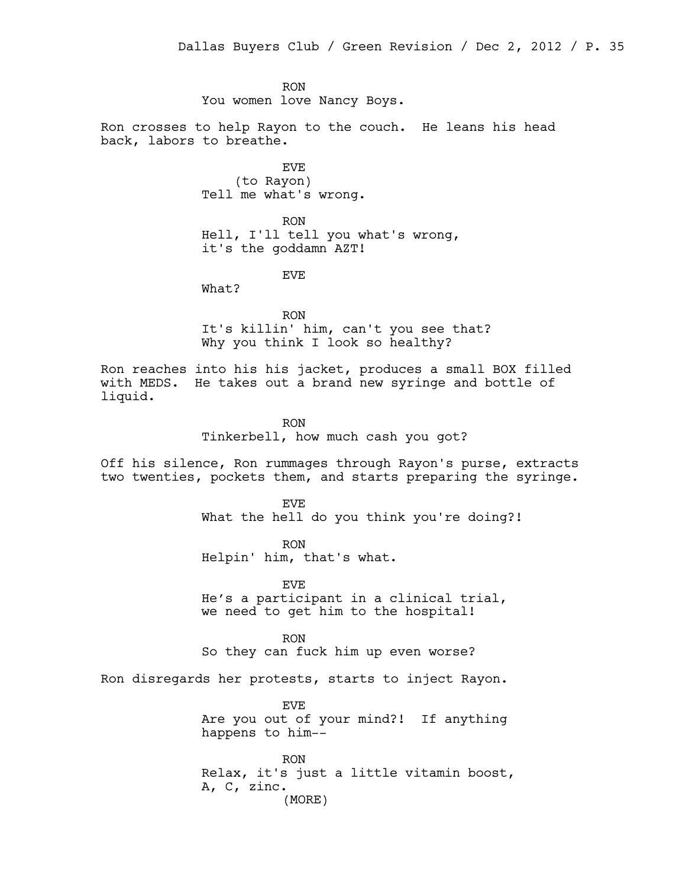RON You women love Nancy Boys.

Ron crosses to help Rayon to the couch. He leans his head back, labors to breathe.

> EVE (to Rayon) Tell me what's wrong.

RON Hell, I'll tell you what's wrong, it's the goddamn AZT!

EVE

What?

RON It's killin' him, can't you see that? Why you think I look so healthy?

Ron reaches into his his jacket, produces a small BOX filled with MEDS. He takes out a brand new syringe and bottle of liquid.

RON

Tinkerbell, how much cash you got?

Off his silence, Ron rummages through Rayon's purse, extracts two twenties, pockets them, and starts preparing the syringe.

> EVE What the hell do you think you're doing?!

RON Helpin' him, that's what.

EVE He's a participant in a clinical trial, we need to get him to the hospital!

RON So they can fuck him up even worse?

Ron disregards her protests, starts to inject Rayon.

EVE Are you out of your mind?! If anything happens to him--

RON Relax, it's just a little vitamin boost, A, C, zinc. (MORE)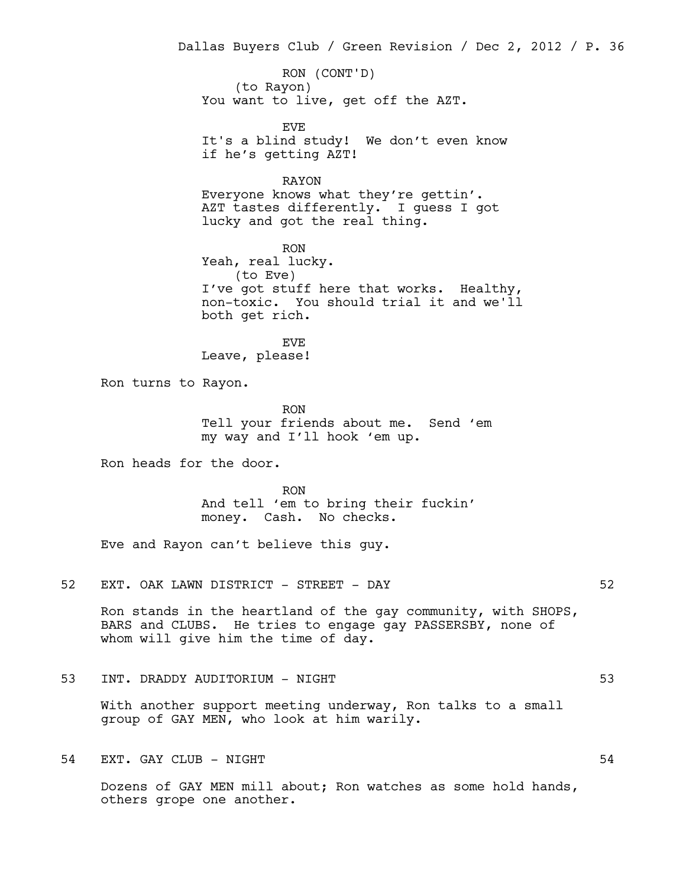Dallas Buyers Club / Green Revision / Dec 2, 2012 / P. 36

(to Rayon) You want to live, get off the AZT. RON (CONT'D)

EVE It's a blind study! We don't even know if he's getting AZT!

RAYON Everyone knows what they're gettin'. AZT tastes differently. I guess I got lucky and got the real thing.

RON Yeah, real lucky. (to Eve) I've got stuff here that works. Healthy, non-toxic. You should trial it and we'll both get rich.

EVE Leave, please!

Ron turns to Rayon.

RON Tell your friends about me. Send 'em my way and I'll hook 'em up.

Ron heads for the door.

RON And tell 'em to bring their fuckin' money. Cash. No checks.

Eve and Rayon can't believe this guy.

52 EXT. OAK LAWN DISTRICT - STREET - DAY 62

Ron stands in the heartland of the gay community, with SHOPS, BARS and CLUBS. He tries to engage gay PASSERSBY, none of whom will give him the time of day.

53 INT. DRADDY AUDITORIUM - NIGHT 53

With another support meeting underway, Ron talks to a small group of GAY MEN, who look at him warily.

54 EXT. GAY CLUB – NIGHT

Dozens of GAY MEN mill about; Ron watches as some hold hands, others grope one another.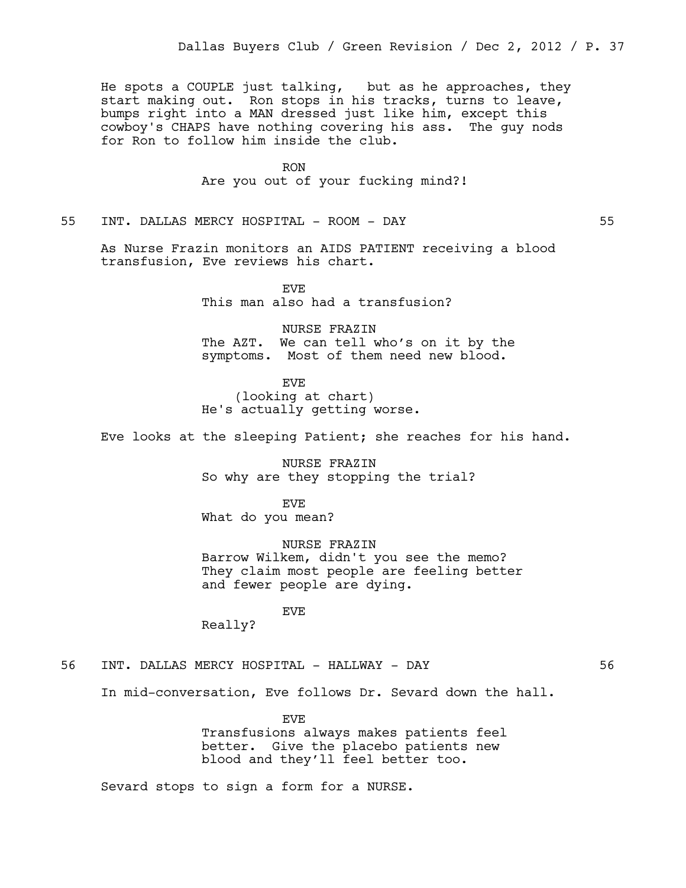He spots a COUPLE just talking, but as he approaches, they start making out. Ron stops in his tracks, turns to leave, bumps right into a MAN dressed just like him, except this cowboy's CHAPS have nothing covering his ass. The guy nods for Ron to follow him inside the club.

> RON Are you out of your fucking mind?!

55 INT. DALLAS MERCY HOSPITAL - ROOM - DAY 55

As Nurse Frazin monitors an AIDS PATIENT receiving a blood transfusion, Eve reviews his chart.

> EVE This man also had a transfusion?

NURSE FRAZIN The AZT. We can tell who's on it by the symptoms. Most of them need new blood.

EVE (looking at chart) He's actually getting worse.

Eve looks at the sleeping Patient; she reaches for his hand.

NURSE FRAZIN So why are they stopping the trial?

EVE What do you mean?

NURSE FRAZIN Barrow Wilkem, didn't you see the memo? They claim most people are feeling better and fewer people are dying.

EVE

Really?

56 INT. DALLAS MERCY HOSPITAL - HALLWAY - DAY 56

In mid-conversation, Eve follows Dr. Sevard down the hall.

EVE Transfusions always makes patients feel better. Give the placebo patients new blood and they'll feel better too.

Sevard stops to sign a form for a NURSE.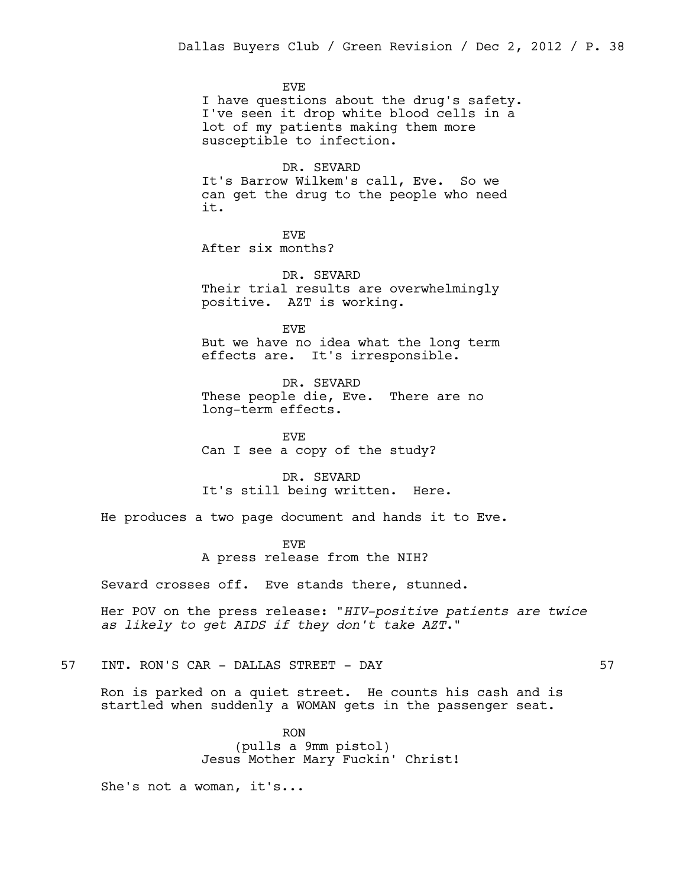EVE I have questions about the drug's safety. I've seen it drop white blood cells in a lot of my patients making them more susceptible to infection.

DR. SEVARD It's Barrow Wilkem's call, Eve. So we can get the drug to the people who need it.

EVE After six months?

DR. SEVARD Their trial results are overwhelmingly positive. AZT is working.

EVE But we have no idea what the long term effects are. It's irresponsible.

DR. SEVARD These people die, Eve. There are no long-term effects.

EVE Can I see a copy of the study?

DR. SEVARD It's still being written. Here.

He produces a two page document and hands it to Eve.

EVE

A press release from the NIH?

Sevard crosses off. Eve stands there, stunned.

Her POV on the press release: "*HIV-positive patients are twice as likely to get AIDS if they don't take AZT*."

57 INT. RON'S CAR - DALLAS STREET - DAY 57

Ron is parked on a quiet street. He counts his cash and is startled when suddenly a WOMAN gets in the passenger seat.

> RON (pulls a 9mm pistol) Jesus Mother Mary Fuckin' Christ!

She's not a woman, it's...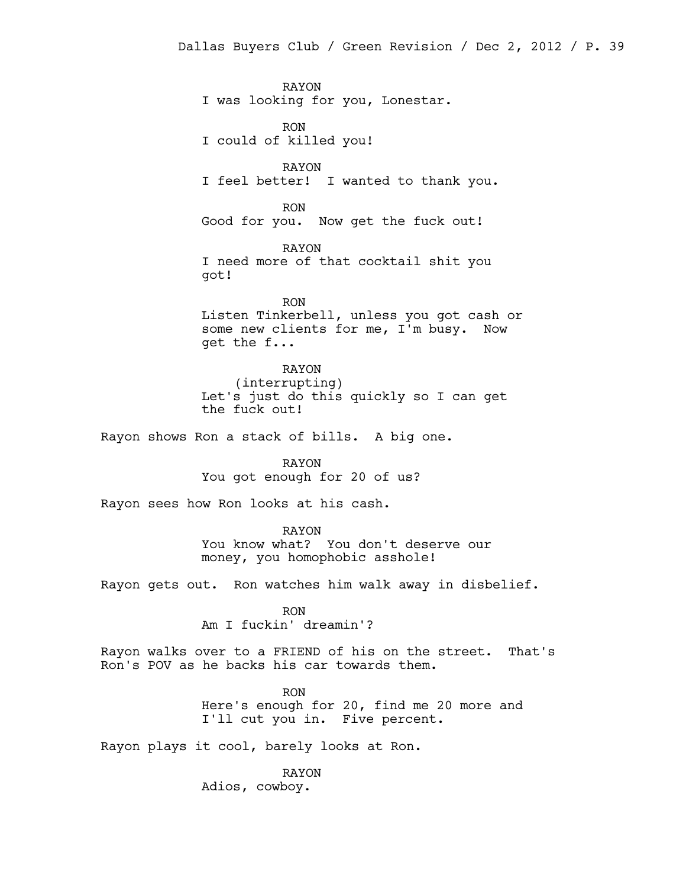RAYON I was looking for you, Lonestar.

RON I could of killed you!

RAYON I feel better! I wanted to thank you.

RON Good for you. Now get the fuck out!

RAYON I need more of that cocktail shit you got!

RON Listen Tinkerbell, unless you got cash or some new clients for me, I'm busy. Now get the f...

RAYON (interrupting) Let's just do this quickly so I can get the fuck out!

Rayon shows Ron a stack of bills. A big one.

RAYON You got enough for 20 of us?

Rayon sees how Ron looks at his cash.

RAYON You know what? You don't deserve our money, you homophobic asshole!

Rayon gets out. Ron watches him walk away in disbelief.

RON Am I fuckin' dreamin'?

Rayon walks over to a FRIEND of his on the street. That's Ron's POV as he backs his car towards them.

> RON Here's enough for 20, find me 20 more and I'll cut you in. Five percent.

Rayon plays it cool, barely looks at Ron.

RAYON Adios, cowboy.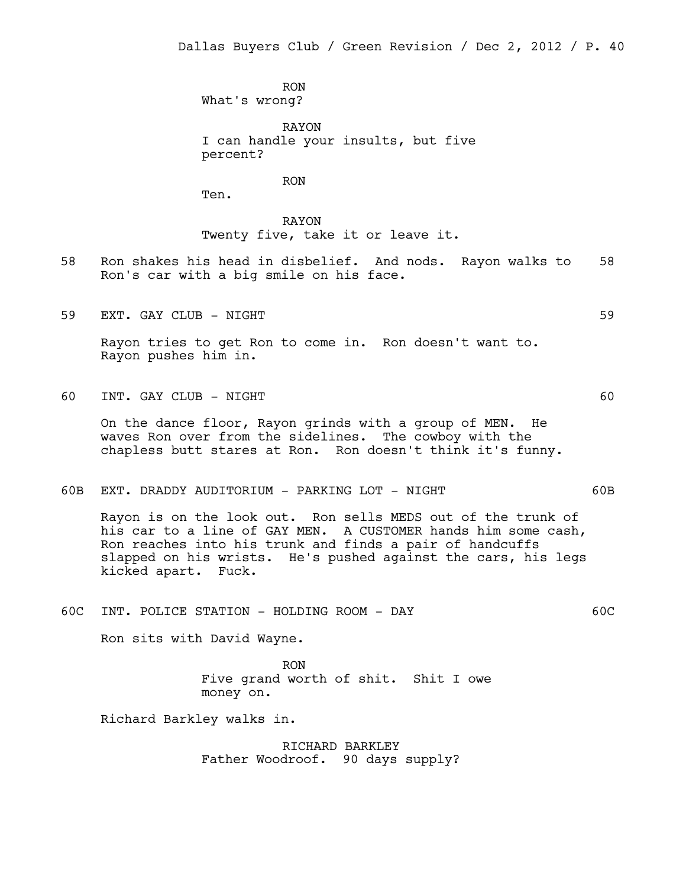RON What's wrong?

RAYON I can handle your insults, but five percent?

RON

Ten.

RAYON Twenty five, take it or leave it.

- 58 Ron shakes his head in disbelief. And nods. Rayon walks to 58 Ron's car with a big smile on his face.
- 59 EXT. GAY CLUB NIGHT 59

Rayon tries to get Ron to come in. Ron doesn't want to. Rayon pushes him in.

60 INT. GAY CLUB - NIGHT 60

On the dance floor, Rayon grinds with a group of MEN. He waves Ron over from the sidelines. The cowboy with the chapless butt stares at Ron. Ron doesn't think it's funny.

60B EXT. DRADDY AUDITORIUM - PARKING LOT - NIGHT 60B

Rayon is on the look out. Ron sells MEDS out of the trunk of his car to a line of GAY MEN. A CUSTOMER hands him some cash, Ron reaches into his trunk and finds a pair of handcuffs slapped on his wrists. He's pushed against the cars, his legs kicked apart. Fuck.

60C INT. POLICE STATION - HOLDING ROOM - DAY 60C

Ron sits with David Wayne.

RON Five grand worth of shit. Shit I owe money on.

Richard Barkley walks in.

RICHARD BARKLEY Father Woodroof. 90 days supply?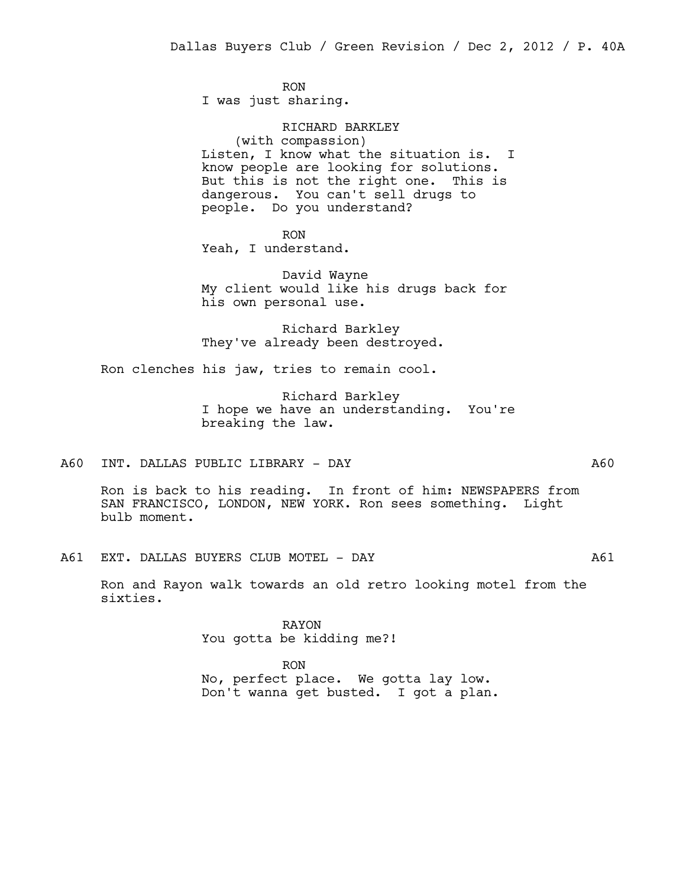RON I was just sharing.

RICHARD BARKLEY (with compassion) Listen, I know what the situation is. I know people are looking for solutions. But this is not the right one. This is dangerous. You can't sell drugs to people. Do you understand?

RON

Yeah, I understand.

David Wayne My client would like his drugs back for his own personal use.

Richard Barkley They've already been destroyed.

Ron clenches his jaw, tries to remain cool.

Richard Barkley I hope we have an understanding. You're breaking the law.

A60 INT. DALLAS PUBLIC LIBRARY - DAY A60

Ron is back to his reading. In front of him: NEWSPAPERS from SAN FRANCISCO, LONDON, NEW YORK. Ron sees something. Light bulb moment.

A61 EXT. DALLAS BUYERS CLUB MOTEL - DAY A61

Ron and Rayon walk towards an old retro looking motel from the sixties.

> RAYON You gotta be kidding me?!

RON No, perfect place. We gotta lay low. Don't wanna get busted. I got a plan.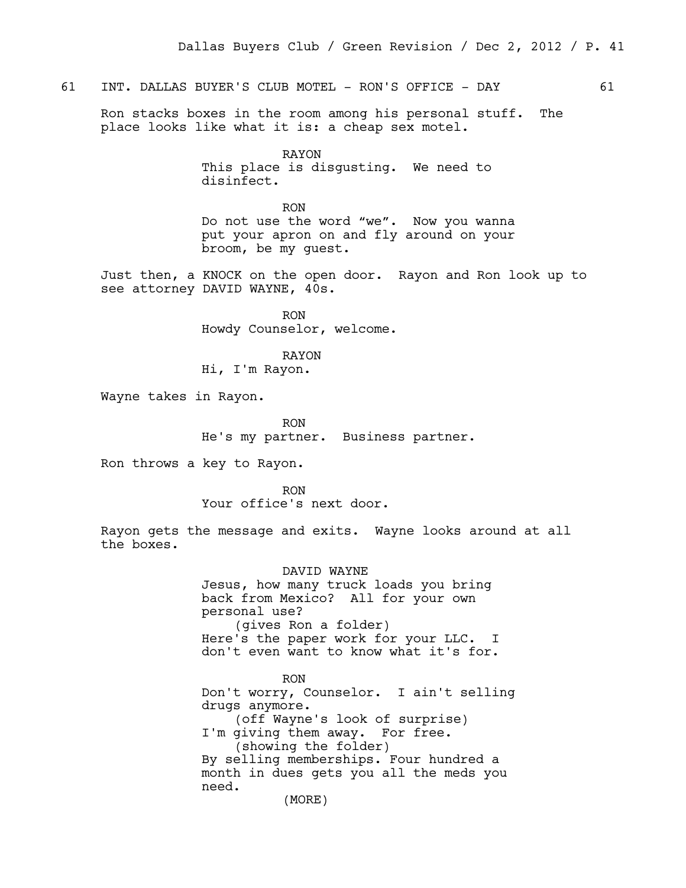### 61 INT. DALLAS BUYER'S CLUB MOTEL - RON'S OFFICE - DAY 61

Ron stacks boxes in the room among his personal stuff. The place looks like what it is: a cheap sex motel.

> RAYON This place is disgusting. We need to disinfect.

RON Do not use the word "we". Now you wanna put your apron on and fly around on your broom, be my guest.

Just then, a KNOCK on the open door. Rayon and Ron look up to see attorney DAVID WAYNE, 40s.

> RON Howdy Counselor, welcome.

> > RAYON

Hi, I'm Rayon.

Wayne takes in Rayon.

RON He's my partner. Business partner.

Ron throws a key to Rayon.

RON Your office's next door.

Rayon gets the message and exits. Wayne looks around at all the boxes.

> DAVID WAYNE Jesus, how many truck loads you bring back from Mexico? All for your own personal use? (gives Ron a folder) Here's the paper work for your LLC. I don't even want to know what it's for.

RON Don't worry, Counselor. I ain't selling drugs anymore. (off Wayne's look of surprise) I'm giving them away. For free. (showing the folder) By selling memberships. Four hundred a month in dues gets you all the meds you need.

(MORE)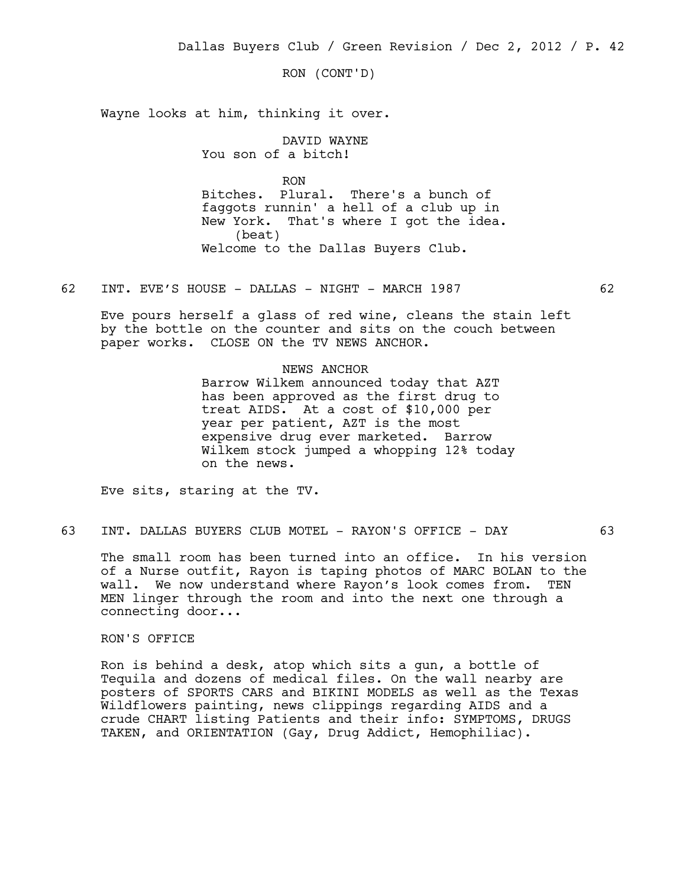RON (CONT'D)

Wayne looks at him, thinking it over.

DAVID WAYNE You son of a bitch!

RON Bitches. Plural. There's a bunch of faggots runnin' a hell of a club up in New York. That's where I got the idea. (beat) Welcome to the Dallas Buyers Club.

62 INT. EVE'S HOUSE - DALLAS - NIGHT - MARCH 1987 62

Eve pours herself a glass of red wine, cleans the stain left by the bottle on the counter and sits on the couch between paper works. CLOSE ON the TV NEWS ANCHOR.

#### NEWS ANCHOR

Barrow Wilkem announced today that AZT has been approved as the first drug to treat AIDS. At a cost of \$10,000 per year per patient, AZT is the most expensive drug ever marketed. Barrow Wilkem stock jumped a whopping 12% today on the news.

Eve sits, staring at the TV.

63 INT. DALLAS BUYERS CLUB MOTEL - RAYON'S OFFICE - DAY 63

The small room has been turned into an office. In his version of a Nurse outfit, Rayon is taping photos of MARC BOLAN to the wall. We now understand where Rayon's look comes from. TEN MEN linger through the room and into the next one through a connecting door...

## RON'S OFFICE

Ron is behind a desk, atop which sits a gun, a bottle of Tequila and dozens of medical files. On the wall nearby are posters of SPORTS CARS and BIKINI MODELS as well as the Texas Wildflowers painting, news clippings regarding AIDS and a crude CHART listing Patients and their info: SYMPTOMS, DRUGS TAKEN, and ORIENTATION (Gay, Drug Addict, Hemophiliac).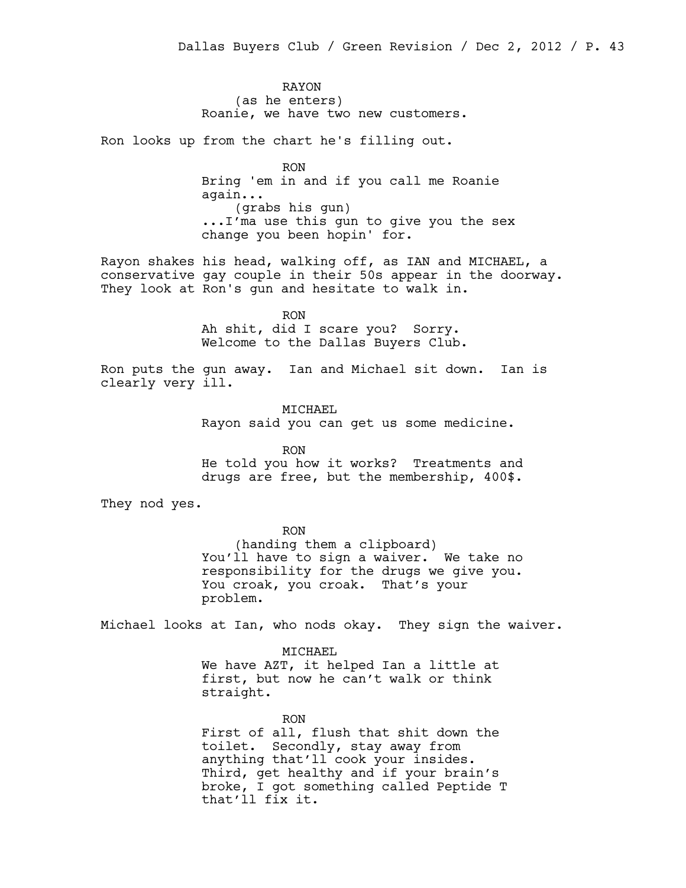RAYON (as he enters) Roanie, we have two new customers.

Ron looks up from the chart he's filling out.

RON Bring 'em in and if you call me Roanie again... (grabs his gun) ...I'ma use this gun to give you the sex change you been hopin' for.

Rayon shakes his head, walking off, as IAN and MICHAEL, a conservative gay couple in their 50s appear in the doorway. They look at Ron's gun and hesitate to walk in.

> RON Ah shit, did I scare you? Sorry. Welcome to the Dallas Buyers Club.

Ron puts the gun away. Ian and Michael sit down. Ian is clearly very ill.

> MICHAEL Rayon said you can get us some medicine.

RON He told you how it works? Treatments and drugs are free, but the membership, 400\$.

They nod yes.

RON

(handing them a clipboard) You'll have to sign a waiver. We take no responsibility for the drugs we give you. You croak, you croak. That's your problem.

Michael looks at Ian, who nods okay. They sign the waiver.

MICHAEL We have AZT, it helped Ian a little at first, but now he can't walk or think straight.

RON First of all, flush that shit down the toilet. Secondly, stay away from anything that'll cook your insides. Third, get healthy and if your brain's broke, I got something called Peptide T that'll fix it.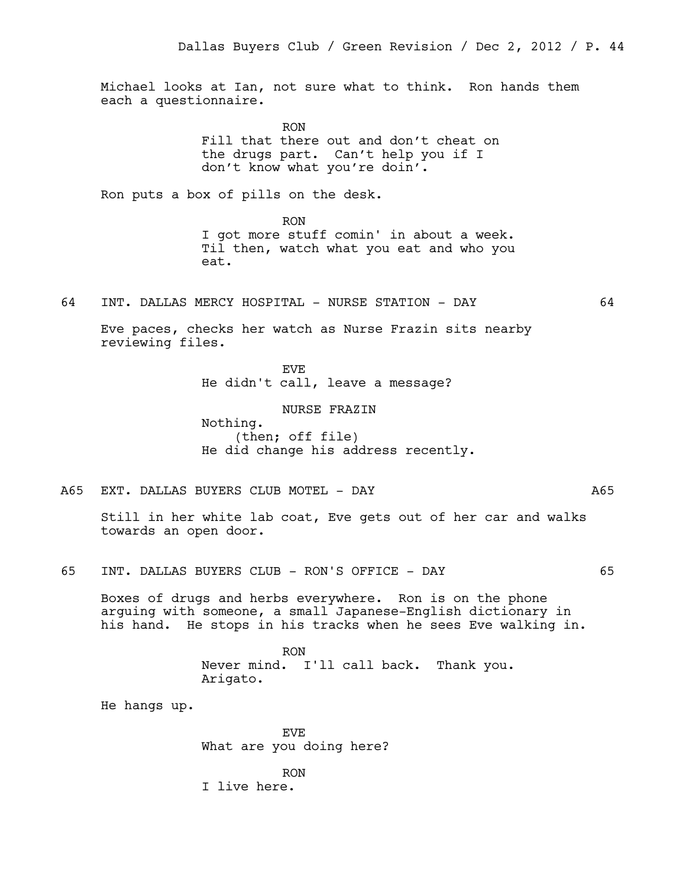Michael looks at Ian, not sure what to think. Ron hands them each a questionnaire.

> RON Fill that there out and don't cheat on the drugs part. Can't help you if I don't know what you're doin'.

Ron puts a box of pills on the desk.

RON I got more stuff comin' in about a week. Til then, watch what you eat and who you eat.

64 INT. DALLAS MERCY HOSPITAL - NURSE STATION - DAY 64

Eve paces, checks her watch as Nurse Frazin sits nearby reviewing files.

> EVE He didn't call, leave a message?

> > NURSE FRAZIN

Nothing. (then; off file) He did change his address recently.

A65 EXT. DALLAS BUYERS CLUB MOTEL - DAY A65

Still in her white lab coat, Eve gets out of her car and walks towards an open door.

65 INT. DALLAS BUYERS CLUB - RON'S OFFICE - DAY 65

Boxes of drugs and herbs everywhere. Ron is on the phone arguing with someone, a small Japanese-English dictionary in his hand. He stops in his tracks when he sees Eve walking in.

> RON Never mind. I'll call back. Thank you. Arigato.

He hangs up.

EVE What are you doing here?

RON I live here.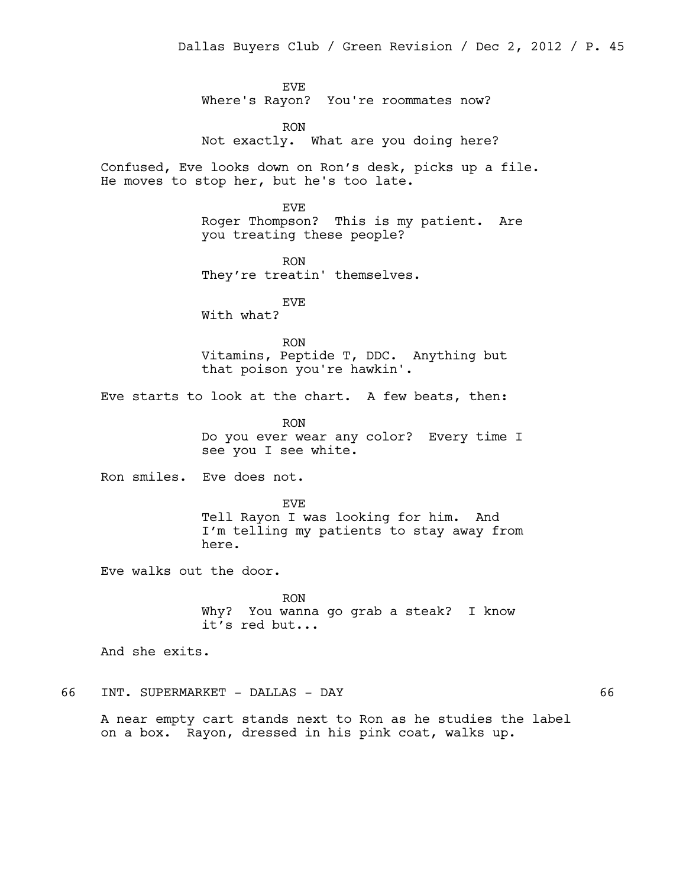EVE Where's Rayon? You're roommates now?

RON Not exactly. What are you doing here?

Confused, Eve looks down on Ron's desk, picks up a file. He moves to stop her, but he's too late.

> EVE Roger Thompson? This is my patient. Are you treating these people?

RON They're treatin' themselves.

EVE With what?

RON Vitamins, Peptide T, DDC. Anything but that poison you're hawkin'.

Eve starts to look at the chart. A few beats, then:

RON Do you ever wear any color? Every time I see you I see white.

Ron smiles. Eve does not.

EVE Tell Rayon I was looking for him. And I'm telling my patients to stay away from here.

Eve walks out the door.

RON Why? You wanna go grab a steak? I know it's red but...

And she exits.

66 INT. SUPERMARKET - DALLAS - DAY 66

A near empty cart stands next to Ron as he studies the label on a box. Rayon, dressed in his pink coat, walks up.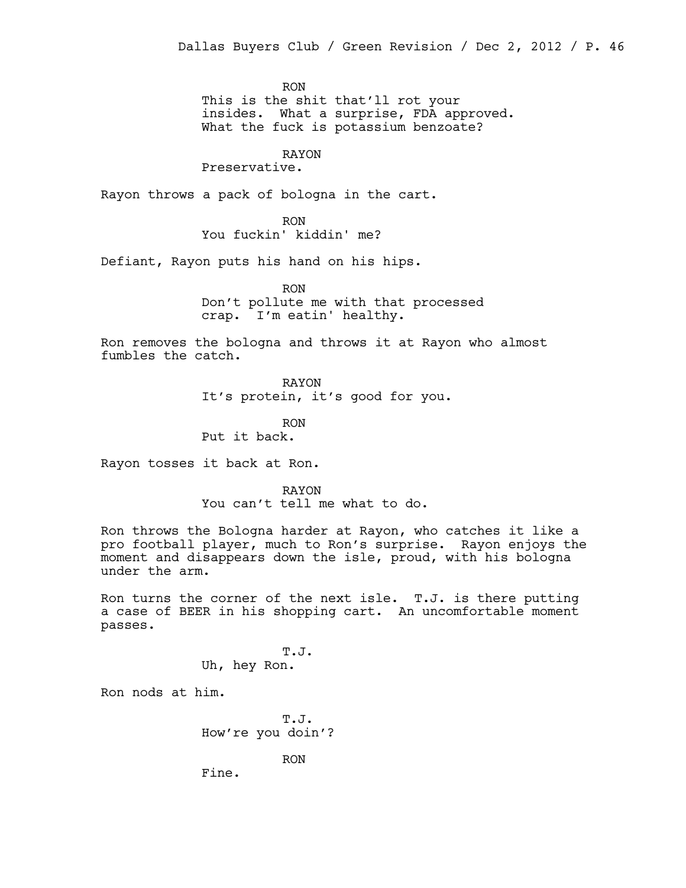RON

This is the shit that'll rot your insides. What a surprise, FDA approved. What the fuck is potassium benzoate?

# RAYON

Preservative.

Rayon throws a pack of bologna in the cart.

RON You fuckin' kiddin' me?

Defiant, Rayon puts his hand on his hips.

RON Don't pollute me with that processed crap. I'm eatin' healthy.

Ron removes the bologna and throws it at Rayon who almost fumbles the catch.

RAYON

It's protein, it's good for you.

RON

Put it back.

Rayon tosses it back at Ron.

RAYON

You can't tell me what to do.

Ron throws the Bologna harder at Rayon, who catches it like a pro football player, much to Ron's surprise. Rayon enjoys the moment and disappears down the isle, proud, with his bologna under the arm.

Ron turns the corner of the next isle. T.J. is there putting a case of BEER in his shopping cart. An uncomfortable moment passes.

> T.J. Uh, hey Ron.

Ron nods at him.

T.J. How're you doin'?

RON

Fine.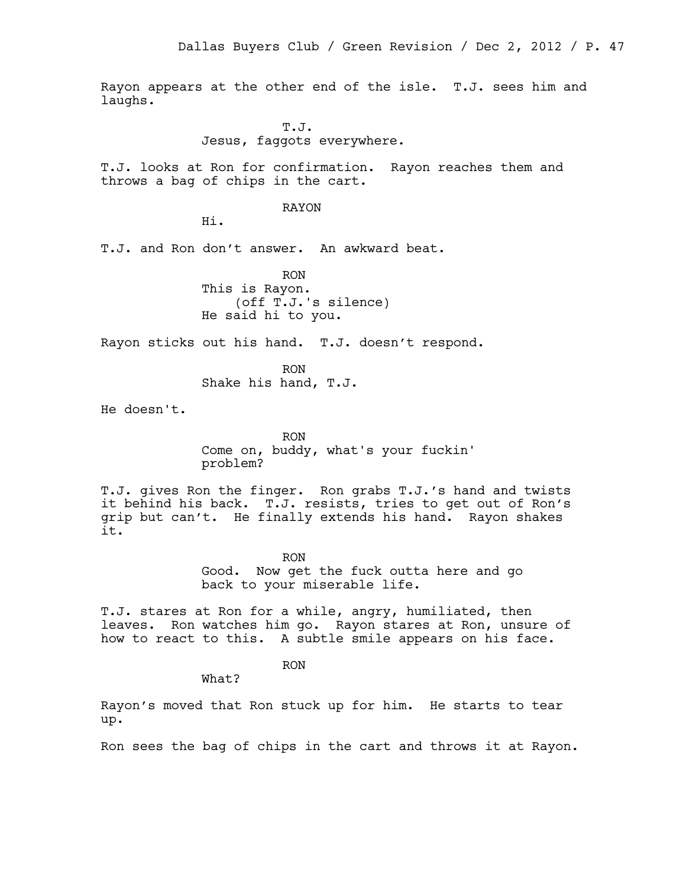Rayon appears at the other end of the isle. T.J. sees him and laughs.

> T.J. Jesus, faggots everywhere.

T.J. looks at Ron for confirmation. Rayon reaches them and throws a bag of chips in the cart.

### RAYON

Hi.

T.J. and Ron don't answer. An awkward beat.

RON This is Rayon. (off T.J.'s silence) He said hi to you.

Rayon sticks out his hand. T.J. doesn't respond.

RON Shake his hand, T.J.

He doesn't.

RON Come on, buddy, what's your fuckin' problem?

T.J. gives Ron the finger. Ron grabs T.J.'s hand and twists it behind his back. T.J. resists, tries to get out of Ron's grip but can't. He finally extends his hand. Rayon shakes it.

> RON Good. Now get the fuck outta here and go back to your miserable life.

T.J. stares at Ron for a while, angry, humiliated, then leaves. Ron watches him go. Rayon stares at Ron, unsure of how to react to this. A subtle smile appears on his face.

RON

What?

Rayon's moved that Ron stuck up for him. He starts to tear up.

Ron sees the bag of chips in the cart and throws it at Rayon.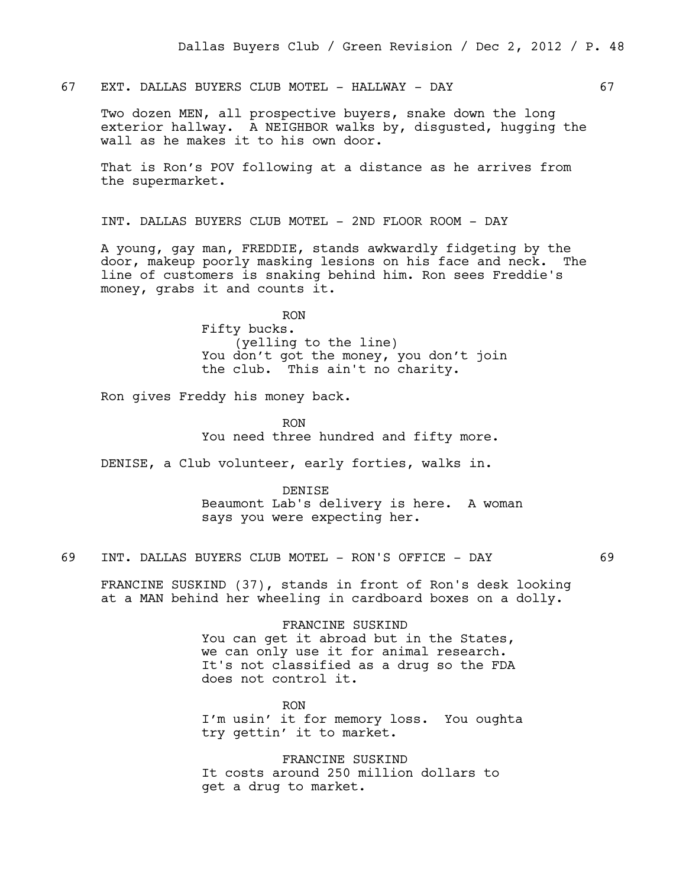67 EXT. DALLAS BUYERS CLUB MOTEL - HALLWAY - DAY 67

Two dozen MEN, all prospective buyers, snake down the long exterior hallway. A NEIGHBOR walks by, disgusted, hugging the wall as he makes it to his own door.

That is Ron's POV following at a distance as he arrives from the supermarket.

INT. DALLAS BUYERS CLUB MOTEL - 2ND FLOOR ROOM - DAY

A young, gay man, FREDDIE, stands awkwardly fidgeting by the door, makeup poorly masking lesions on his face and neck. The line of customers is snaking behind him. Ron sees Freddie's money, grabs it and counts it.

RON

Fifty bucks. (yelling to the line) You don't got the money, you don't join the club. This ain't no charity.

Ron gives Freddy his money back.

RON You need three hundred and fifty more.

DENISE, a Club volunteer, early forties, walks in.

DENISE Beaumont Lab's delivery is here. A woman says you were expecting her.

69 INT. DALLAS BUYERS CLUB MOTEL - RON'S OFFICE - DAY 69

FRANCINE SUSKIND (37), stands in front of Ron's desk looking at a MAN behind her wheeling in cardboard boxes on a dolly.

> FRANCINE SUSKIND You can get it abroad but in the States, we can only use it for animal research. It's not classified as a drug so the FDA does not control it.

RON I'm usin' it for memory loss. You oughta try gettin' it to market.

FRANCINE SUSKIND It costs around 250 million dollars to get a drug to market.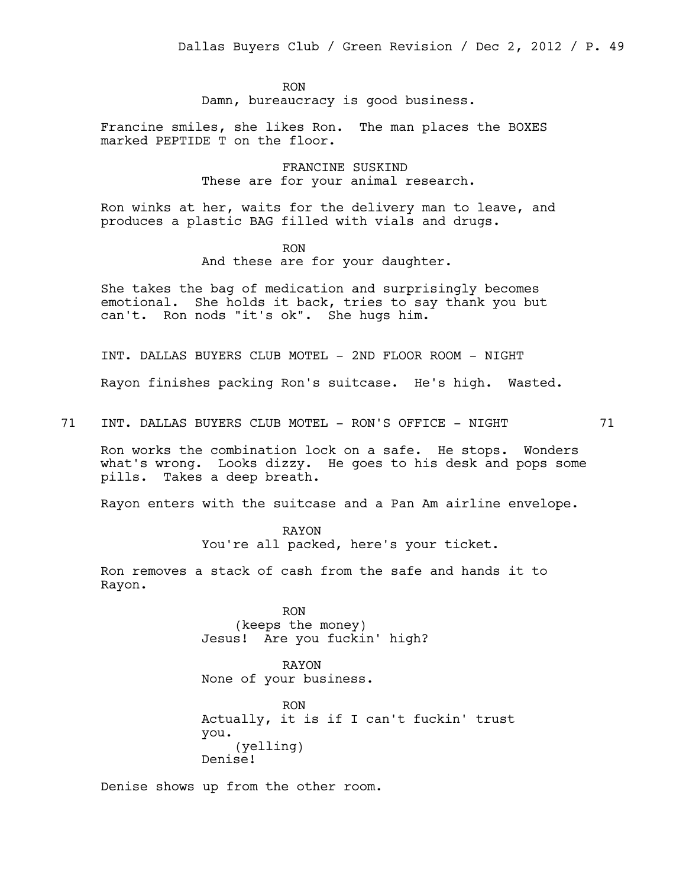RON Damn, bureaucracy is good business.

Francine smiles, she likes Ron. The man places the BOXES marked PEPTIDE T on the floor.

> FRANCINE SUSKIND These are for your animal research.

Ron winks at her, waits for the delivery man to leave, and produces a plastic BAG filled with vials and drugs.

> RON And these are for your daughter.

She takes the bag of medication and surprisingly becomes emotional. She holds it back, tries to say thank you but can't. Ron nods "it's ok". She hugs him.

INT. DALLAS BUYERS CLUB MOTEL - 2ND FLOOR ROOM - NIGHT

Rayon finishes packing Ron's suitcase. He's high. Wasted.

71 INT. DALLAS BUYERS CLUB MOTEL - RON'S OFFICE - NIGHT 71

Ron works the combination lock on a safe. He stops. Wonders what's wrong. Looks dizzy. He goes to his desk and pops some pills. Takes a deep breath.

Rayon enters with the suitcase and a Pan Am airline envelope.

RAYON You're all packed, here's your ticket.

Ron removes a stack of cash from the safe and hands it to Rayon.

> RON (keeps the money) Jesus! Are you fuckin' high?

RAYON None of your business.

RON Actually, it is if I can't fuckin' trust you. (yelling) Denise!

Denise shows up from the other room.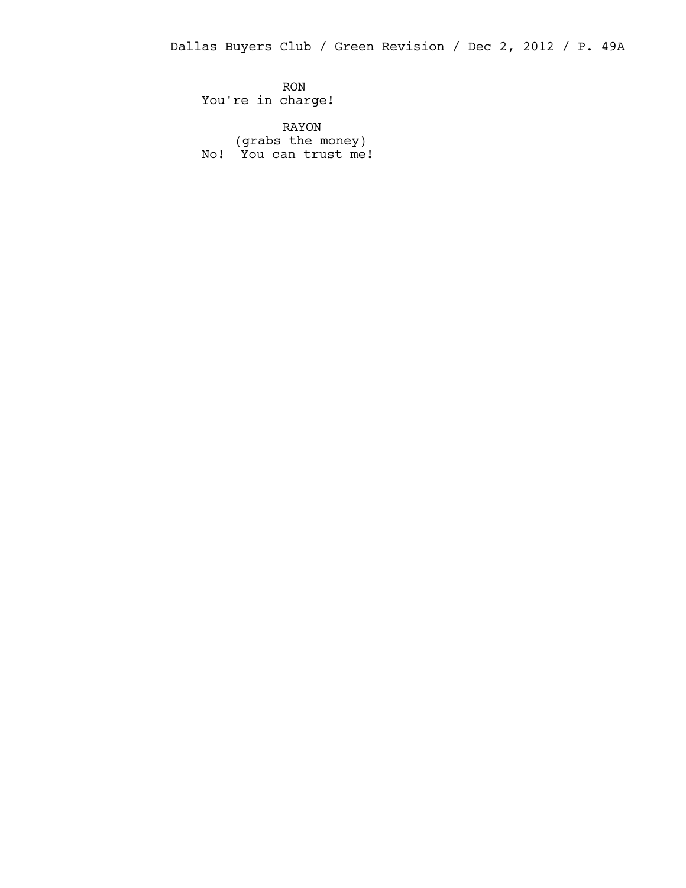Dallas Buyers Club / Green Revision / Dec 2, 2012 / P. 49A

RON You're in charge!

RAYON (grabs the money) No! You can trust me!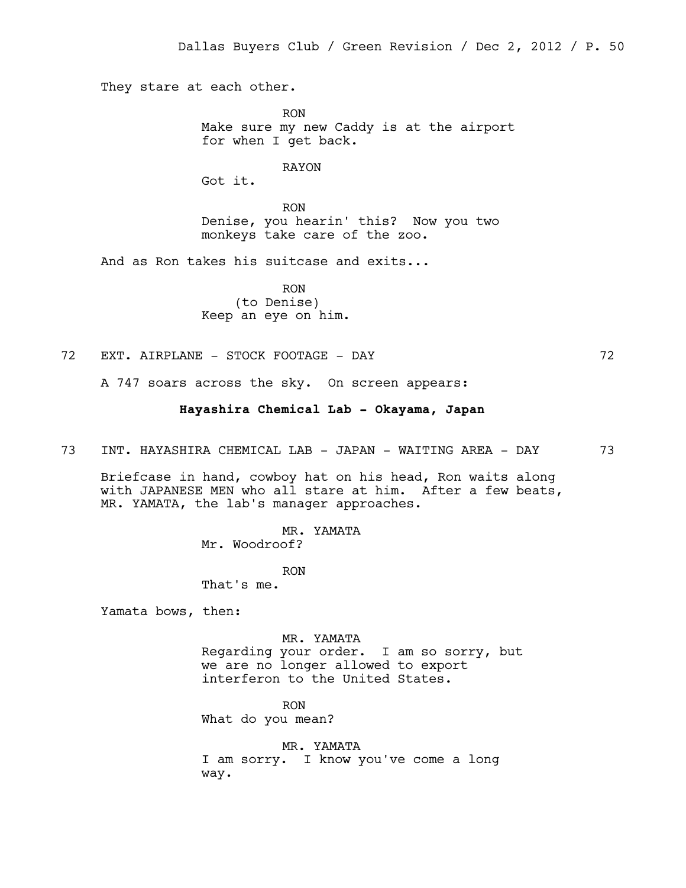They stare at each other.

RON Make sure my new Caddy is at the airport for when I get back.

RAYON

Got it.

RON Denise, you hearin' this? Now you two monkeys take care of the zoo.

And as Ron takes his suitcase and exits...

RON (to Denise) Keep an eye on him.

72 EXT. AIRPLANE - STOCK FOOTAGE - DAY 72

A 747 soars across the sky. On screen appears:

## **Hayashira Chemical Lab - Okayama, Japan**

73 INT. HAYASHIRA CHEMICAL LAB - JAPAN - WAITING AREA - DAY 73

Briefcase in hand, cowboy hat on his head, Ron waits along with JAPANESE MEN who all stare at him. After a few beats, MR. YAMATA, the lab's manager approaches.

> MR. YAMATA Mr. Woodroof?

> > RON

That's me.

Yamata bows, then:

MR. YAMATA

Regarding your order. I am so sorry, but we are no longer allowed to export interferon to the United States.

RON

What do you mean?

MR. YAMATA I am sorry. I know you've come a long way.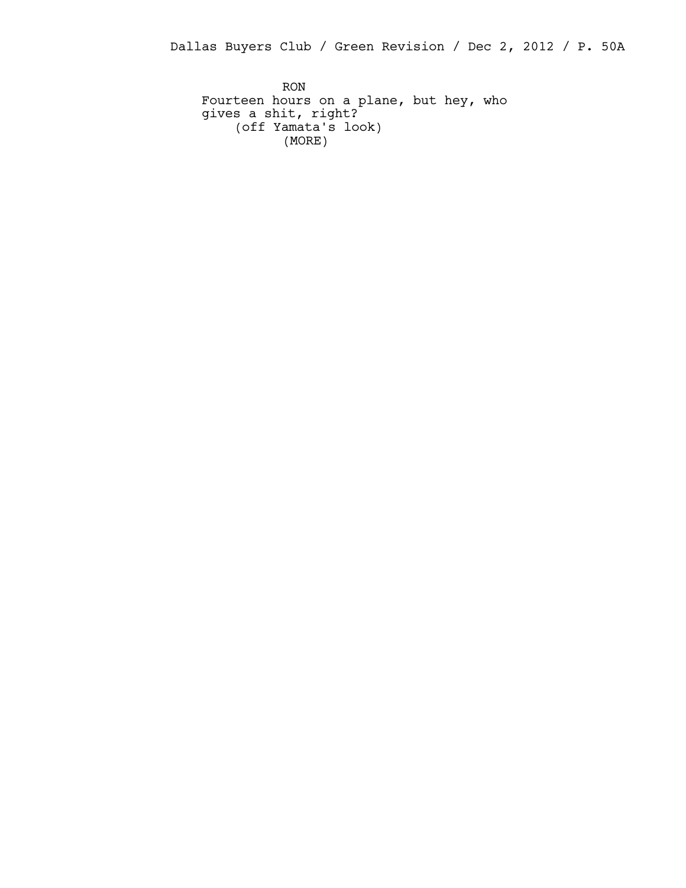Dallas Buyers Club / Green Revision / Dec 2, 2012 / P. 50A

RON Fourteen hours on a plane, but hey, who gives a shit, right? (off Yamata's look) (MORE)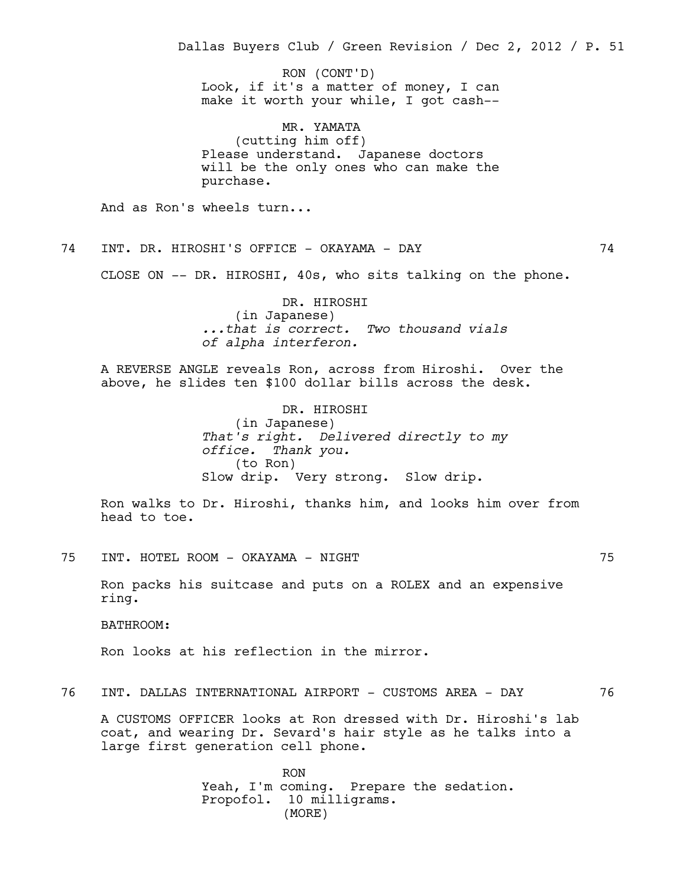Look, if it's a matter of money, I can make it worth your while, I got cash-- MR. YAMATA (cutting him off) Please understand. Japanese doctors will be the only ones who can make the purchase. And as Ron's wheels turn... 74 INT. DR. HIROSHI'S OFFICE - OKAYAMA - DAY 74 CLOSE ON -- DR. HIROSHI, 40s, who sits talking on the phone. DR. HIROSHI (in Japanese) *...that is correct. Two thousand vials of alpha interferon.* A REVERSE ANGLE reveals Ron, across from Hiroshi. Over the above, he slides ten \$100 dollar bills across the desk. DR. HIROSHI (in Japanese) *That's right. Delivered directly to my office. Thank you.* (to Ron) Slow drip. Very strong. Slow drip. Ron walks to Dr. Hiroshi, thanks him, and looks him over from head to toe. 75 INT. HOTEL ROOM - OKAYAMA - NIGHT 75 Ron packs his suitcase and puts on a ROLEX and an expensive ring. BATHROOM: Ron looks at his reflection in the mirror. 76 INT. DALLAS INTERNATIONAL AIRPORT - CUSTOMS AREA - DAY 76 A CUSTOMS OFFICER looks at Ron dressed with Dr. Hiroshi's lab coat, and wearing Dr. Sevard's hair style as he talks into a large first generation cell phone. RON Yeah, I'm coming. Prepare the sedation. Dallas Buyers Club / Green Revision / Dec 2, 2012 / P. 51 RON (CONT'D)

Propofol. 10 milligrams.

(MORE)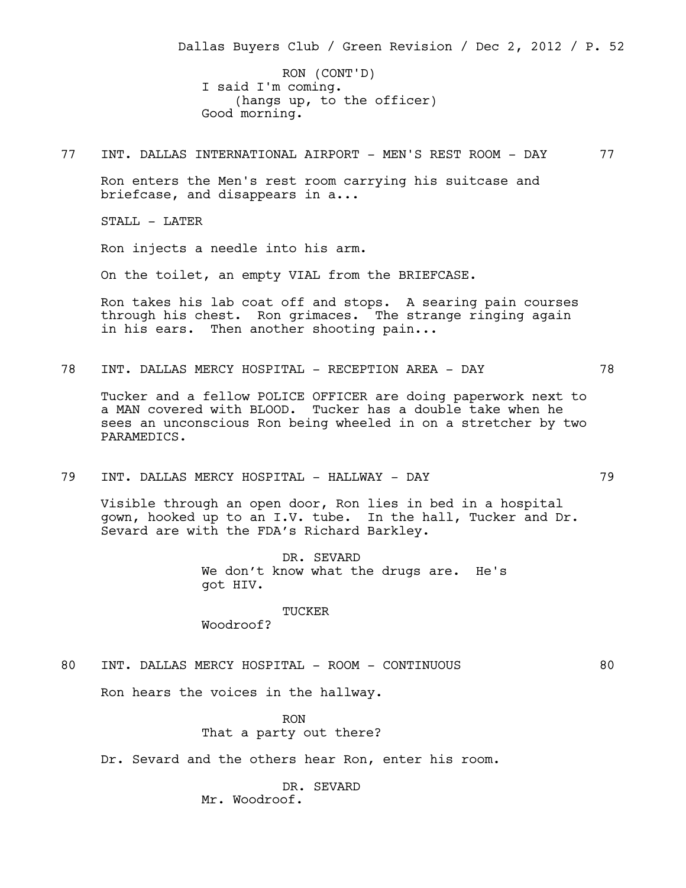I said I'm coming. (hangs up, to the officer) Good morning. RON (CONT'D)

77 INT. DALLAS INTERNATIONAL AIRPORT - MEN'S REST ROOM - DAY 77

Ron enters the Men's rest room carrying his suitcase and briefcase, and disappears in a...

STALL - LATER

Ron injects a needle into his arm.

On the toilet, an empty VIAL from the BRIEFCASE.

Ron takes his lab coat off and stops. A searing pain courses through his chest. Ron grimaces. The strange ringing again in his ears. Then another shooting pain...

78 INT. DALLAS MERCY HOSPITAL - RECEPTION AREA - DAY 78

Tucker and a fellow POLICE OFFICER are doing paperwork next to a MAN covered with BLOOD. Tucker has a double take when he sees an unconscious Ron being wheeled in on a stretcher by two PARAMEDICS.

79 INT. DALLAS MERCY HOSPITAL - HALLWAY - DAY 79

Visible through an open door, Ron lies in bed in a hospital gown, hooked up to an I.V. tube. In the hall, Tucker and Dr. Sevard are with the FDA's Richard Barkley.

> DR. SEVARD We don't know what the drugs are. He's got HIV.

#### TUCKER

Woodroof?

80 INT. DALLAS MERCY HOSPITAL - ROOM - CONTINUOUS 80

Ron hears the voices in the hallway.

RON That a party out there?

Dr. Sevard and the others hear Ron, enter his room.

DR. SEVARD Mr. Woodroof.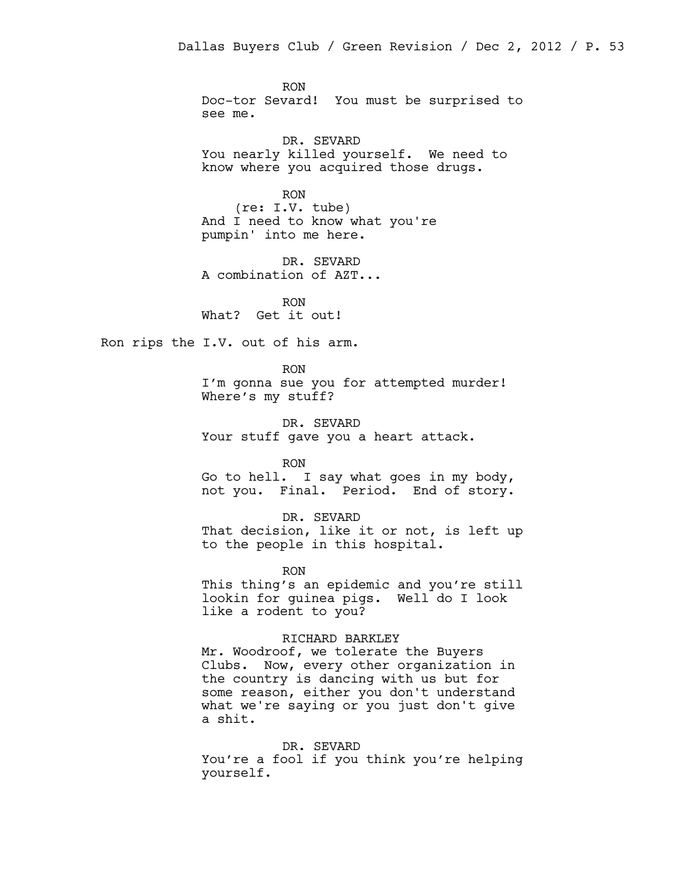RON Doc-tor Sevard! You must be surprised to see me.

DR. SEVARD You nearly killed yourself. We need to know where you acquired those drugs.

RON (re: I.V. tube) And I need to know what you're pumpin' into me here.

DR. SEVARD A combination of AZT...

RON What? Get it out!

Ron rips the I.V. out of his arm.

RON I'm gonna sue you for attempted murder! Where's my stuff?

DR. SEVARD Your stuff gave you a heart attack.

RON

Go to hell. I say what goes in my body, not you. Final. Period. End of story.

DR. SEVARD

That decision, like it or not, is left up to the people in this hospital.

RON

This thing's an epidemic and you're still lookin for guinea pigs. Well do I look like a rodent to you?

#### RICHARD BARKLEY

Mr. Woodroof, we tolerate the Buyers Clubs. Now, every other organization in the country is dancing with us but for some reason, either you don't understand what we're saying or you just don't give a shit.

DR. SEVARD

You're a fool if you think you're helping yourself.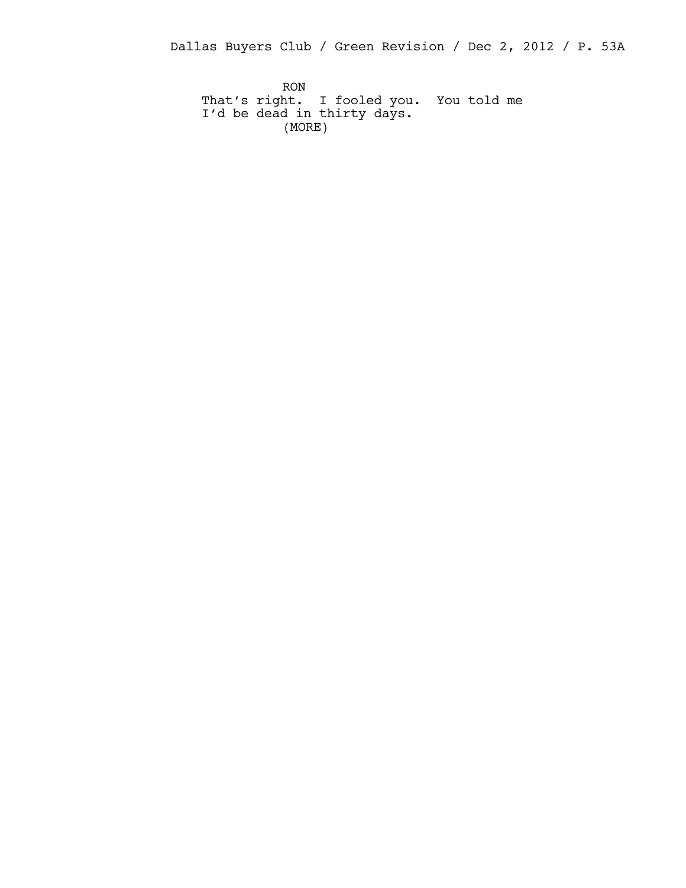Dallas Buyers Club / Green Revision / Dec 2, 2012 / P. 53A

RON That's right. I fooled you. You told me I'd be dead in thirty days. (MORE)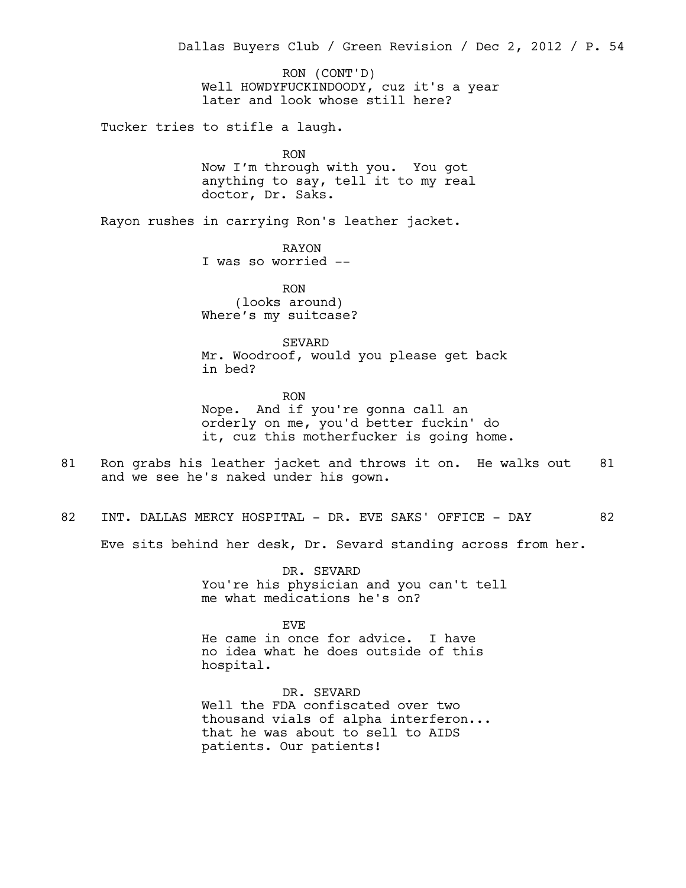Well HOWDYFUCKINDOODY, cuz it's a year later and look whose still here? Tucker tries to stifle a laugh. RON Now I'm through with you. You got anything to say, tell it to my real doctor, Dr. Saks. Rayon rushes in carrying Ron's leather jacket. RAYON I was so worried -- RON (looks around) Where's my suitcase? SEVARD Mr. Woodroof, would you please get back in bed? RON Nope. And if you're gonna call an orderly on me, you'd better fuckin' do it, cuz this motherfucker is going home. 81 Ron grabs his leather jacket and throws it on. He walks out 81 and we see he's naked under his gown. 82 INT. DALLAS MERCY HOSPITAL - DR. EVE SAKS' OFFICE - DAY 62 Eve sits behind her desk, Dr. Sevard standing across from her. DR. SEVARD You're his physician and you can't tell me what medications he's on? EVE He came in once for advice. I have no idea what he does outside of this hospital. DR. SEVARD Well the FDA confiscated over two Dallas Buyers Club / Green Revision / Dec 2, 2012 / P. 54 RON (CONT'D)

thousand vials of alpha interferon... that he was about to sell to AIDS patients. Our patients!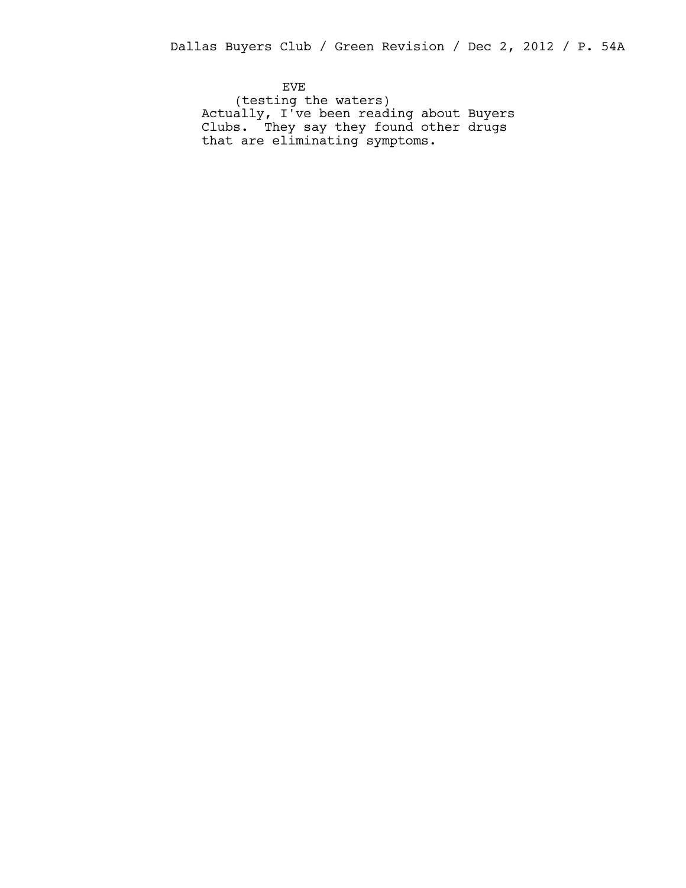EVE (testing the waters) Actually, I've been reading about Buyers Clubs. They say they found other drugs that are eliminating symptoms.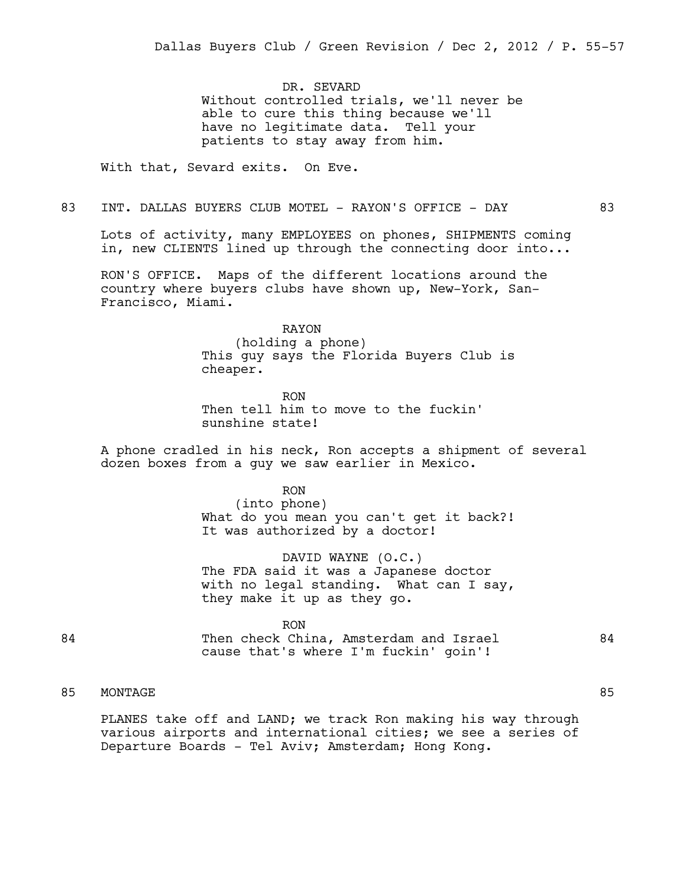DR. SEVARD Without controlled trials, we'll never be able to cure this thing because we'll have no legitimate data. Tell your patients to stay away from him.

With that, Sevard exits. On Eve.

83 INT. DALLAS BUYERS CLUB MOTEL - RAYON'S OFFICE - DAY 63

Lots of activity, many EMPLOYEES on phones, SHIPMENTS coming in, new CLIENTS lined up through the connecting door into...

RON'S OFFICE. Maps of the different locations around the country where buyers clubs have shown up, New-York, San-Francisco, Miami.

RAYON

(holding a phone) This guy says the Florida Buyers Club is cheaper.

RON Then tell him to move to the fuckin' sunshine state!

A phone cradled in his neck, Ron accepts a shipment of several dozen boxes from a guy we saw earlier in Mexico.

RON

(into phone) What do you mean you can't get it back?! It was authorized by a doctor!

DAVID WAYNE (O.C.) The FDA said it was a Japanese doctor with no legal standing. What can I say, they make it up as they go.

RON

84 Then check China, Amsterdam and Israel 84 cause that's where I'm fuckin' goin'!

# 85 MONTAGE 85

PLANES take off and LAND; we track Ron making his way through various airports and international cities; we see a series of Departure Boards - Tel Aviv; Amsterdam; Hong Kong.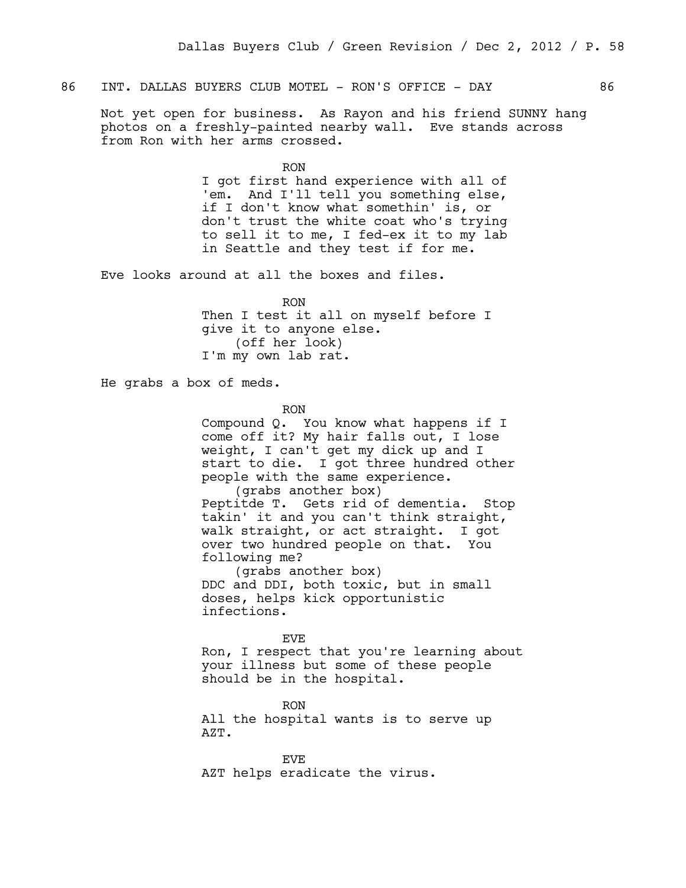## 86 INT. DALLAS BUYERS CLUB MOTEL - RON'S OFFICE - DAY 66

Not yet open for business. As Rayon and his friend SUNNY hang photos on a freshly-painted nearby wall. Eve stands across from Ron with her arms crossed.

> RON I got first hand experience with all of 'em. And I'll tell you something else, if I don't know what somethin' is, or don't trust the white coat who's trying to sell it to me, I fed-ex it to my lab in Seattle and they test if for me.

Eve looks around at all the boxes and files.

RON Then I test it all on myself before I give it to anyone else. (off her look) I'm my own lab rat.

He grabs a box of meds.

RON

Compound Q. You know what happens if I come off it? My hair falls out, I lose weight, I can't get my dick up and I start to die. I got three hundred other people with the same experience. (grabs another box)

Peptitde T. Gets rid of dementia. Stop takin' it and you can't think straight, walk straight, or act straight. I got over two hundred people on that. You following me?

(grabs another box) DDC and DDI, both toxic, but in small doses, helps kick opportunistic infections.

EVE

Ron, I respect that you're learning about your illness but some of these people should be in the hospital.

RON All the hospital wants is to serve up AZT.

EVE AZT helps eradicate the virus.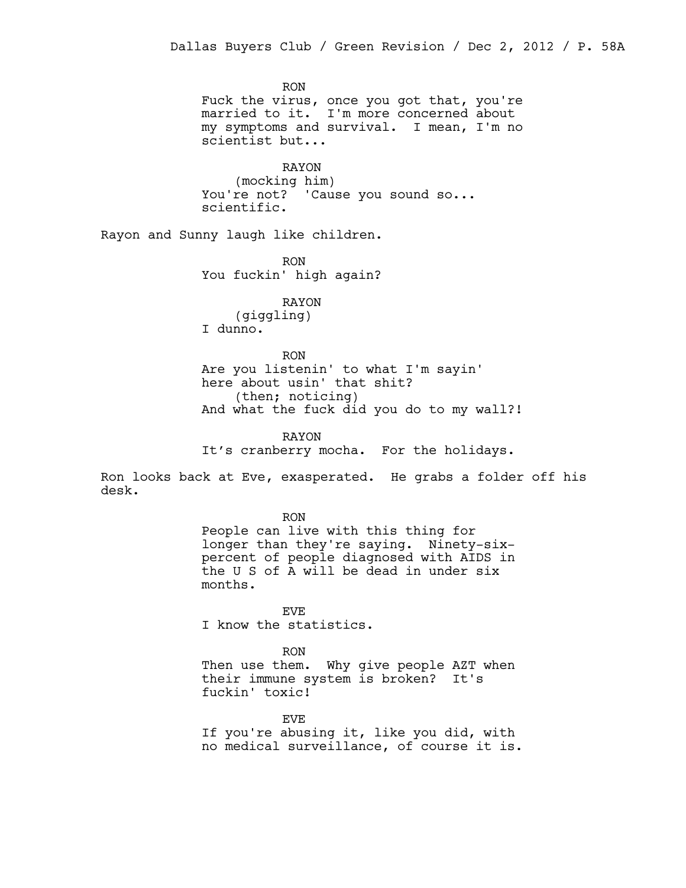RON Fuck the virus, once you got that, you're married to it. I'm more concerned about my symptoms and survival. I mean, I'm no scientist but...

RAYON (mocking him) You're not? 'Cause you sound so... scientific.

Rayon and Sunny laugh like children.

RON You fuckin' high again?

RAYON (giggling) I dunno.

RON Are you listenin' to what I'm sayin' here about usin' that shit? (then; noticing) And what the fuck did you do to my wall?!

RAYON It's cranberry mocha. For the holidays.

Ron looks back at Eve, exasperated. He grabs a folder off his desk.

RON

People can live with this thing for longer than they're saying. Ninety-sixpercent of people diagnosed with AIDS in the U S of A will be dead in under six months.

EVE

I know the statistics.

RON

Then use them. Why give people AZT when their immune system is broken? It's fuckin' toxic!

EVE

If you're abusing it, like you did, with no medical surveillance, of course it is.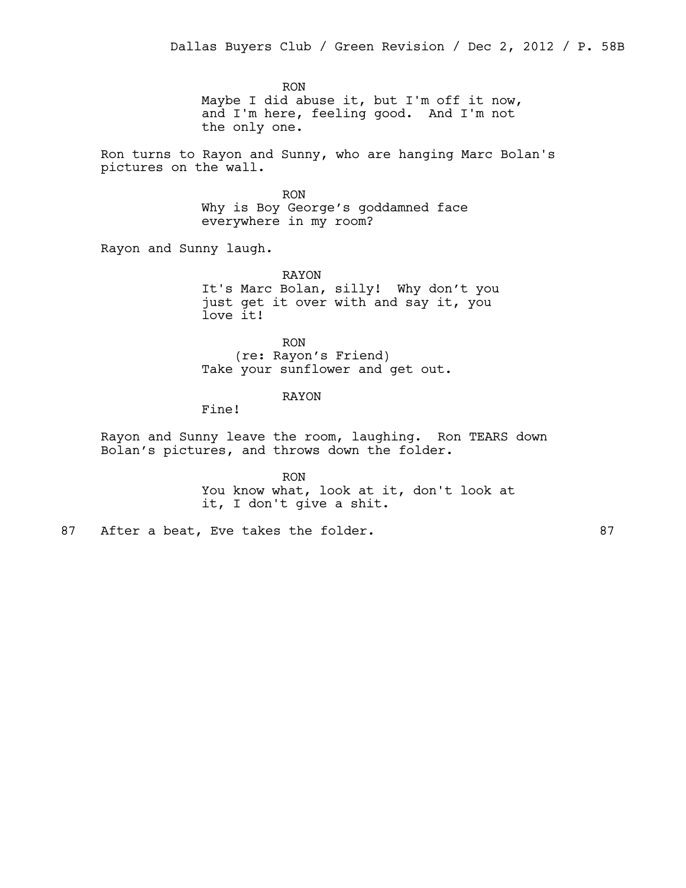RON Maybe I did abuse it, but I'm off it now, and I'm here, feeling good. And I'm not the only one.

Ron turns to Rayon and Sunny, who are hanging Marc Bolan's pictures on the wall.

> RON Why is Boy George's goddamned face everywhere in my room?

Rayon and Sunny laugh.

RAYON It's Marc Bolan, silly! Why don't you just get it over with and say it, you love it!

RON (re: Rayon's Friend) Take your sunflower and get out.

### RAYON

Fine!

Rayon and Sunny leave the room, laughing. Ron TEARS down Bolan's pictures, and throws down the folder.

> RON You know what, look at it, don't look at it, I don't give a shit.

87 After a beat, Eve takes the folder. (87)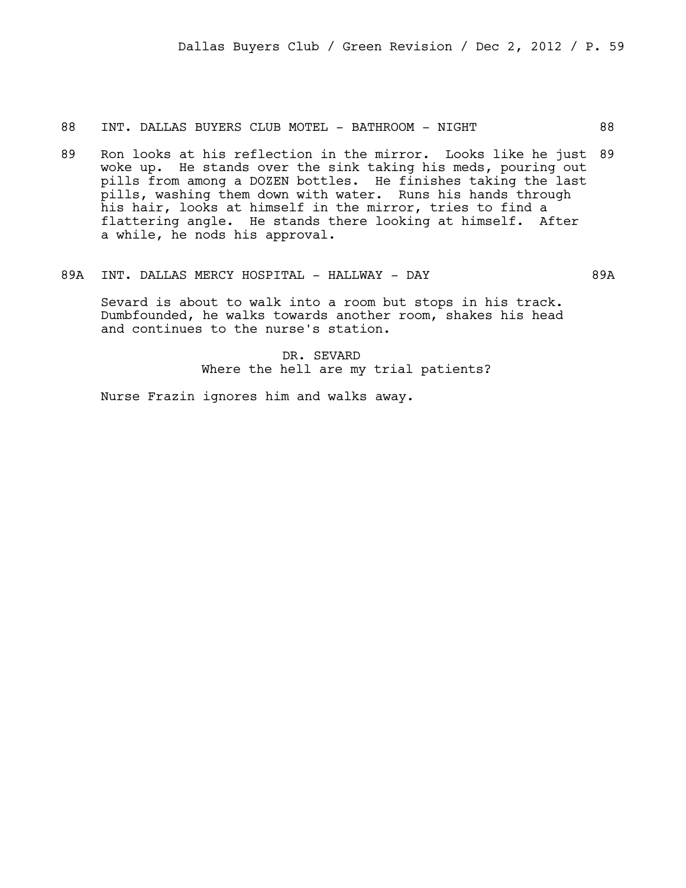88 INT. DALLAS BUYERS CLUB MOTEL - BATHROOM - NIGHT 88

- 89 Ron looks at his reflection in the mirror. Looks like he just 89 woke up. He stands over the sink taking his meds, pouring out pills from among a DOZEN bottles. He finishes taking the last pills, washing them down with water. Runs his hands through his hair, looks at himself in the mirror, tries to find a flattering angle. He stands there looking at himself. After a while, he nods his approval.
- 89A INT. DALLAS MERCY HOSPITAL HALLWAY DAY 89A

Sevard is about to walk into a room but stops in his track. Dumbfounded, he walks towards another room, shakes his head and continues to the nurse's station.

> DR. SEVARD Where the hell are my trial patients?

Nurse Frazin ignores him and walks away.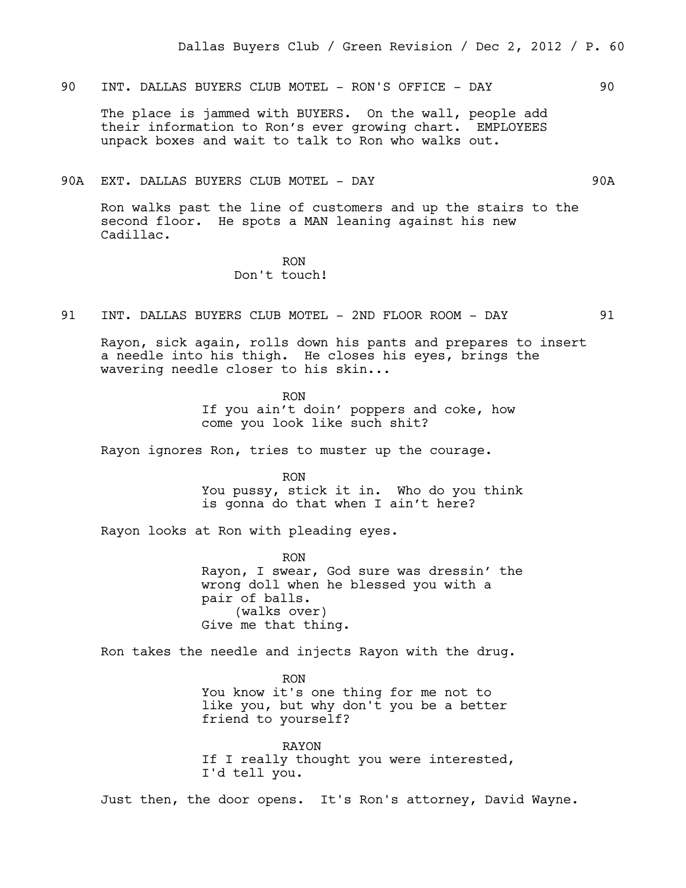90 INT. DALLAS BUYERS CLUB MOTEL - RON'S OFFICE - DAY 90

The place is jammed with BUYERS. On the wall, people add their information to Ron's ever growing chart. EMPLOYEES unpack boxes and wait to talk to Ron who walks out.

#### 90A EXT. DALLAS BUYERS CLUB MOTEL - DAY 90A

Ron walks past the line of customers and up the stairs to the second floor. He spots a MAN leaning against his new Cadillac.

### RON Don't touch!

91 INT. DALLAS BUYERS CLUB MOTEL - 2ND FLOOR ROOM - DAY 91

Rayon, sick again, rolls down his pants and prepares to insert a needle into his thigh. He closes his eyes, brings the wavering needle closer to his skin...

> RON If you ain't doin' poppers and coke, how come you look like such shit?

Rayon ignores Ron, tries to muster up the courage.

RON You pussy, stick it in. Who do you think is gonna do that when I ain't here?

Rayon looks at Ron with pleading eyes.

RON Rayon, I swear, God sure was dressin' the wrong doll when he blessed you with a pair of balls. (walks over) Give me that thing.

Ron takes the needle and injects Rayon with the drug.

RON You know it's one thing for me not to like you, but why don't you be a better friend to yourself?

RAYON If I really thought you were interested, I'd tell you.

Just then, the door opens. It's Ron's attorney, David Wayne.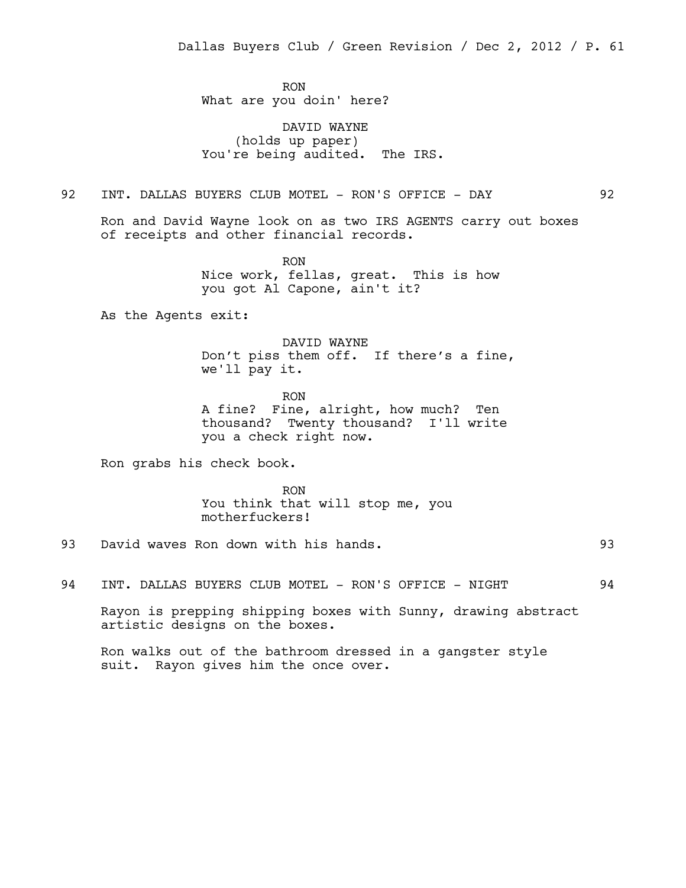RON What are you doin' here?

DAVID WAYNE (holds up paper) You're being audited. The IRS.

## 92 INT. DALLAS BUYERS CLUB MOTEL - RON'S OFFICE - DAY 92

Ron and David Wayne look on as two IRS AGENTS carry out boxes of receipts and other financial records.

> RON Nice work, fellas, great. This is how you got Al Capone, ain't it?

As the Agents exit:

DAVID WAYNE Don't piss them off. If there's a fine, we'll pay it.

RON A fine? Fine, alright, how much? Ten thousand? Twenty thousand? I'll write you a check right now.

Ron grabs his check book.

RON You think that will stop me, you motherfuckers!

93 David waves Ron down with his hands. 93

94 INT. DALLAS BUYERS CLUB MOTEL - RON'S OFFICE - NIGHT 94

Rayon is prepping shipping boxes with Sunny, drawing abstract artistic designs on the boxes.

Ron walks out of the bathroom dressed in a gangster style suit. Rayon gives him the once over.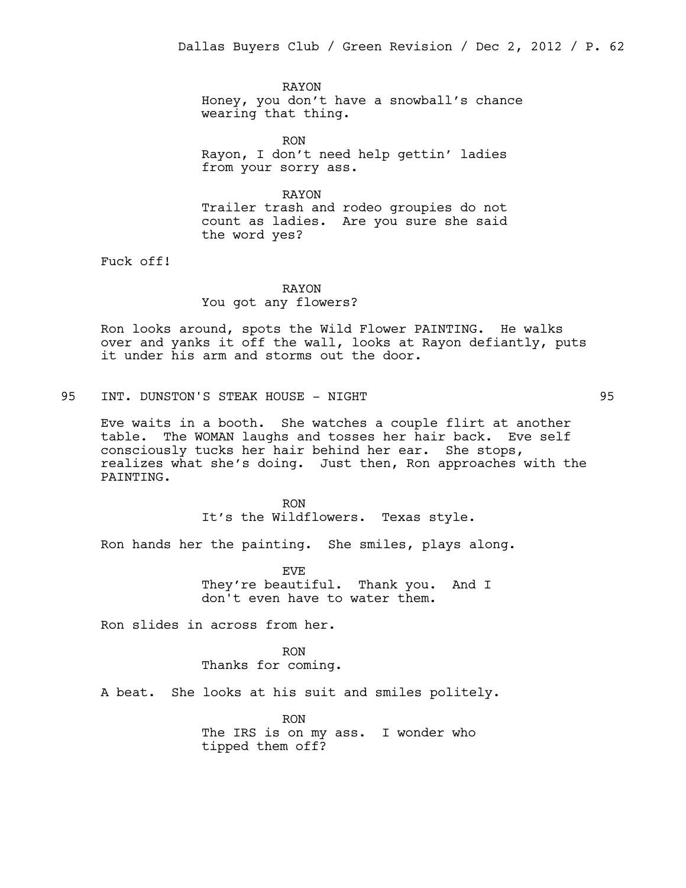RAYON Honey, you don't have a snowball's chance wearing that thing.

RON Rayon, I don't need help gettin' ladies from your sorry ass.

RAYON Trailer trash and rodeo groupies do not count as ladies. Are you sure she said the word yes?

Fuck off!

## RAYON You got any flowers?

Ron looks around, spots the Wild Flower PAINTING. He walks over and yanks it off the wall, looks at Rayon defiantly, puts it under his arm and storms out the door.

95 INT. DUNSTON'S STEAK HOUSE - NIGHT 95

Eve waits in a booth. She watches a couple flirt at another table. The WOMAN laughs and tosses her hair back. Eve self consciously tucks her hair behind her ear. She stops, realizes what she's doing. Just then, Ron approaches with the PAINTING.

> RON It's the Wildflowers. Texas style.

Ron hands her the painting. She smiles, plays along.

EVE They're beautiful. Thank you. And I don't even have to water them.

Ron slides in across from her.

RON Thanks for coming.

A beat. She looks at his suit and smiles politely.

RON The IRS is on my ass. I wonder who tipped them off?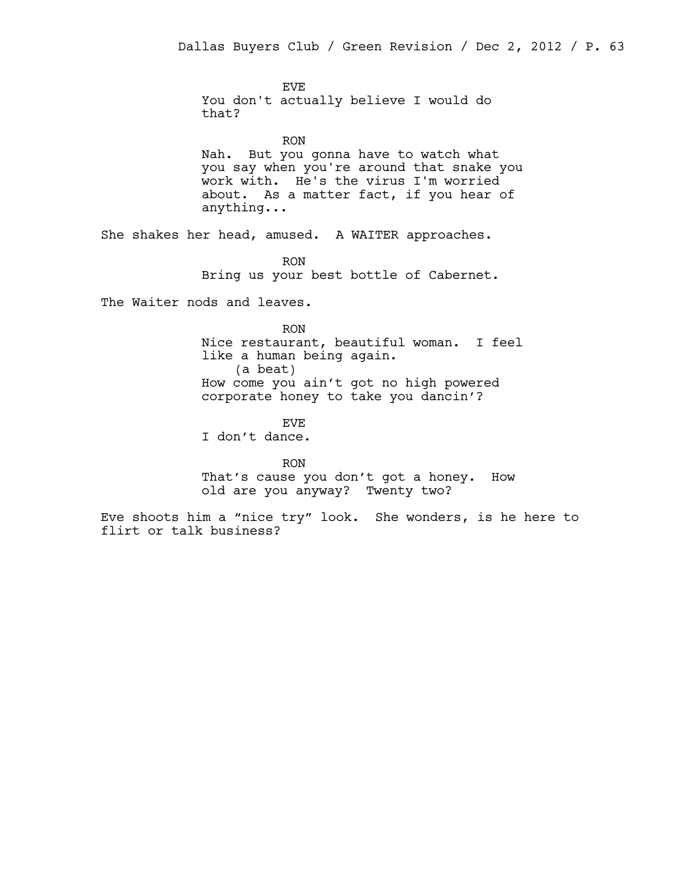EVE You don't actually believe I would do that?

RON Nah. But you gonna have to watch what you say when you're around that snake you work with. He's the virus I'm worried about. As a matter fact, if you hear of anything...

She shakes her head, amused. A WAITER approaches.

RON Bring us your best bottle of Cabernet.

The Waiter nods and leaves.

RON Nice restaurant, beautiful woman. I feel like a human being again. (a beat) How come you ain't got no high powered corporate honey to take you dancin'?

EVE I don't dance.

RON That's cause you don't got a honey. How old are you anyway? Twenty two?

Eve shoots him a "nice try" look. She wonders, is he here to flirt or talk business?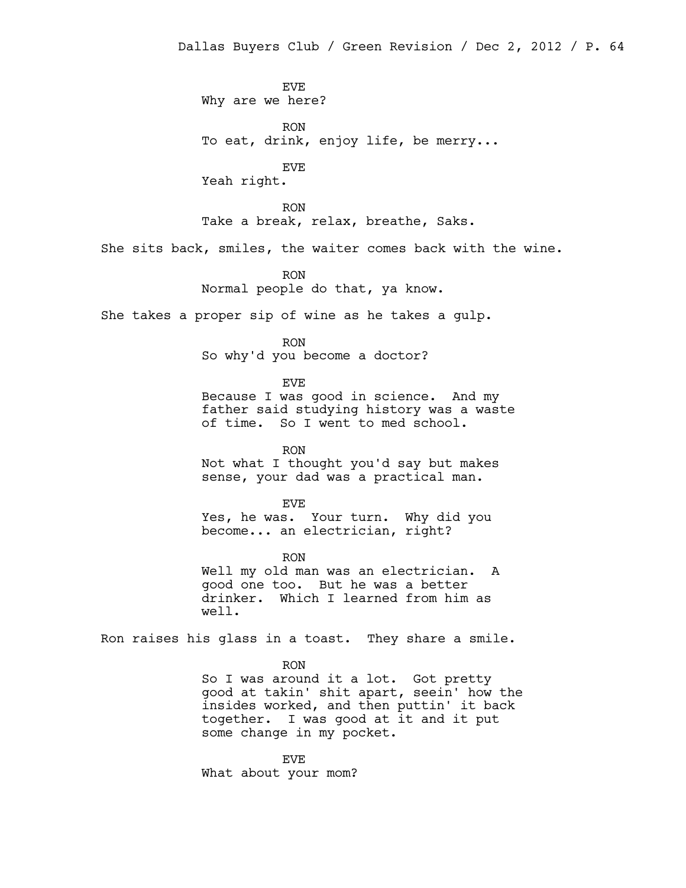EVE Why are we here?

RON To eat, drink, enjoy life, be merry...

EVE

Yeah right.

RON Take a break, relax, breathe, Saks.

She sits back, smiles, the waiter comes back with the wine.

RON Normal people do that, ya know.

She takes a proper sip of wine as he takes a gulp.

RON

So why'd you become a doctor?

EVE

Because I was good in science. And my father said studying history was a waste of time. So I went to med school.

RON Not what I thought you'd say but makes sense, your dad was a practical man.

EVE Yes, he was. Your turn. Why did you become... an electrician, right?

RON Well my old man was an electrician. A good one too. But he was a better drinker. Which I learned from him as well.

Ron raises his glass in a toast. They share a smile.

RON So I was around it a lot. Got pretty good at takin' shit apart, seein' how the insides worked, and then puttin' it back together. I was good at it and it put some change in my pocket.

EVE What about your mom?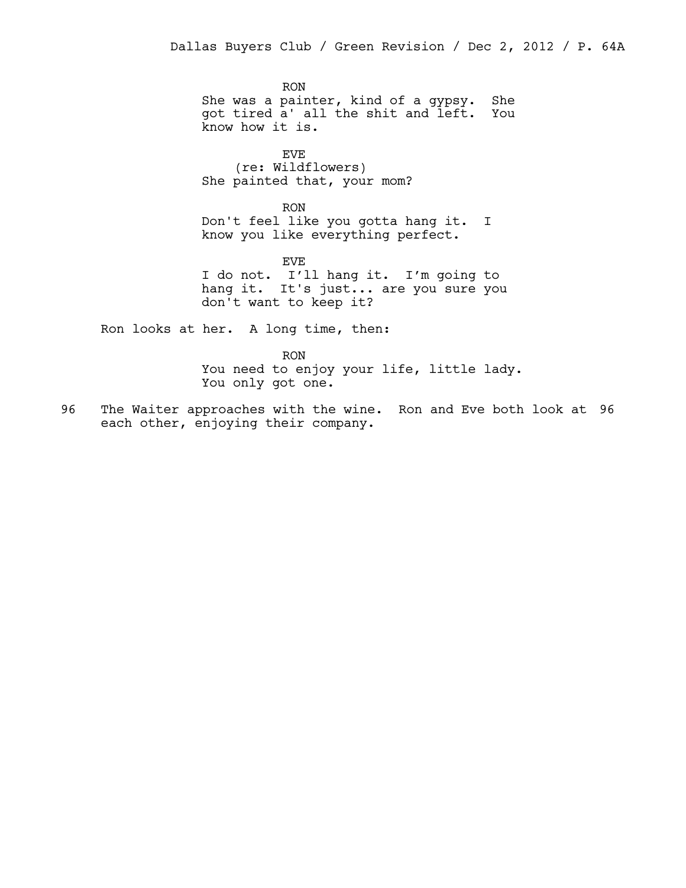RON She was a painter, kind of a gypsy. She got tired a' all the shit and left. You know how it is.

EVE (re: Wildflowers) She painted that, your mom?

RON Don't feel like you gotta hang it. I know you like everything perfect.

EVE I do not. I'll hang it. I'm going to hang it. It's just... are you sure you don't want to keep it?

Ron looks at her. A long time, then:

RON You need to enjoy your life, little lady. You only got one.

96 The Waiter approaches with the wine. Ron and Eve both look at 96 each other, enjoying their company.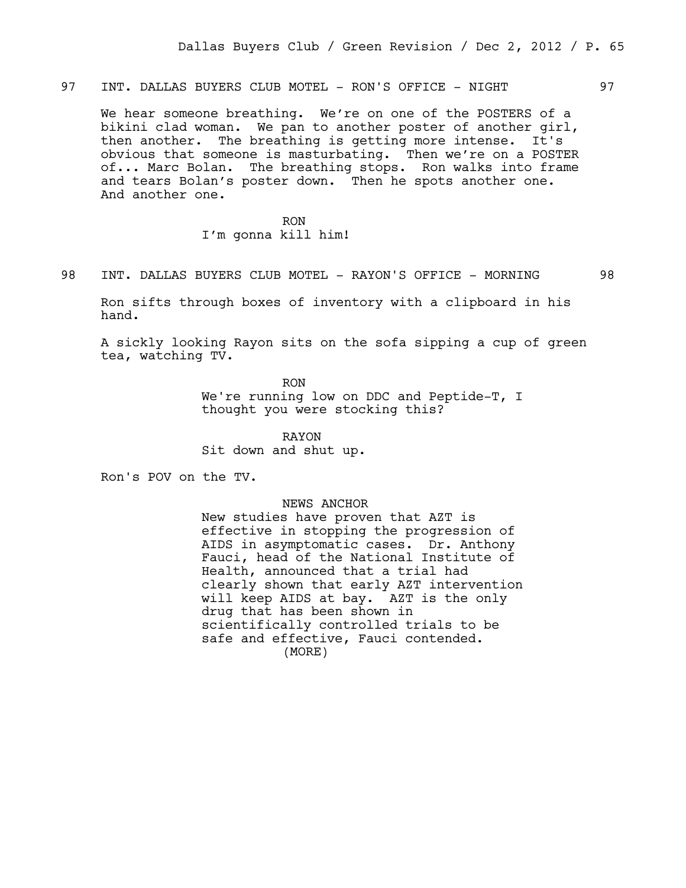97 INT. DALLAS BUYERS CLUB MOTEL - RON'S OFFICE - NIGHT 97

We hear someone breathing. We're on one of the POSTERS of a bikini clad woman. We pan to another poster of another girl, then another. The breathing is getting more intense. It's obvious that someone is masturbating. Then we're on a POSTER of... Marc Bolan. The breathing stops. Ron walks into frame and tears Bolan's poster down. Then he spots another one. And another one.

> RON I'm gonna kill him!

98 INT. DALLAS BUYERS CLUB MOTEL - RAYON'S OFFICE - MORNING 98

Ron sifts through boxes of inventory with a clipboard in his hand.

A sickly looking Rayon sits on the sofa sipping a cup of green tea, watching TV.

RON

We're running low on DDC and Peptide-T, I thought you were stocking this?

RAYON Sit down and shut up.

Ron's POV on the TV.

NEWS ANCHOR

New studies have proven that AZT is effective in stopping the progression of AIDS in asymptomatic cases. Dr. Anthony Fauci, head of the National Institute of Health, announced that a trial had clearly shown that early AZT intervention will keep AIDS at bay. AZT is the only drug that has been shown in scientifically controlled trials to be safe and effective, Fauci contended. (MORE)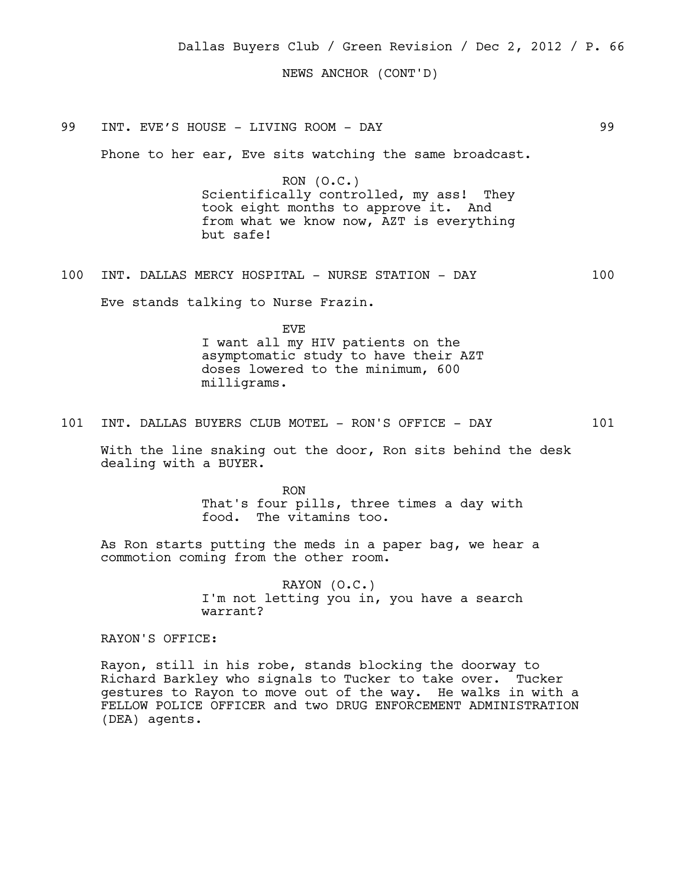Dallas Buyers Club / Green Revision / Dec 2, 2012 / P. 66

NEWS ANCHOR (CONT'D)

99 INT. EVE'S HOUSE - LIVING ROOM - DAY 99

Phone to her ear, Eve sits watching the same broadcast.

RON (O.C.) Scientifically controlled, my ass! They took eight months to approve it. And from what we know now, AZT is everything but safe!

100 INT. DALLAS MERCY HOSPITAL - NURSE STATION - DAY 100

Eve stands talking to Nurse Frazin.

EVE I want all my HIV patients on the asymptomatic study to have their AZT doses lowered to the minimum, 600 milligrams.

101 INT. DALLAS BUYERS CLUB MOTEL - RON'S OFFICE - DAY 101

With the line snaking out the door, Ron sits behind the desk dealing with a BUYER.

> RON That's four pills, three times a day with food. The vitamins too.

As Ron starts putting the meds in a paper bag, we hear a commotion coming from the other room.

> RAYON (O.C.) I'm not letting you in, you have a search warrant?

RAYON'S OFFICE:

Rayon, still in his robe, stands blocking the doorway to Richard Barkley who signals to Tucker to take over. Tucker gestures to Rayon to move out of the way. He walks in with a FELLOW POLICE OFFICER and two DRUG ENFORCEMENT ADMINISTRATION (DEA) agents.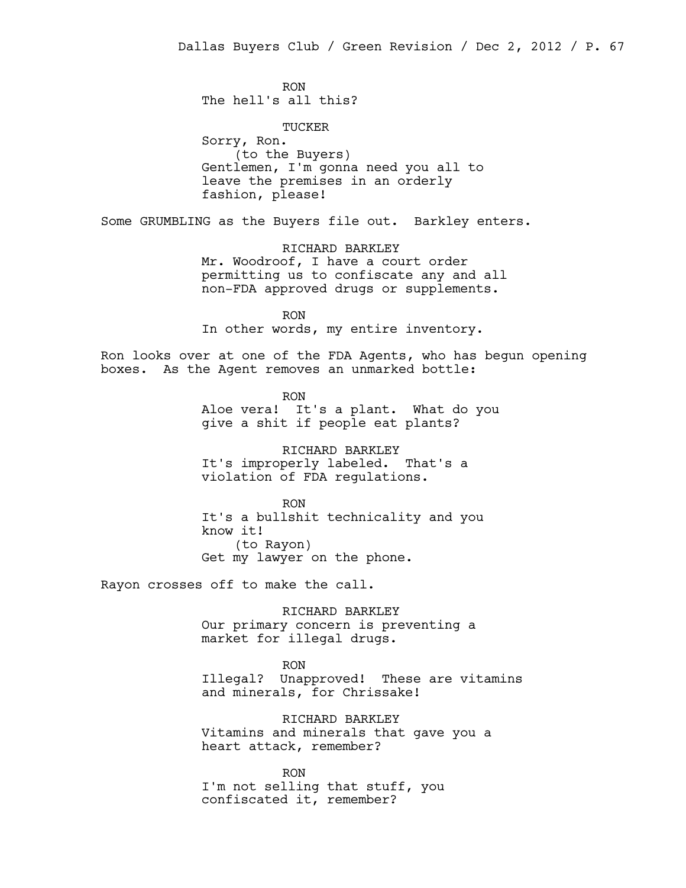RON The hell's all this?

TUCKER Sorry, Ron. (to the Buyers) Gentlemen, I'm gonna need you all to leave the premises in an orderly fashion, please!

Some GRUMBLING as the Buyers file out. Barkley enters.

RICHARD BARKLEY Mr. Woodroof, I have a court order permitting us to confiscate any and all non-FDA approved drugs or supplements.

RON In other words, my entire inventory.

Ron looks over at one of the FDA Agents, who has begun opening boxes. As the Agent removes an unmarked bottle:

> RON Aloe vera! It's a plant. What do you give a shit if people eat plants?

RICHARD BARKLEY It's improperly labeled. That's a violation of FDA regulations.

RON It's a bullshit technicality and you know it! (to Rayon) Get my lawyer on the phone.

Rayon crosses off to make the call.

RICHARD BARKLEY Our primary concern is preventing a market for illegal drugs.

RON

Illegal? Unapproved! These are vitamins and minerals, for Chrissake!

RICHARD BARKLEY Vitamins and minerals that gave you a heart attack, remember?

RON I'm not selling that stuff, you confiscated it, remember?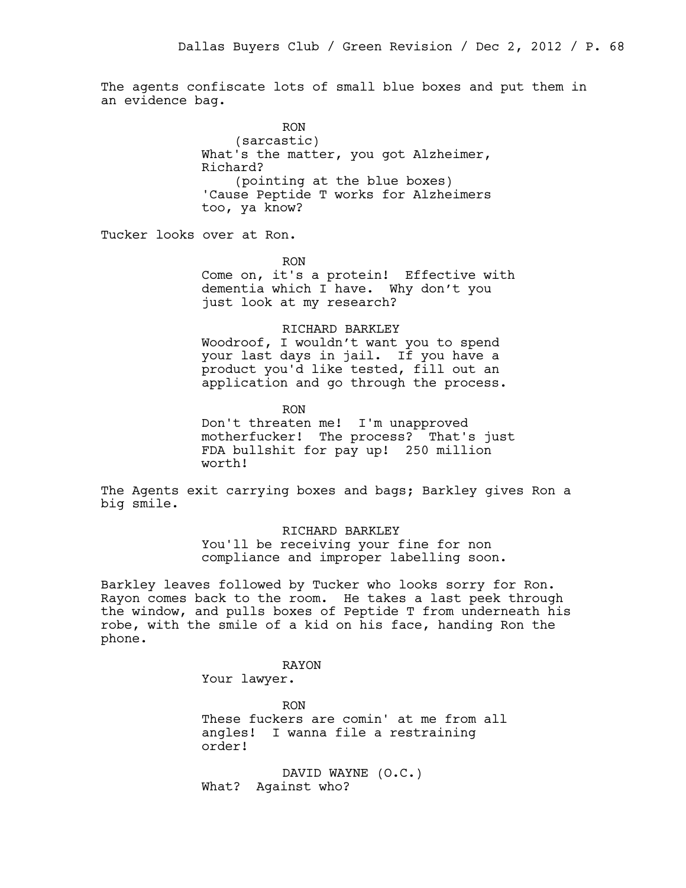The agents confiscate lots of small blue boxes and put them in an evidence bag.

> RON (sarcastic) What's the matter, you got Alzheimer, Richard? (pointing at the blue boxes) 'Cause Peptide T works for Alzheimers too, ya know?

Tucker looks over at Ron.

RON

Come on, it's a protein! Effective with dementia which I have. Why don't you just look at my research?

#### RICHARD BARKLEY

Woodroof, I wouldn't want you to spend your last days in jail. If you have a product you'd like tested, fill out an application and go through the process.

RON

Don't threaten me! I'm unapproved motherfucker! The process? That's just FDA bullshit for pay up! 250 million worth!

The Agents exit carrying boxes and bags; Barkley gives Ron a big smile.

> RICHARD BARKLEY You'll be receiving your fine for non compliance and improper labelling soon.

Barkley leaves followed by Tucker who looks sorry for Ron. Rayon comes back to the room. He takes a last peek through the window, and pulls boxes of Peptide T from underneath his robe, with the smile of a kid on his face, handing Ron the phone.

> RAYON Your lawyer.

> > RON

These fuckers are comin' at me from all angles! I wanna file a restraining order!

DAVID WAYNE (O.C.) What? Against who?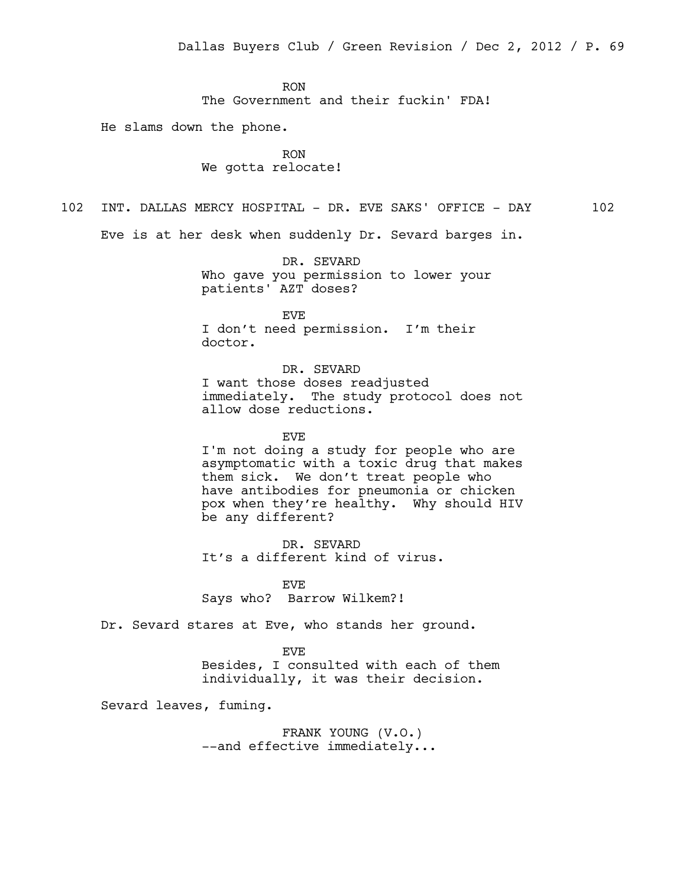RON The Government and their fuckin' FDA!

He slams down the phone.

RON We gotta relocate!

102 INT. DALLAS MERCY HOSPITAL - DR. EVE SAKS' OFFICE - DAY 102

Eve is at her desk when suddenly Dr. Sevard barges in.

DR. SEVARD Who gave you permission to lower your patients' AZT doses?

EVE I don't need permission. I'm their doctor.

DR. SEVARD I want those doses readjusted immediately. The study protocol does not allow dose reductions.

EVE I'm not doing a study for people who are asymptomatic with a toxic drug that makes them sick. We don't treat people who have antibodies for pneumonia or chicken pox when they're healthy. Why should HIV be any different?

DR. SEVARD It's a different kind of virus.

EVE Says who? Barrow Wilkem?!

Dr. Sevard stares at Eve, who stands her ground.

EVE Besides, I consulted with each of them individually, it was their decision.

Sevard leaves, fuming.

FRANK YOUNG (V.O.) --and effective immediately...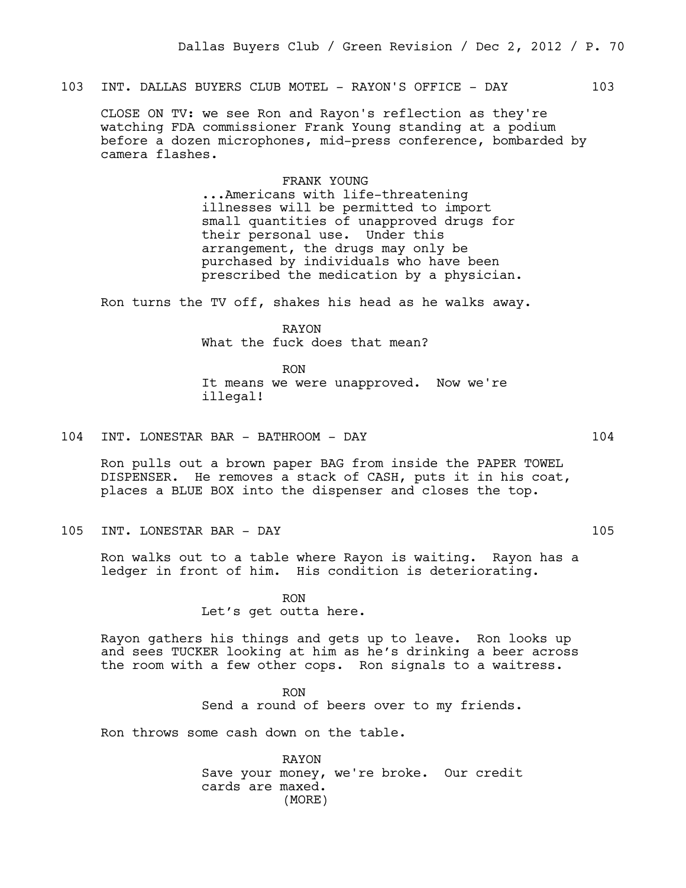103 INT. DALLAS BUYERS CLUB MOTEL - RAYON'S OFFICE - DAY 103

CLOSE ON TV: we see Ron and Rayon's reflection as they're watching FDA commissioner Frank Young standing at a podium before a dozen microphones, mid-press conference, bombarded by camera flashes.

### FRANK YOUNG

...Americans with life-threatening illnesses will be permitted to import small quantities of unapproved drugs for their personal use. Under this arrangement, the drugs may only be purchased by individuals who have been prescribed the medication by a physician.

Ron turns the TV off, shakes his head as he walks away.

RAYON What the fuck does that mean?

RON It means we were unapproved. Now we're illegal!

### 104 INT. LONESTAR BAR - BATHROOM - DAY 104

Ron pulls out a brown paper BAG from inside the PAPER TOWEL DISPENSER. He removes a stack of CASH, puts it in his coat, places a BLUE BOX into the dispenser and closes the top.

105 INT. LONESTAR BAR - DAY 105

Ron walks out to a table where Rayon is waiting. Rayon has a ledger in front of him. His condition is deteriorating.

> RON Let's get outta here.

Rayon gathers his things and gets up to leave. Ron looks up and sees TUCKER looking at him as he's drinking a beer across the room with a few other cops. Ron signals to a waitress.

> RON Send a round of beers over to my friends.

Ron throws some cash down on the table.

RAYON Save your money, we're broke. Our credit cards are maxed. (MORE)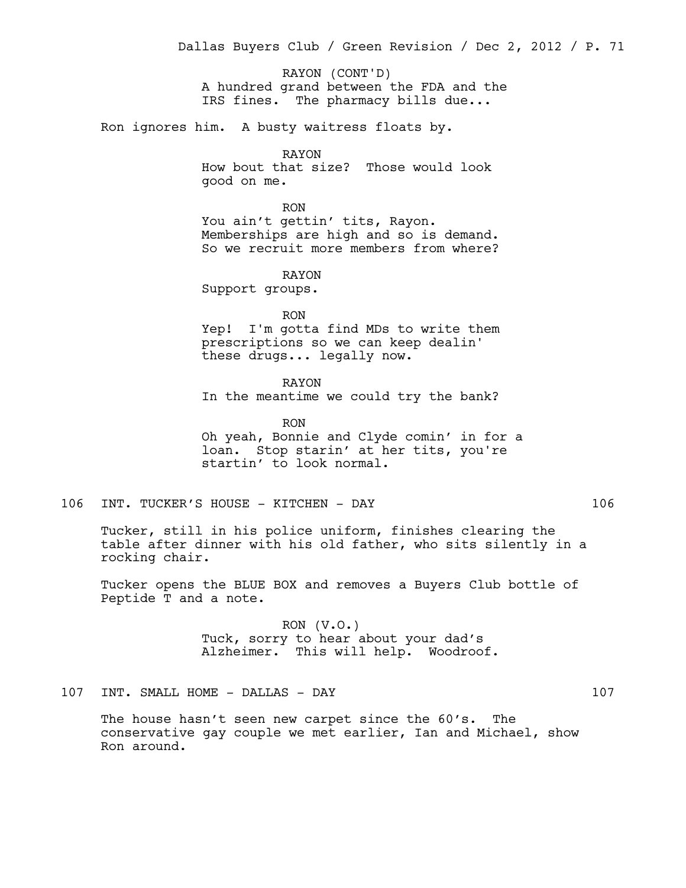A hundred grand between the FDA and the IRS fines. The pharmacy bills due... RAYON (CONT'D)

Ron ignores him. A busty waitress floats by.

RAYON How bout that size? Those would look good on me.

RON You ain't gettin' tits, Rayon. Memberships are high and so is demand. So we recruit more members from where?

RAYON

Support groups.

RON Yep! I'm gotta find MDs to write them prescriptions so we can keep dealin' these drugs... legally now.

RAYON In the meantime we could try the bank?

RON Oh yeah, Bonnie and Clyde comin' in for a loan. Stop starin' at her tits, you're startin' to look normal.

106 INT. TUCKER'S HOUSE - KITCHEN - DAY 106

Tucker, still in his police uniform, finishes clearing the table after dinner with his old father, who sits silently in a rocking chair.

Tucker opens the BLUE BOX and removes a Buyers Club bottle of Peptide T and a note.

> RON (V.O.) Tuck, sorry to hear about your dad's Alzheimer. This will help. Woodroof.

107 INT. SMALL HOME - DALLAS - DAY 107

The house hasn't seen new carpet since the 60's. The conservative gay couple we met earlier, Ian and Michael, show Ron around.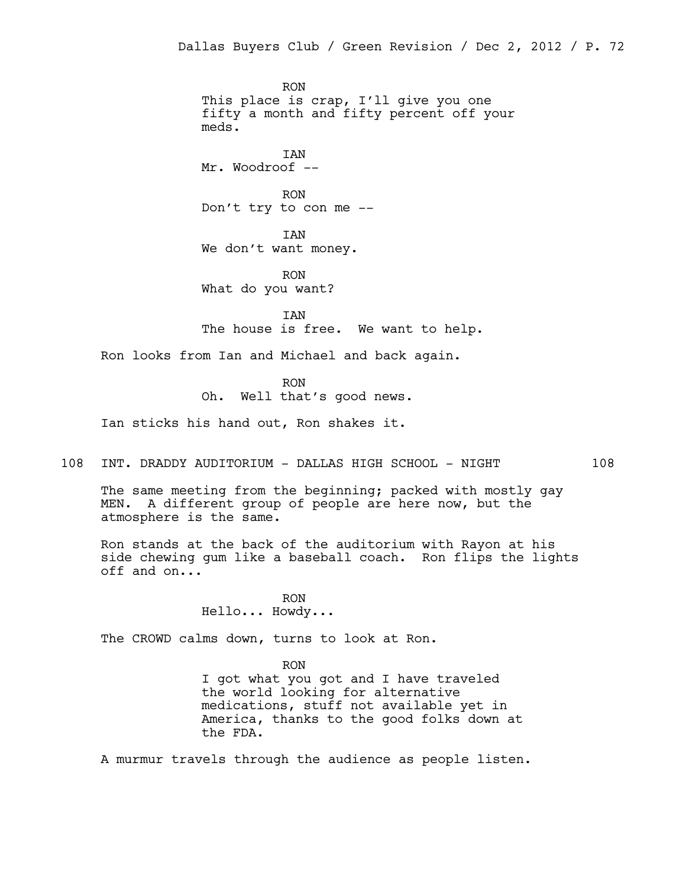RON This place is crap, I'll give you one fifty a month and fifty percent off your meds.

IAN Mr. Woodroof --

RON Don't try to con me --

IAN We don't want money.

RON What do you want?

IAN The house is free. We want to help.

Ron looks from Ian and Michael and back again.

RON

Oh. Well that's good news.

Ian sticks his hand out, Ron shakes it.

108 INT. DRADDY AUDITORIUM - DALLAS HIGH SCHOOL - NIGHT 108

The same meeting from the beginning; packed with mostly gay MEN. A different group of people are here now, but the atmosphere is the same.

Ron stands at the back of the auditorium with Rayon at his side chewing gum like a baseball coach. Ron flips the lights off and on...

> RON Hello... Howdy...

The CROWD calms down, turns to look at Ron.

RON I got what you got and I have traveled the world looking for alternative medications, stuff not available yet in America, thanks to the good folks down at the FDA.

A murmur travels through the audience as people listen.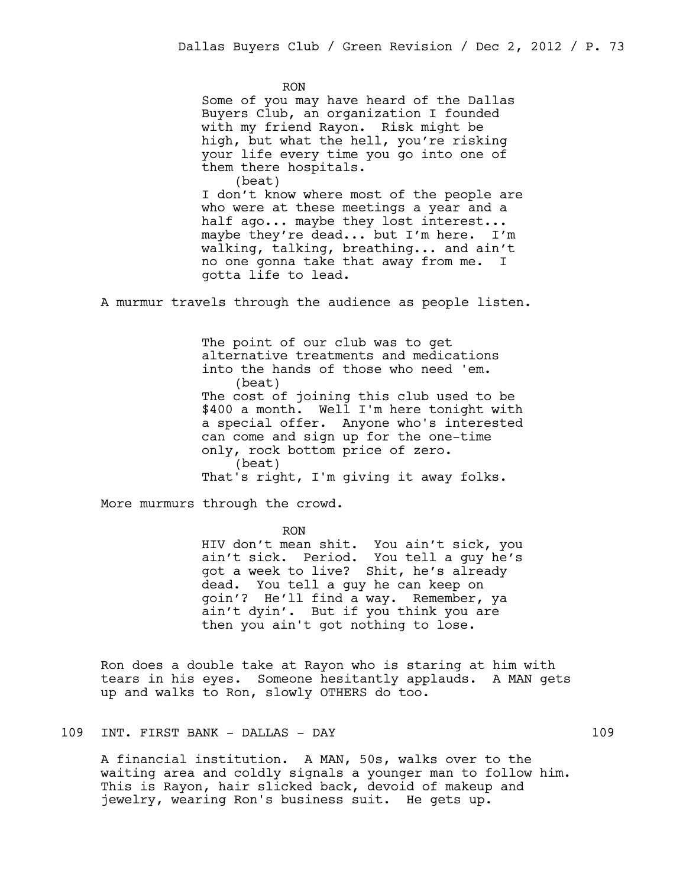RON Some of you may have heard of the Dallas Buyers Club, an organization I founded with my friend Rayon. Risk might be high, but what the hell, you're risking your life every time you go into one of them there hospitals. (beat)

I don't know where most of the people are who were at these meetings a year and a half ago... maybe they lost interest... maybe they're dead... but I'm here. I'm walking, talking, breathing... and ain't no one gonna take that away from me. I gotta life to lead.

A murmur travels through the audience as people listen.

The point of our club was to get alternative treatments and medications into the hands of those who need 'em. (beat) The cost of joining this club used to be \$400 a month. Well I'm here tonight with a special offer. Anyone who's interested can come and sign up for the one-time only, rock bottom price of zero. (beat) That's right, I'm giving it away folks.

More murmurs through the crowd.

RON

HIV don't mean shit. You ain't sick, you ain't sick. Period. You tell a guy he's got a week to live? Shit, he's already dead. You tell a guy he can keep on goin'? He'll find a way. Remember, ya ain't dyin'. But if you think you are then you ain't got nothing to lose.

Ron does a double take at Rayon who is staring at him with tears in his eyes. Someone hesitantly applauds. A MAN gets up and walks to Ron, slowly OTHERS do too.

109 INT. FIRST BANK - DALLAS - DAY 109

A financial institution. A MAN, 50s, walks over to the waiting area and coldly signals a younger man to follow him. This is Rayon, hair slicked back, devoid of makeup and jewelry, wearing Ron's business suit. He gets up.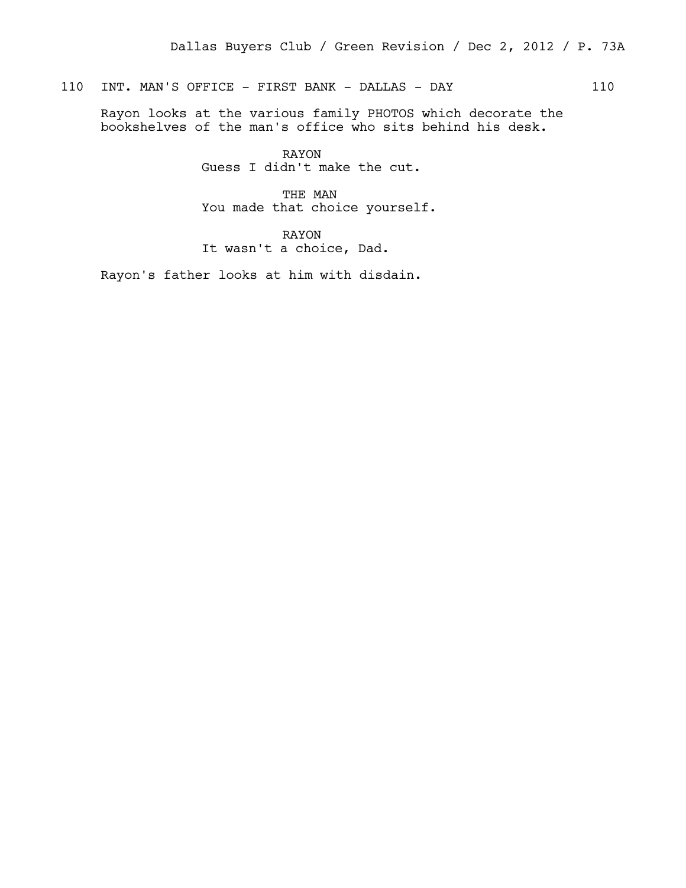# 110 INT. MAN'S OFFICE - FIRST BANK - DALLAS - DAY 110

Rayon looks at the various family PHOTOS which decorate the bookshelves of the man's office who sits behind his desk.

> RAYON Guess I didn't make the cut.

THE MAN You made that choice yourself.

RAYON It wasn't a choice, Dad.

Rayon's father looks at him with disdain.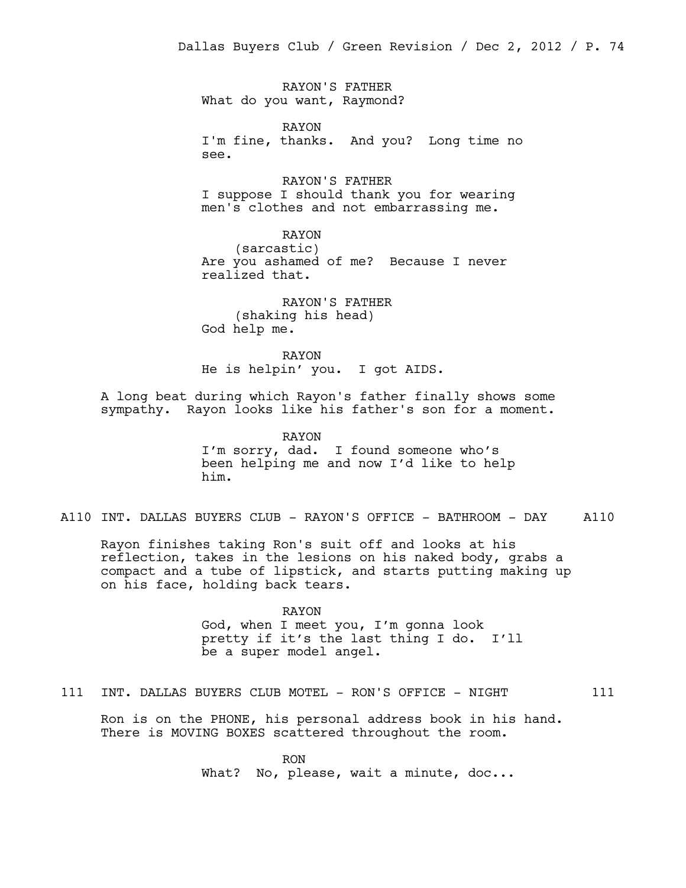RAYON'S FATHER What do you want, Raymond?

RAYON I'm fine, thanks. And you? Long time no see.

RAYON'S FATHER I suppose I should thank you for wearing men's clothes and not embarrassing me.

RAYON (sarcastic) Are you ashamed of me? Because I never realized that.

RAYON'S FATHER (shaking his head) God help me.

RAYON He is helpin' you. I got AIDS.

A long beat during which Rayon's father finally shows some sympathy. Rayon looks like his father's son for a moment.

> RAYON I'm sorry, dad. I found someone who's been helping me and now I'd like to help him.

A110 INT. DALLAS BUYERS CLUB - RAYON'S OFFICE - BATHROOM - DAY A110

Rayon finishes taking Ron's suit off and looks at his reflection, takes in the lesions on his naked body, grabs a compact and a tube of lipstick, and starts putting making up on his face, holding back tears.

> RAYON God, when I meet you, I'm gonna look pretty if it's the last thing I do. I'll be a super model angel.

111 INT. DALLAS BUYERS CLUB MOTEL - RON'S OFFICE - NIGHT 111

Ron is on the PHONE, his personal address book in his hand. There is MOVING BOXES scattered throughout the room.

> RON What? No, please, wait a minute, doc...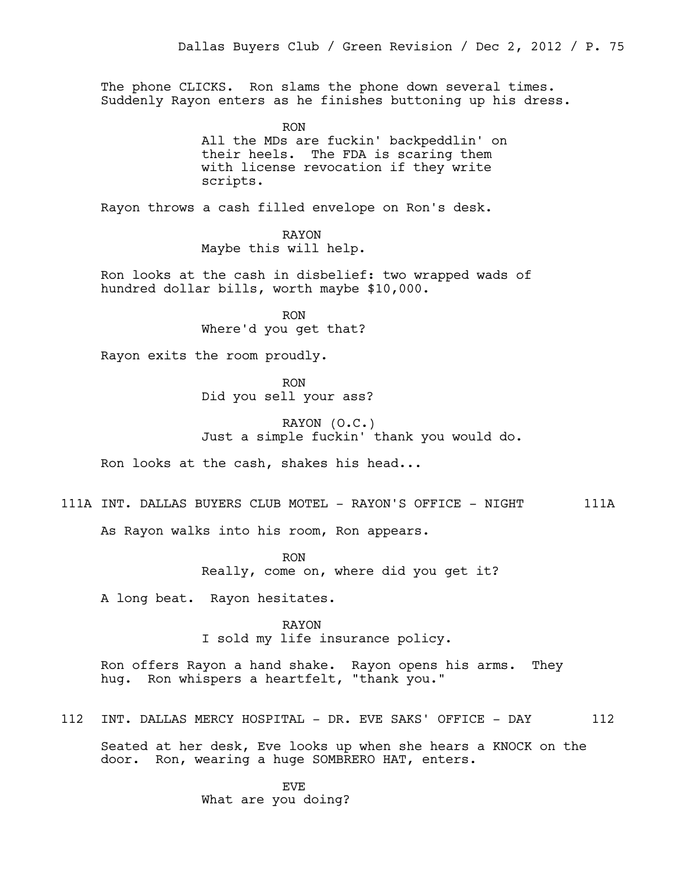The phone CLICKS. Ron slams the phone down several times. Suddenly Rayon enters as he finishes buttoning up his dress.

> RON All the MDs are fuckin' backpeddlin' on their heels. The FDA is scaring them with license revocation if they write scripts.

Rayon throws a cash filled envelope on Ron's desk.

RAYON Maybe this will help.

Ron looks at the cash in disbelief: two wrapped wads of hundred dollar bills, worth maybe \$10,000.

> RON Where'd you get that?

Rayon exits the room proudly.

RON Did you sell your ass?

RAYON (O.C.) Just a simple fuckin' thank you would do.

Ron looks at the cash, shakes his head...

111A INT. DALLAS BUYERS CLUB MOTEL - RAYON'S OFFICE - NIGHT 111A

As Rayon walks into his room, Ron appears.

RON Really, come on, where did you get it?

A long beat. Rayon hesitates.

RAYON I sold my life insurance policy.

Ron offers Rayon a hand shake. Rayon opens his arms. They hug. Ron whispers a heartfelt, "thank you."

112 INT. DALLAS MERCY HOSPITAL - DR. EVE SAKS' OFFICE - DAY 112

Seated at her desk, Eve looks up when she hears a KNOCK on the door. Ron, wearing a huge SOMBRERO HAT, enters.

> EVE What are you doing?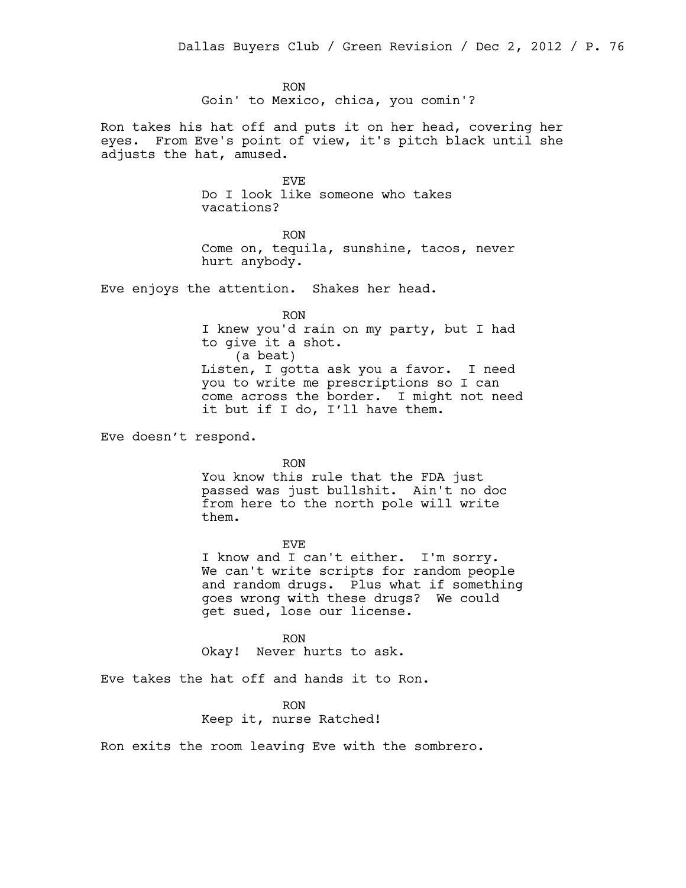RON Goin' to Mexico, chica, you comin'?

Ron takes his hat off and puts it on her head, covering her eyes. From Eve's point of view, it's pitch black until she adjusts the hat, amused.

> EVE Do I look like someone who takes vacations?

RON Come on, tequila, sunshine, tacos, never hurt anybody.

Eve enjoys the attention. Shakes her head.

RON I knew you'd rain on my party, but I had to give it a shot. (a beat) Listen, I gotta ask you a favor. I need you to write me prescriptions so I can come across the border. I might not need it but if I do, I'll have them.

Eve doesn't respond.

RON

You know this rule that the FDA just passed was just bullshit. Ain't no doc from here to the north pole will write them.

EVE

I know and I can't either. I'm sorry. We can't write scripts for random people and random drugs. Plus what if something goes wrong with these drugs? We could get sued, lose our license.

RON Okay! Never hurts to ask.

Eve takes the hat off and hands it to Ron.

RON Keep it, nurse Ratched!

Ron exits the room leaving Eve with the sombrero.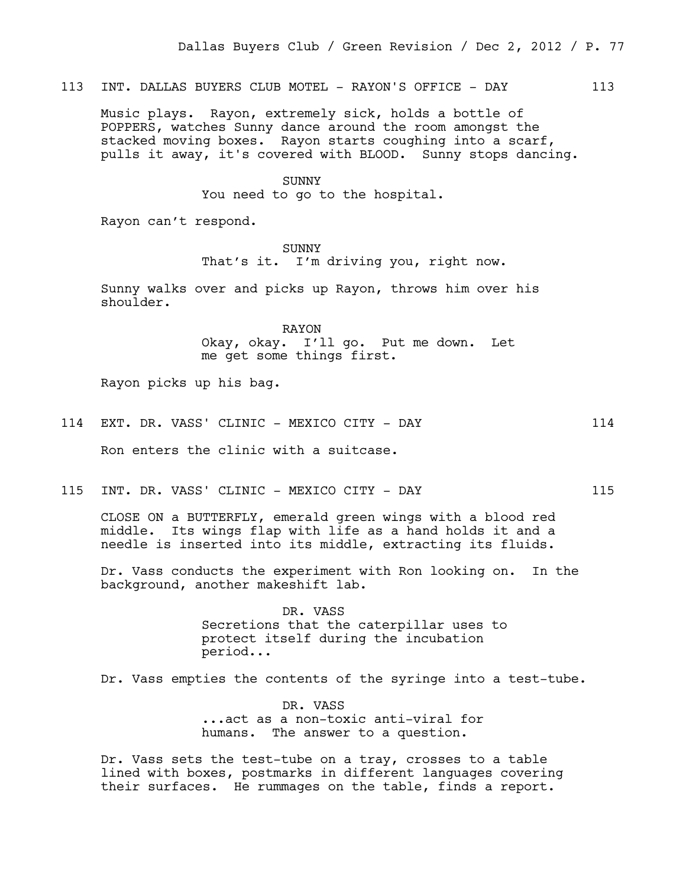113 INT. DALLAS BUYERS CLUB MOTEL - RAYON'S OFFICE - DAY 113

Music plays. Rayon, extremely sick, holds a bottle of POPPERS, watches Sunny dance around the room amongst the stacked moving boxes. Rayon starts coughing into a scarf, pulls it away, it's covered with BLOOD. Sunny stops dancing.

SUNNY

You need to go to the hospital.

Rayon can't respond.

SUNNY That's it. I'm driving you, right now.

Sunny walks over and picks up Rayon, throws him over his shoulder.

> RAYON Okay, okay. I'll go. Put me down. Let me get some things first.

Rayon picks up his bag.

114 EXT. DR. VASS' CLINIC - MEXICO CITY - DAY 114

Ron enters the clinic with a suitcase.

115 INT. DR. VASS' CLINIC - MEXICO CITY - DAY 115

CLOSE ON a BUTTERFLY, emerald green wings with a blood red middle. Its wings flap with life as a hand holds it and a needle is inserted into its middle, extracting its fluids.

Dr. Vass conducts the experiment with Ron looking on. In the background, another makeshift lab.

> DR. VASS Secretions that the caterpillar uses to protect itself during the incubation period...

Dr. Vass empties the contents of the syringe into a test-tube.

DR. VASS ...act as a non-toxic anti-viral for humans. The answer to a question.

Dr. Vass sets the test-tube on a tray, crosses to a table lined with boxes, postmarks in different languages covering their surfaces. He rummages on the table, finds a report.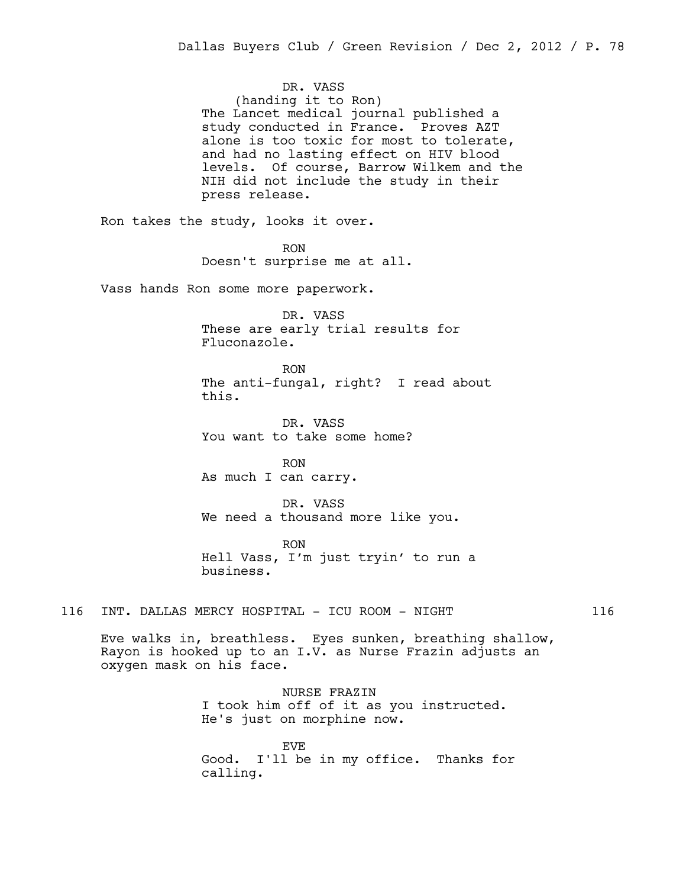DR. VASS (handing it to Ron) The Lancet medical journal published a study conducted in France. Proves AZT alone is too toxic for most to tolerate, and had no lasting effect on HIV blood levels. Of course, Barrow Wilkem and the NIH did not include the study in their press release.

Ron takes the study, looks it over.

RON Doesn't surprise me at all.

Vass hands Ron some more paperwork.

DR. VASS These are early trial results for Fluconazole.

RON The anti-fungal, right? I read about this.

DR. VASS You want to take some home?

RON As much I can carry.

DR. VASS We need a thousand more like you.

RON Hell Vass, I'm just tryin' to run a business.

116 INT. DALLAS MERCY HOSPITAL - ICU ROOM - NIGHT 116

Eve walks in, breathless. Eyes sunken, breathing shallow, Rayon is hooked up to an I.V. as Nurse Frazin adjusts an oxygen mask on his face.

> NURSE FRAZIN I took him off of it as you instructed. He's just on morphine now.

EVE Good. I'll be in my office. Thanks for calling.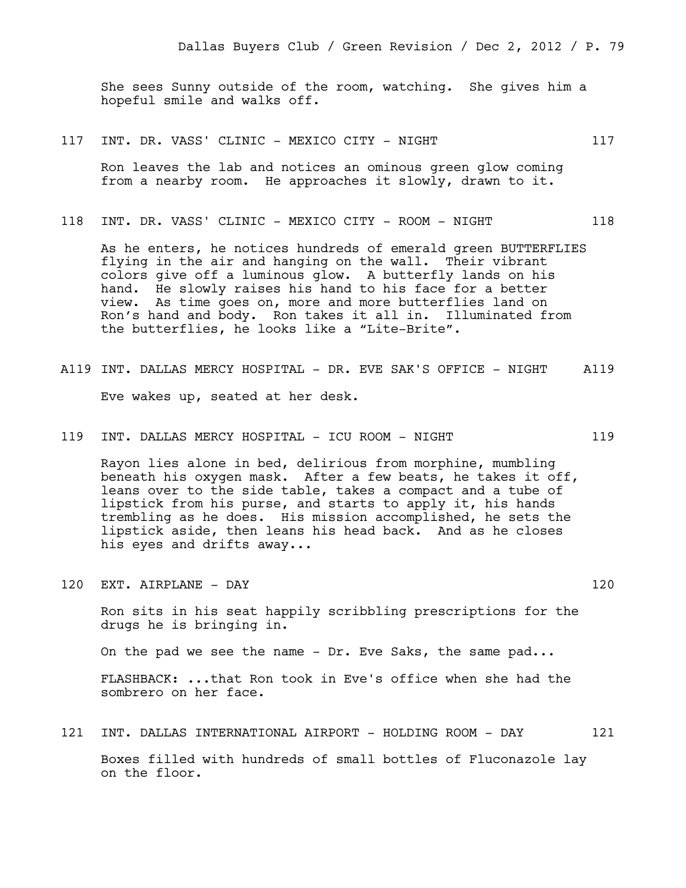She sees Sunny outside of the room, watching. She gives him a hopeful smile and walks off.

117 INT. DR. VASS' CLINIC - MEXICO CITY - NIGHT 117

Ron leaves the lab and notices an ominous green glow coming from a nearby room. He approaches it slowly, drawn to it.

118 INT. DR. VASS' CLINIC - MEXICO CITY - ROOM - NIGHT 118

As he enters, he notices hundreds of emerald green BUTTERFLIES flying in the air and hanging on the wall. Their vibrant colors give off a luminous glow. A butterfly lands on his hand. He slowly raises his hand to his face for a better view. As time goes on, more and more butterflies land on Ron's hand and body. Ron takes it all in. Illuminated from the butterflies, he looks like a "Lite-Brite".

- A119 INT. DALLAS MERCY HOSPITAL DR. EVE SAK'S OFFICE NIGHT A119 Eve wakes up, seated at her desk.
- 119 INT. DALLAS MERCY HOSPITAL ICU ROOM NIGHT 119

Rayon lies alone in bed, delirious from morphine, mumbling beneath his oxygen mask. After a few beats, he takes it off, leans over to the side table, takes a compact and a tube of lipstick from his purse, and starts to apply it, his hands trembling as he does. His mission accomplished, he sets the lipstick aside, then leans his head back. And as he closes his eyes and drifts away...

- 120 EXT. AIRPLANE DAY 120 Ron sits in his seat happily scribbling prescriptions for the drugs he is bringing in. On the pad we see the name - Dr. Eve Saks, the same pad... FLASHBACK: ...that Ron took in Eve's office when she had the sombrero on her face.
- 121 INT. DALLAS INTERNATIONAL AIRPORT HOLDING ROOM DAY 121

Boxes filled with hundreds of small bottles of Fluconazole lay on the floor.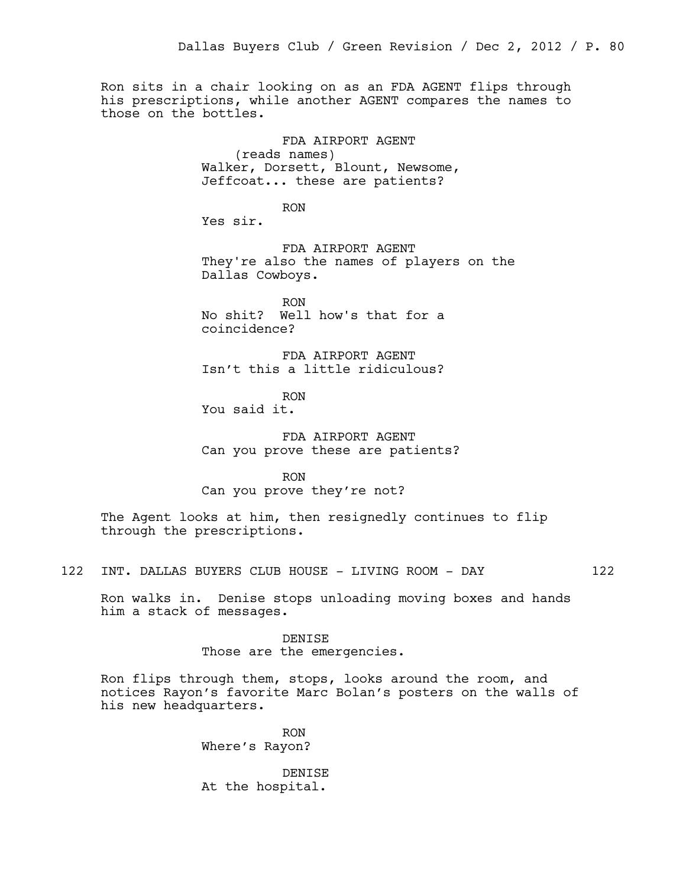Ron sits in a chair looking on as an FDA AGENT flips through his prescriptions, while another AGENT compares the names to those on the bottles.

> FDA AIRPORT AGENT (reads names) Walker, Dorsett, Blount, Newsome, Jeffcoat... these are patients?

> > RON

Yes sir.

FDA AIRPORT AGENT They're also the names of players on the Dallas Cowboys.

RON No shit? Well how's that for a coincidence?

FDA AIRPORT AGENT Isn't this a little ridiculous?

RON You said it.

FDA AIRPORT AGENT Can you prove these are patients?

RON

Can you prove they're not?

The Agent looks at him, then resignedly continues to flip through the prescriptions.

122 INT. DALLAS BUYERS CLUB HOUSE - LIVING ROOM - DAY 122

Ron walks in. Denise stops unloading moving boxes and hands him a stack of messages.

#### DENISE

Those are the emergencies.

Ron flips through them, stops, looks around the room, and notices Rayon's favorite Marc Bolan's posters on the walls of his new headquarters.

> RON Where's Rayon?

DENISE At the hospital.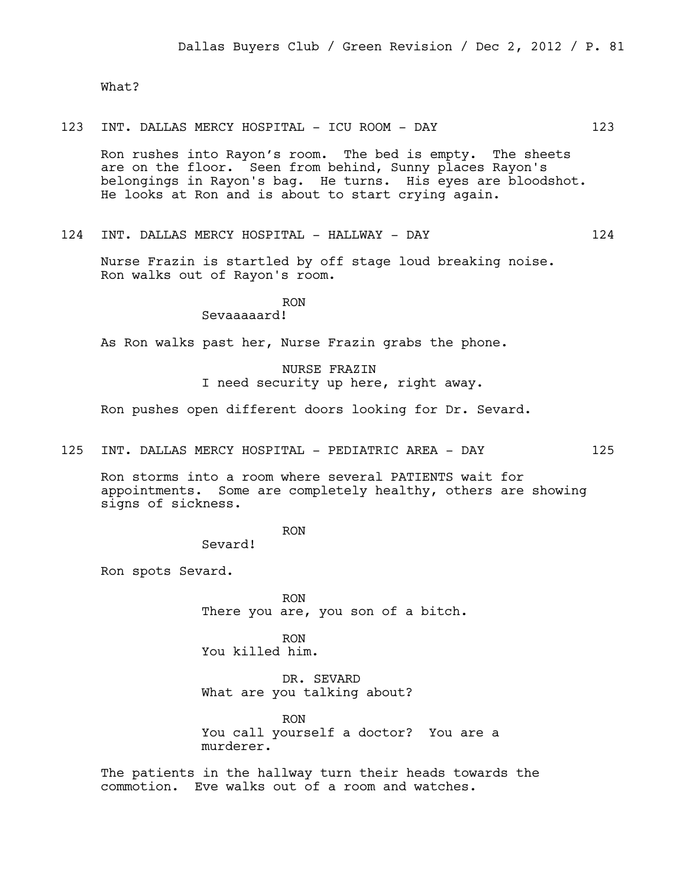What?

123 INT. DALLAS MERCY HOSPITAL - ICU ROOM - DAY 123

Ron rushes into Rayon's room. The bed is empty. The sheets are on the floor. Seen from behind, Sunny places Rayon's belongings in Rayon's bag. He turns. His eyes are bloodshot. He looks at Ron and is about to start crying again.

124 INT. DALLAS MERCY HOSPITAL - HALLWAY - DAY 124

Nurse Frazin is startled by off stage loud breaking noise. Ron walks out of Rayon's room.

# RON

## Sevaaaaard!

As Ron walks past her, Nurse Frazin grabs the phone.

## NURSE FRAZIN

I need security up here, right away.

Ron pushes open different doors looking for Dr. Sevard.

125 INT. DALLAS MERCY HOSPITAL - PEDIATRIC AREA - DAY 125

Ron storms into a room where several PATIENTS wait for appointments. Some are completely healthy, others are showing signs of sickness.

RON

Sevard!

Ron spots Sevard.

RON There you are, you son of a bitch.

RON You killed him.

DR. SEVARD What are you talking about?

RON You call yourself a doctor? You are a murderer.

The patients in the hallway turn their heads towards the commotion. Eve walks out of a room and watches.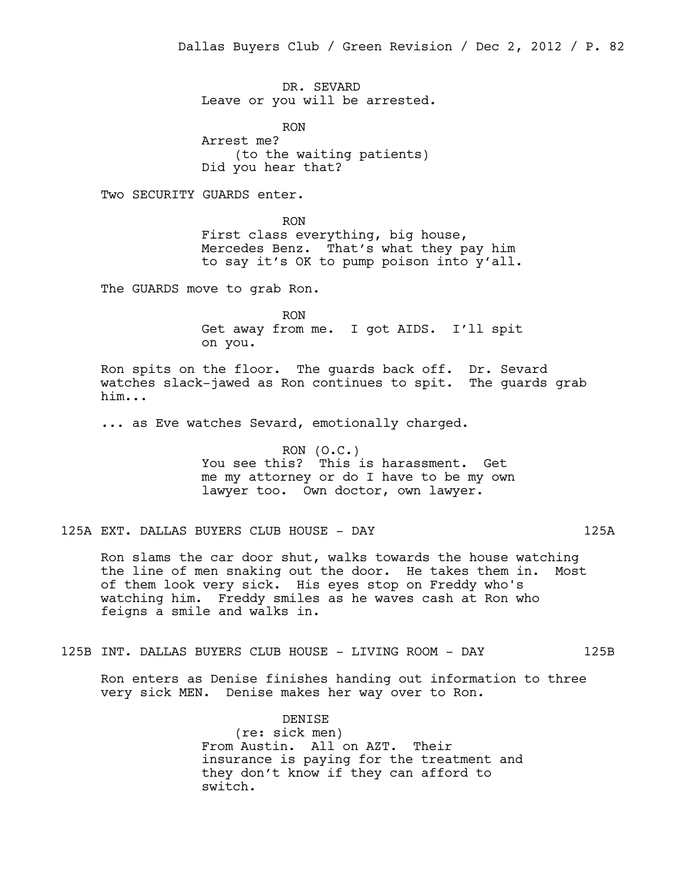DR. SEVARD Leave or you will be arrested.

RON Arrest me? (to the waiting patients) Did you hear that?

Two SECURITY GUARDS enter.

RON First class everything, big house, Mercedes Benz. That's what they pay him to say it's OK to pump poison into y'all.

The GUARDS move to grab Ron.

RON Get away from me. I got AIDS. I'll spit on you.

Ron spits on the floor. The guards back off. Dr. Sevard watches slack-jawed as Ron continues to spit. The guards grab him...

... as Eve watches Sevard, emotionally charged.

RON (O.C.) You see this? This is harassment. Get me my attorney or do I have to be my own lawyer too. Own doctor, own lawyer.

125A EXT. DALLAS BUYERS CLUB HOUSE - DAY 125A

Ron slams the car door shut, walks towards the house watching the line of men snaking out the door. He takes them in. Most of them look very sick. His eyes stop on Freddy who's watching him. Freddy smiles as he waves cash at Ron who feigns a smile and walks in.

125B INT. DALLAS BUYERS CLUB HOUSE - LIVING ROOM - DAY 125B

Ron enters as Denise finishes handing out information to three very sick MEN. Denise makes her way over to Ron.

> DENISE (re: sick men) From Austin. All on AZT. Their insurance is paying for the treatment and they don't know if they can afford to switch.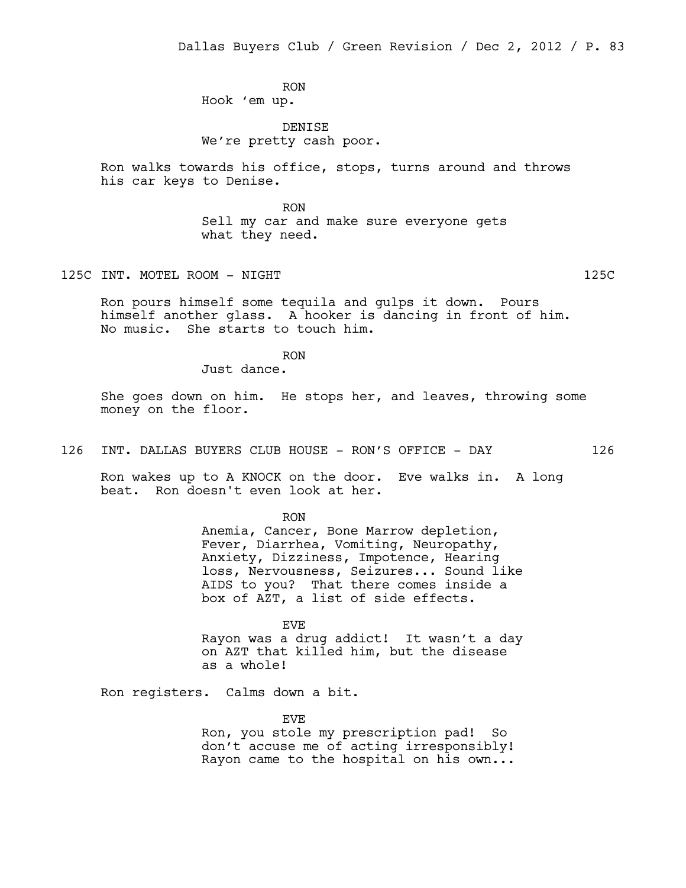RON Hook 'em up.

DENISE We're pretty cash poor.

Ron walks towards his office, stops, turns around and throws his car keys to Denise.

> RON Sell my car and make sure everyone gets what they need.

125C INT. MOTEL ROOM - NIGHT 125C

Ron pours himself some tequila and gulps it down. Pours himself another glass. A hooker is dancing in front of him. No music. She starts to touch him.

RON

Just dance.

She goes down on him. He stops her, and leaves, throwing some money on the floor.

126 INT. DALLAS BUYERS CLUB HOUSE - RON'S OFFICE - DAY 126

Ron wakes up to A KNOCK on the door. Eve walks in. A long beat. Ron doesn't even look at her.

RON

Anemia, Cancer, Bone Marrow depletion, Fever, Diarrhea, Vomiting, Neuropathy, Anxiety, Dizziness, Impotence, Hearing loss, Nervousness, Seizures... Sound like AIDS to you? That there comes inside a box of AZT, a list of side effects.

EVE Rayon was a drug addict! It wasn't a day on AZT that killed him, but the disease as a whole!

Ron registers. Calms down a bit.

EVE

Ron, you stole my prescription pad! So don't accuse me of acting irresponsibly! Rayon came to the hospital on his own...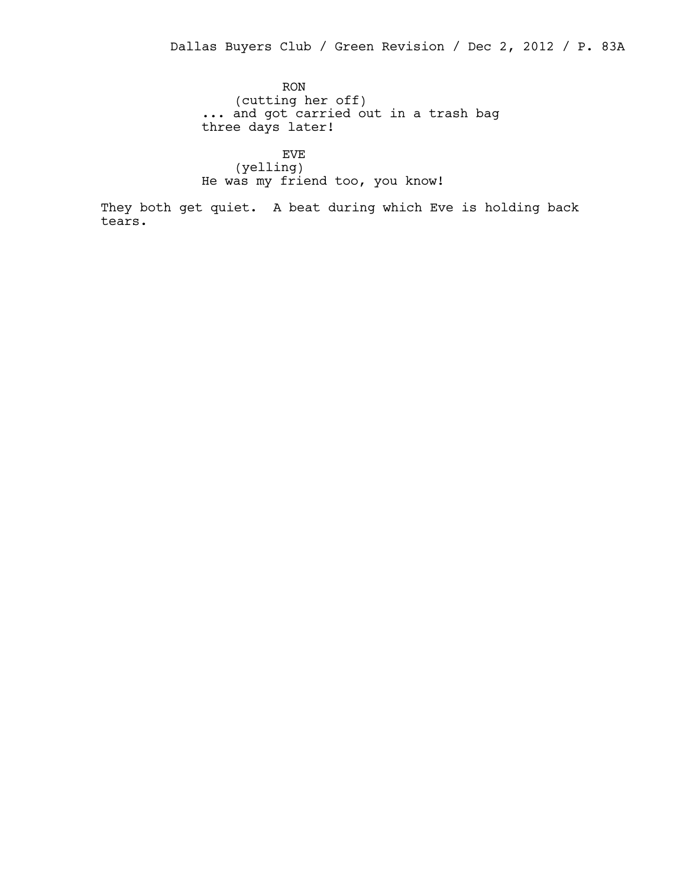RON (cutting her off) ... and got carried out in a trash bag three days later!

EVE (yelling) He was my friend too, you know!

They both get quiet. A beat during which Eve is holding back tears.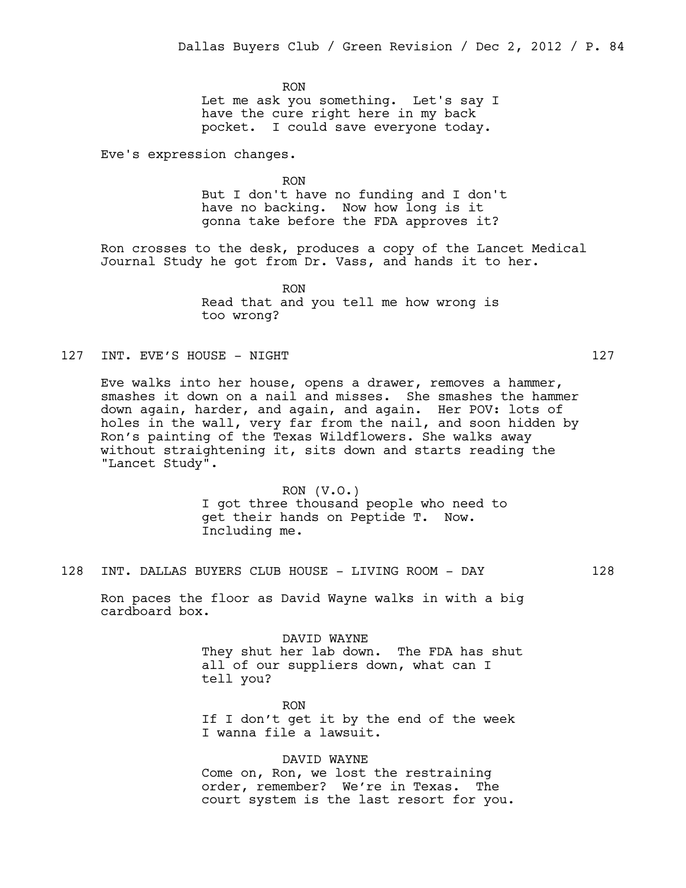RON Let me ask you something. Let's say I have the cure right here in my back pocket. I could save everyone today.

Eve's expression changes.

RON But I don't have no funding and I don't have no backing. Now how long is it gonna take before the FDA approves it?

Ron crosses to the desk, produces a copy of the Lancet Medical Journal Study he got from Dr. Vass, and hands it to her.

> RON Read that and you tell me how wrong is too wrong?

127 INT. EVE'S HOUSE – NIGHT

Eve walks into her house, opens a drawer, removes a hammer, smashes it down on a nail and misses. She smashes the hammer down again, harder, and again, and again. Her POV: lots of holes in the wall, very far from the nail, and soon hidden by Ron's painting of the Texas Wildflowers. She walks away without straightening it, sits down and starts reading the "Lancet Study".

> $RON (V.O.)$ I got three thousand people who need to get their hands on Peptide T. Now. Including me.

128 INT. DALLAS BUYERS CLUB HOUSE - LIVING ROOM - DAY 128

Ron paces the floor as David Wayne walks in with a big cardboard box.

> DAVID WAYNE They shut her lab down. The FDA has shut all of our suppliers down, what can I tell you?

RON If I don't get it by the end of the week I wanna file a lawsuit.

DAVID WAYNE

Come on, Ron, we lost the restraining order, remember? We're in Texas. The court system is the last resort for you.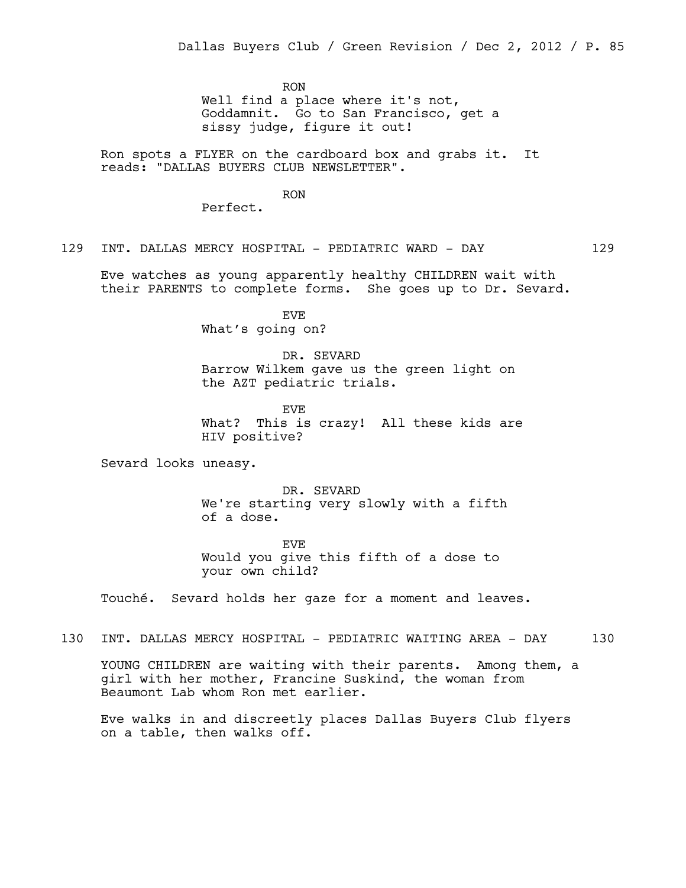RON

Well find a place where it's not, Goddamnit. Go to San Francisco, get a sissy judge, figure it out!

Ron spots a FLYER on the cardboard box and grabs it. It reads: "DALLAS BUYERS CLUB NEWSLETTER".

RON

Perfect.

129 INT. DALLAS MERCY HOSPITAL - PEDIATRIC WARD - DAY 129

Eve watches as young apparently healthy CHILDREN wait with their PARENTS to complete forms. She goes up to Dr. Sevard.

> EVE What's going on?

DR. SEVARD Barrow Wilkem gave us the green light on the AZT pediatric trials.

EVE What? This is crazy! All these kids are HIV positive?

Sevard looks uneasy.

DR. SEVARD We're starting very slowly with a fifth of a dose.

EVE Would you give this fifth of a dose to your own child?

Touché. Sevard holds her gaze for a moment and leaves.

130 INT. DALLAS MERCY HOSPITAL - PEDIATRIC WAITING AREA - DAY 130

YOUNG CHILDREN are waiting with their parents. Among them, a girl with her mother, Francine Suskind, the woman from Beaumont Lab whom Ron met earlier.

Eve walks in and discreetly places Dallas Buyers Club flyers on a table, then walks off.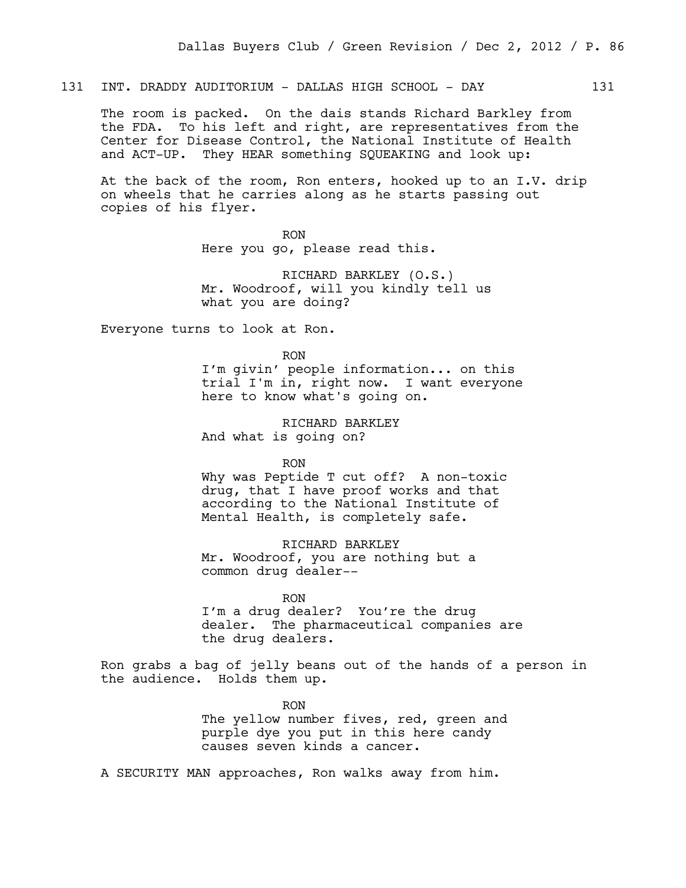131 INT. DRADDY AUDITORIUM - DALLAS HIGH SCHOOL - DAY 131

The room is packed. On the dais stands Richard Barkley from the FDA. To his left and right, are representatives from the Center for Disease Control, the National Institute of Health and ACT-UP. They HEAR something SQUEAKING and look up:

At the back of the room, Ron enters, hooked up to an I.V. drip on wheels that he carries along as he starts passing out copies of his flyer.

> RON Here you go, please read this.

RICHARD BARKLEY (O.S.) Mr. Woodroof, will you kindly tell us what you are doing?

Everyone turns to look at Ron.

RON

I'm givin' people information... on this trial I'm in, right now. I want everyone here to know what's going on.

RICHARD BARKLEY And what is going on?

RON

Why was Peptide T cut off? A non-toxic drug, that I have proof works and that according to the National Institute of Mental Health, is completely safe.

RICHARD BARKLEY Mr. Woodroof, you are nothing but a common drug dealer--

RON I'm a drug dealer? You're the drug dealer. The pharmaceutical companies are the drug dealers.

Ron grabs a bag of jelly beans out of the hands of a person in the audience. Holds them up.

> RON The yellow number fives, red, green and purple dye you put in this here candy causes seven kinds a cancer.

A SECURITY MAN approaches, Ron walks away from him.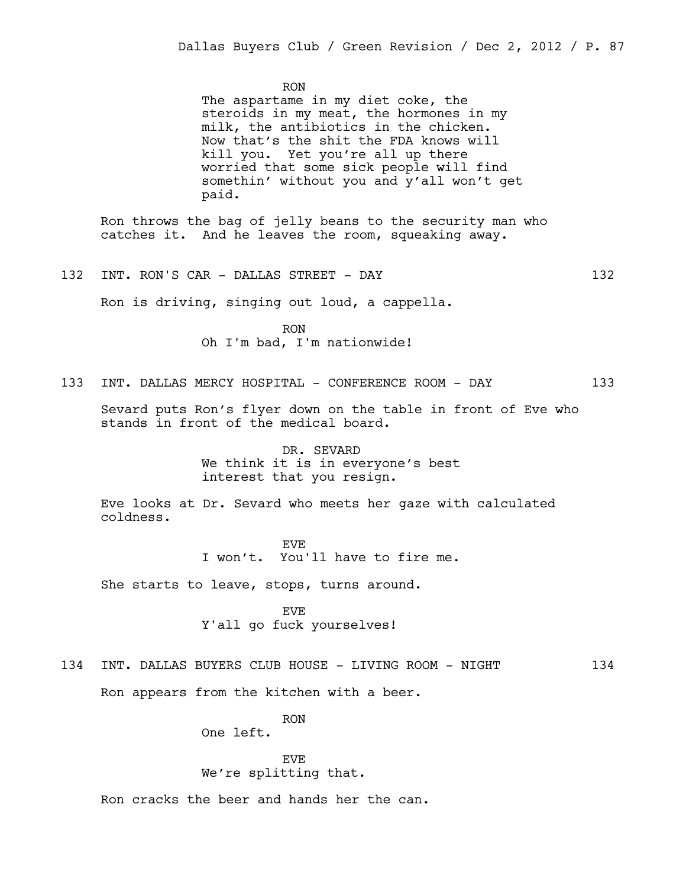RON

The aspartame in my diet coke, the steroids in my meat, the hormones in my milk, the antibiotics in the chicken. Now that's the shit the FDA knows will kill you. Yet you're all up there worried that some sick people will find somethin' without you and y'all won't get paid.

Ron throws the bag of jelly beans to the security man who catches it. And he leaves the room, squeaking away.

132 INT. RON'S CAR - DALLAS STREET - DAY 132

Ron is driving, singing out loud, a cappella.

RON Oh I'm bad, I'm nationwide!

133 INT. DALLAS MERCY HOSPITAL - CONFERENCE ROOM - DAY 133

Sevard puts Ron's flyer down on the table in front of Eve who stands in front of the medical board.

> DR. SEVARD We think it is in everyone's best interest that you resign.

Eve looks at Dr. Sevard who meets her gaze with calculated coldness.

> EVE I won't. You'll have to fire me.

She starts to leave, stops, turns around.

EVE Y'all go fuck yourselves!

134 INT. DALLAS BUYERS CLUB HOUSE - LIVING ROOM - NIGHT 134

Ron appears from the kitchen with a beer.

RON

One left.

EVE We're splitting that.

Ron cracks the beer and hands her the can.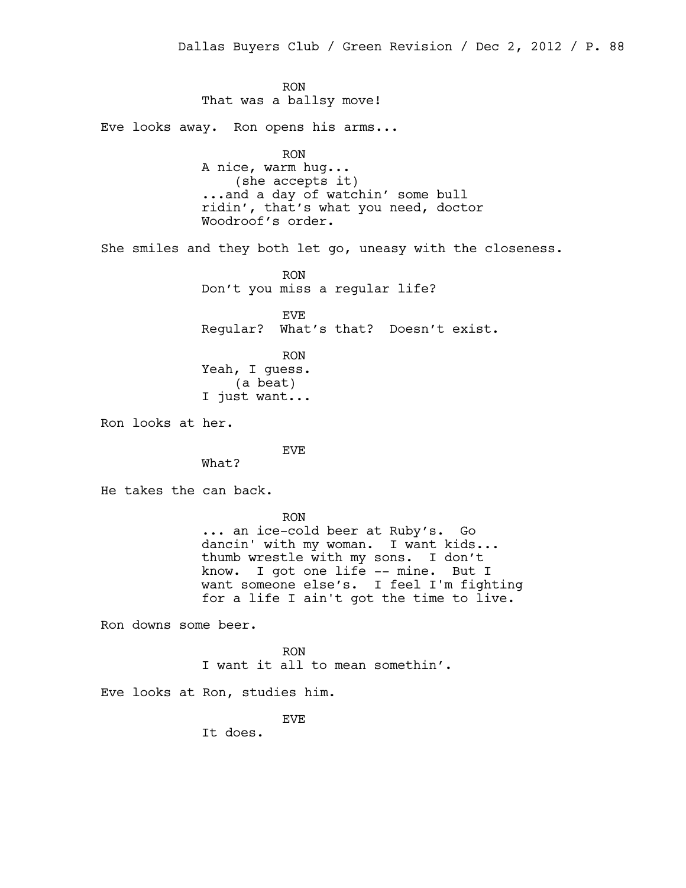RON That was a ballsy move! Eve looks away. Ron opens his arms... RON A nice, warm hug... (she accepts it) ...and a day of watchin' some bull ridin', that's what you need, doctor Woodroof's order. She smiles and they both let go, uneasy with the closeness. RON Don't you miss a regular life? EVE Regular? What's that? Doesn't exist. RON Yeah, I guess. (a beat) I just want... Ron looks at her. EVE What? He takes the can back. RON ... an ice-cold beer at Ruby's. Go dancin' with my woman. I want kids... thumb wrestle with my sons. I don't know. I got one life -- mine. But I want someone else's. I feel I'm fighting for a life I ain't got the time to live. Ron downs some beer. RON I want it all to mean somethin'. Eve looks at Ron, studies him. EVE It does.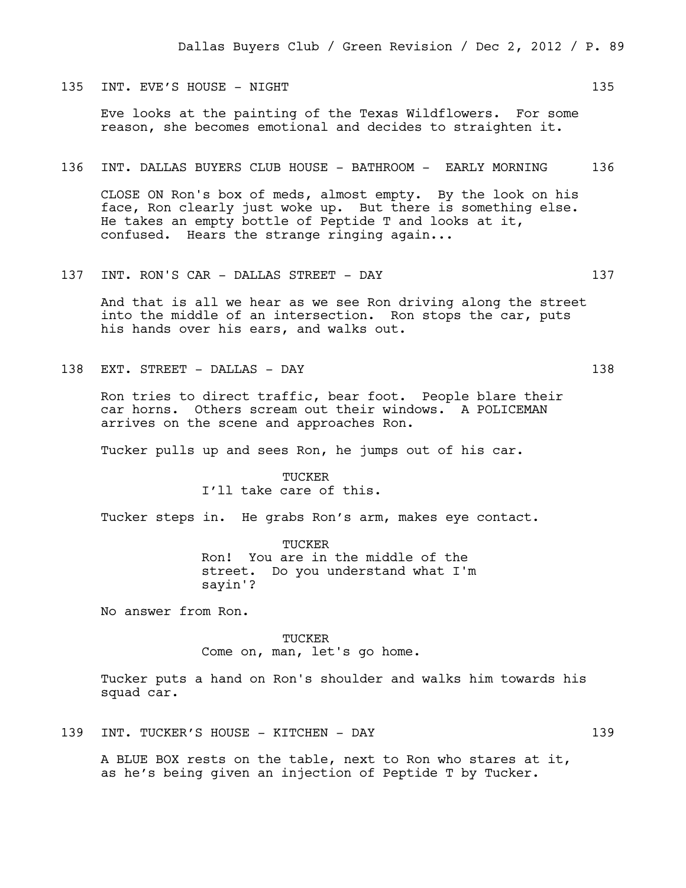## 135 INT. EVE'S HOUSE - NIGHT 135

Eve looks at the painting of the Texas Wildflowers. For some reason, she becomes emotional and decides to straighten it.

### 136 INT. DALLAS BUYERS CLUB HOUSE - BATHROOM - EARLY MORNING 136

CLOSE ON Ron's box of meds, almost empty. By the look on his face, Ron clearly just woke up. But there is something else. He takes an empty bottle of Peptide T and looks at it, confused. Hears the strange ringing again...

137 INT. RON'S CAR - DALLAS STREET - DAY 137

And that is all we hear as we see Ron driving along the street into the middle of an intersection. Ron stops the car, puts his hands over his ears, and walks out.

138 EXT. STREET - DALLAS - DAY 138

Ron tries to direct traffic, bear foot. People blare their car horns. Others scream out their windows. A POLICEMAN arrives on the scene and approaches Ron.

Tucker pulls up and sees Ron, he jumps out of his car.

TUCKER I'll take care of this.

Tucker steps in. He grabs Ron's arm, makes eye contact.

TUCKER Ron! You are in the middle of the street. Do you understand what I'm sayin'?

No answer from Ron.

## TUCKER

Come on, man, let's go home.

Tucker puts a hand on Ron's shoulder and walks him towards his squad car.

139 INT. TUCKER'S HOUSE - KITCHEN - DAY 139

A BLUE BOX rests on the table, next to Ron who stares at it, as he's being given an injection of Peptide T by Tucker.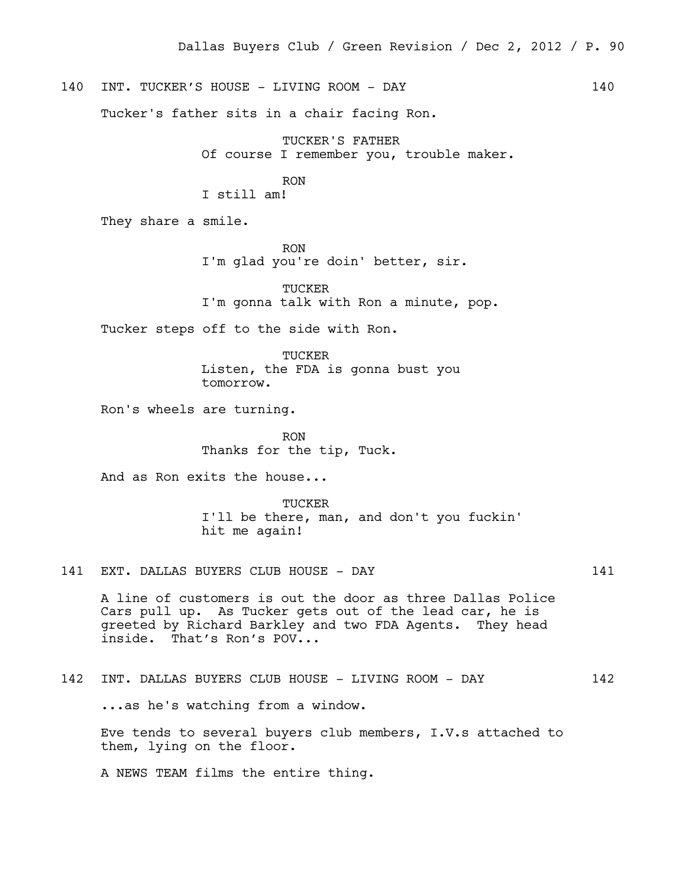140 INT. TUCKER'S HOUSE - LIVING ROOM - DAY 140

Tucker's father sits in a chair facing Ron.

TUCKER'S FATHER Of course I remember you, trouble maker.

RON

I still am!

They share a smile.

RON I'm glad you're doin' better, sir.

TUCKER I'm gonna talk with Ron a minute, pop.

Tucker steps off to the side with Ron.

TUCKER Listen, the FDA is gonna bust you tomorrow.

Ron's wheels are turning.

RON Thanks for the tip, Tuck.

And as Ron exits the house...

**TUCKER** I'll be there, man, and don't you fuckin' hit me again!

141 EXT. DALLAS BUYERS CLUB HOUSE - DAY 141

A line of customers is out the door as three Dallas Police Cars pull up. As Tucker gets out of the lead car, he is greeted by Richard Barkley and two FDA Agents. They head inside. That's Ron's POV...

142 INT. DALLAS BUYERS CLUB HOUSE - LIVING ROOM - DAY 142

...as he's watching from a window.

Eve tends to several buyers club members, I.V.s attached to them, lying on the floor.

A NEWS TEAM films the entire thing.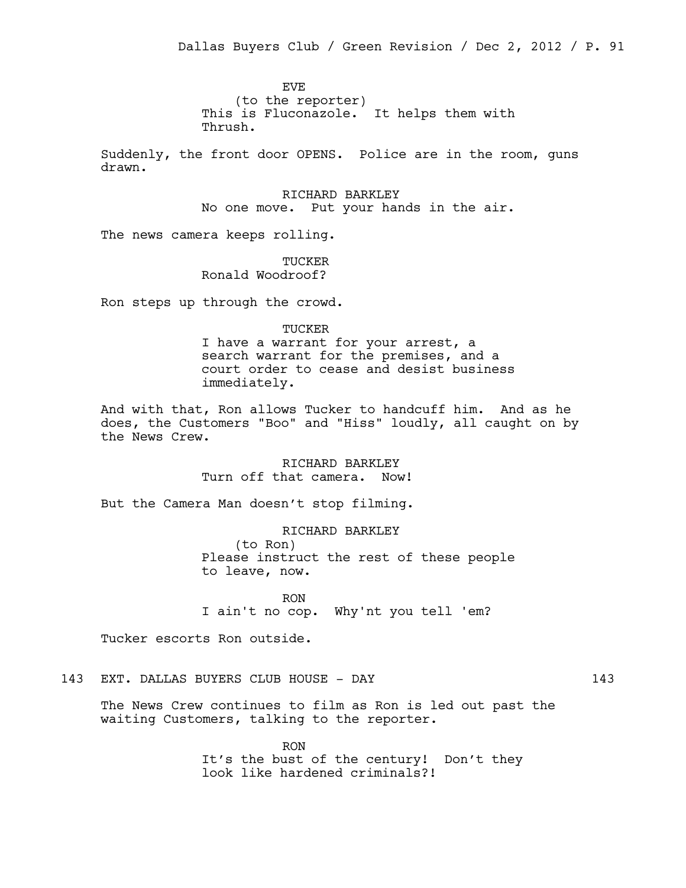EVE (to the reporter) This is Fluconazole. It helps them with Thrush.

Suddenly, the front door OPENS. Police are in the room, guns drawn.

> RICHARD BARKLEY No one move. Put your hands in the air.

The news camera keeps rolling.

TUCKER Ronald Woodroof?

Ron steps up through the crowd.

TUCKER

I have a warrant for your arrest, a search warrant for the premises, and a court order to cease and desist business immediately.

And with that, Ron allows Tucker to handcuff him. And as he does, the Customers "Boo" and "Hiss" loudly, all caught on by the News Crew.

> RICHARD BARKLEY Turn off that camera. Now!

But the Camera Man doesn't stop filming.

RICHARD BARKLEY (to Ron) Please instruct the rest of these people to leave, now.

RON I ain't no cop. Why'nt you tell 'em?

Tucker escorts Ron outside.

# 143 EXT. DALLAS BUYERS CLUB HOUSE - DAY 143

The News Crew continues to film as Ron is led out past the waiting Customers, talking to the reporter.

> RON It's the bust of the century! Don't they look like hardened criminals?!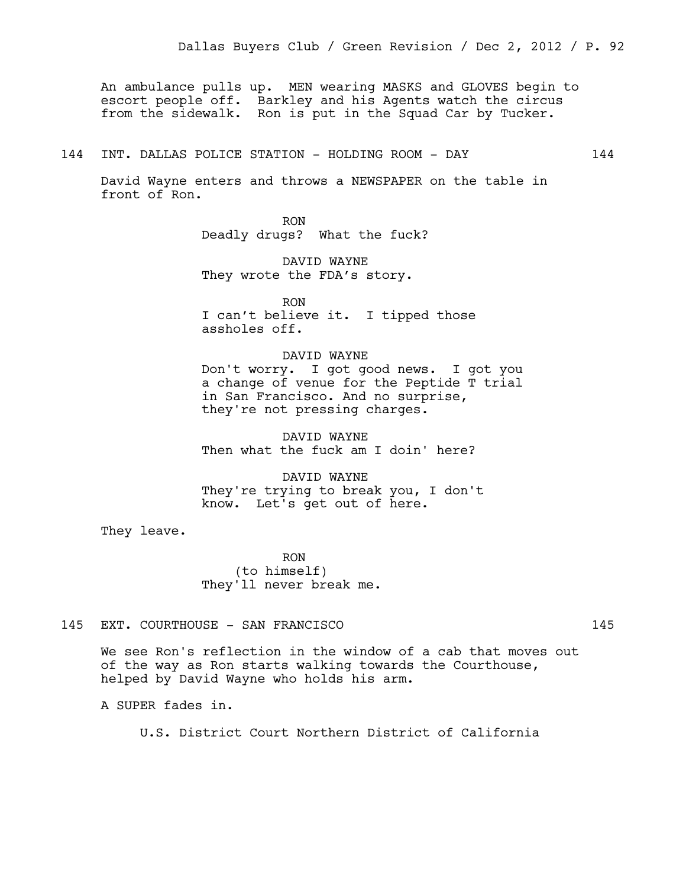An ambulance pulls up. MEN wearing MASKS and GLOVES begin to escort people off. Barkley and his Agents watch the circus from the sidewalk. Ron is put in the Squad Car by Tucker.

## 144 INT. DALLAS POLICE STATION - HOLDING ROOM - DAY 144

David Wayne enters and throws a NEWSPAPER on the table in front of Ron.

> RON Deadly drugs? What the fuck?

DAVID WAYNE They wrote the FDA's story.

RON I can't believe it. I tipped those assholes off.

DAVID WAYNE Don't worry. I got good news. I got you a change of venue for the Peptide T trial in San Francisco. And no surprise, they're not pressing charges.

DAVID WAYNE Then what the fuck am I doin' here?

DAVID WAYNE They're trying to break you, I don't know. Let's get out of here.

They leave.

RON (to himself) They'll never break me.

## 145 EXT. COURTHOUSE - SAN FRANCISCO 145

We see Ron's reflection in the window of a cab that moves out of the way as Ron starts walking towards the Courthouse, helped by David Wayne who holds his arm.

A SUPER fades in.

U.S. District Court Northern District of California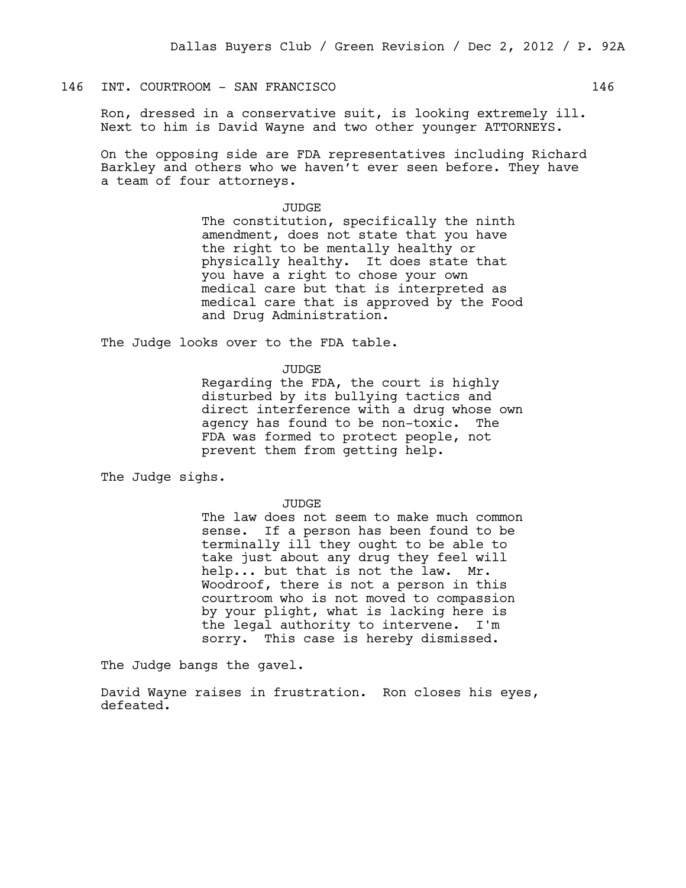# 146 INT. COURTROOM - SAN FRANCISCO 146

Ron, dressed in a conservative suit, is looking extremely ill. Next to him is David Wayne and two other younger ATTORNEYS.

On the opposing side are FDA representatives including Richard Barkley and others who we haven't ever seen before. They have a team of four attorneys.

#### JUDGE

The constitution, specifically the ninth amendment, does not state that you have the right to be mentally healthy or physically healthy. It does state that you have a right to chose your own medical care but that is interpreted as medical care that is approved by the Food and Drug Administration.

The Judge looks over to the FDA table.

JUDGE

Regarding the FDA, the court is highly disturbed by its bullying tactics and direct interference with a drug whose own agency has found to be non-toxic. The FDA was formed to protect people, not prevent them from getting help.

The Judge sighs.

JUDGE

The law does not seem to make much common sense. If a person has been found to be terminally ill they ought to be able to take just about any drug they feel will help... but that is not the law. Mr. Woodroof, there is not a person in this courtroom who is not moved to compassion by your plight, what is lacking here is the legal authority to intervene. I'm sorry. This case is hereby dismissed.

The Judge bangs the gavel.

David Wayne raises in frustration. Ron closes his eyes, defeated.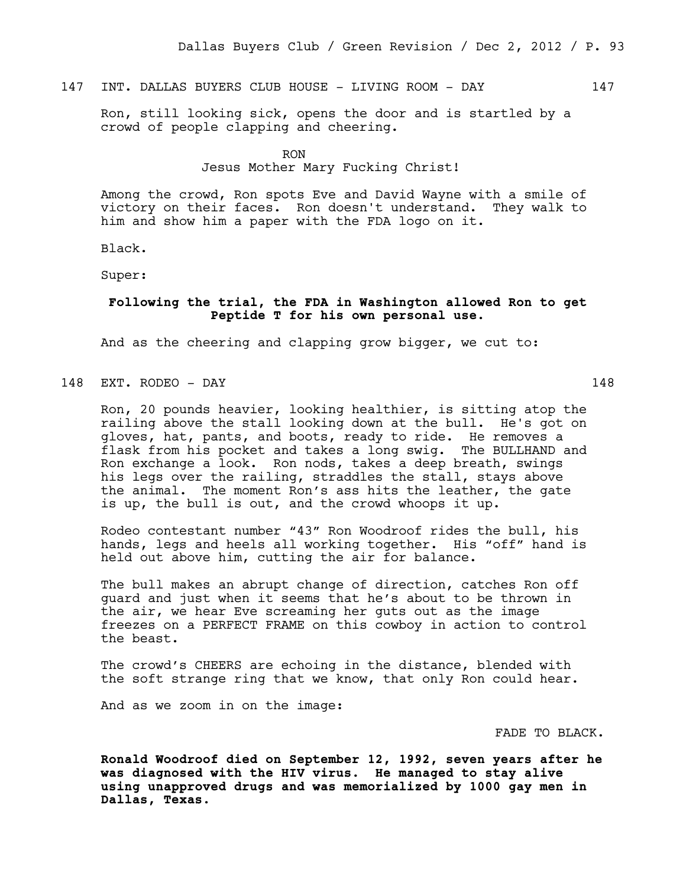# 147 INT. DALLAS BUYERS CLUB HOUSE - LIVING ROOM - DAY 147

Ron, still looking sick, opens the door and is startled by a crowd of people clapping and cheering.

RON

### Jesus Mother Mary Fucking Christ!

Among the crowd, Ron spots Eve and David Wayne with a smile of victory on their faces. Ron doesn't understand. They walk to him and show him a paper with the FDA logo on it.

Black.

Super:

# **Following the trial, the FDA in Washington allowed Ron to get Peptide T for his own personal use.**

And as the cheering and clapping grow bigger, we cut to:

# 148 EXT. RODEO - DAY 148

Ron, 20 pounds heavier, looking healthier, is sitting atop the railing above the stall looking down at the bull. He's got on gloves, hat, pants, and boots, ready to ride. He removes a flask from his pocket and takes a long swig. The BULLHAND and Ron exchange a look. Ron nods, takes a deep breath, swings his legs over the railing, straddles the stall, stays above the animal. The moment Ron's ass hits the leather, the gate

Rodeo contestant number "43" Ron Woodroof rides the bull, his hands, legs and heels all working together. His "off" hand is held out above him, cutting the air for balance.

is up, the bull is out, and the crowd whoops it up.

The bull makes an abrupt change of direction, catches Ron off guard and just when it seems that he's about to be thrown in the air, we hear Eve screaming her guts out as the image freezes on a PERFECT FRAME on this cowboy in action to control the beast.

The crowd's CHEERS are echoing in the distance, blended with the soft strange ring that we know, that only Ron could hear.

And as we zoom in on the image:

FADE TO BLACK.

**Ronald Woodroof died on September 12, 1992, seven years after he was diagnosed with the HIV virus. He managed to stay alive using unapproved drugs and was memorialized by 1000 gay men in Dallas, Texas.**